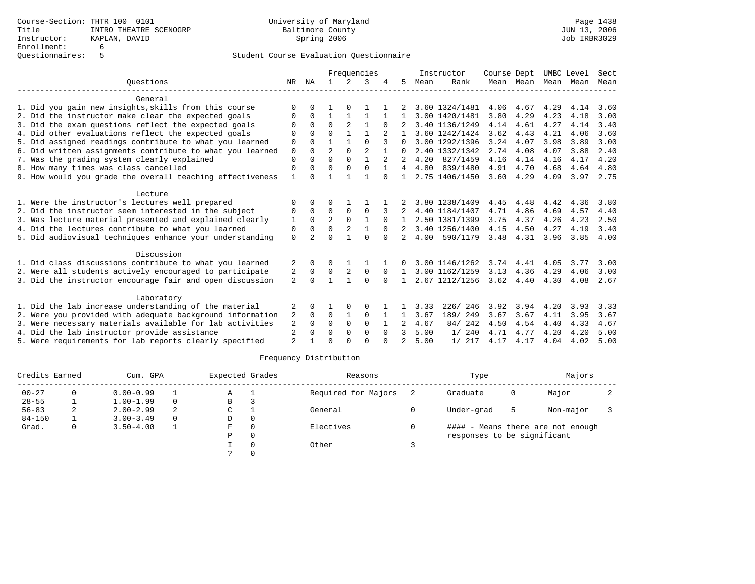|                                                           |                |                |                |          | Frequencies |          |              |      | Instructor     | Course Dept       |           | UMBC Level |      | Sect |
|-----------------------------------------------------------|----------------|----------------|----------------|----------|-------------|----------|--------------|------|----------------|-------------------|-----------|------------|------|------|
| Ouestions                                                 | NR             | ΝA             |                | 2        | 3           |          | 5            | Mean | Rank           |                   | Mean Mean | Mean       | Mean | Mean |
| General                                                   |                |                |                |          |             |          |              |      |                |                   |           |            |      |      |
| 1. Did you gain new insights, skills from this course     | $\Omega$       |                |                |          |             |          |              |      | 3.60 1324/1481 | 4.06              | 4.67      | 4.29       | 4.14 | 3.60 |
| 2. Did the instructor make clear the expected goals       | $\Omega$       | $\Omega$       | $\mathbf{1}$   |          |             |          | Т.           |      | 3.00 1420/1481 | 3.80              | 4.29      | 4.23       | 4.18 | 3.00 |
| 3. Did the exam questions reflect the expected goals      |                | $\Omega$       | $\Omega$       | 2        |             |          |              |      | 3.40 1136/1249 | 4.14              | 4.61      | 4.27       | 4.14 | 3.40 |
| 4. Did other evaluations reflect the expected goals       | $\Omega$       | $\cap$         | $\Omega$       |          |             |          |              |      | 3.60 1242/1424 | 3.62              | 4.43      | 4.21       | 4.06 | 3.60 |
| 5. Did assigned readings contribute to what you learned   | $\Omega$       | $\cap$         |                |          | $\cap$      |          | $\Omega$     |      | 3.00 1292/1396 | 3.24              | 4.07      | 3.98       | 3.89 | 3.00 |
| 6. Did written assignments contribute to what you learned | $\Omega$       | $\Omega$       | $\overline{a}$ | $\Omega$ |             |          | $\Omega$     |      | 2.40 1332/1342 | 2.74              | 4.08      | 4.07       | 3.88 | 2.40 |
| 7. Was the grading system clearly explained               | $\Omega$       | $\Omega$       | $\Omega$       | $\Omega$ | 1           |          |              | 4.20 | 827/1459       | 4.16              | 4.14      | 4.16       | 4.17 | 4.20 |
| 8. How many times was class cancelled                     | $\Omega$       |                | $\Omega$       |          | $\Omega$    |          | 4            | 4.80 | 839/1480       | 4.91              | 4.70      | 4.68       | 4.64 | 4.80 |
| 9. How would you grade the overall teaching effectiveness | $\mathbf{1}$   | $\Omega$       |                |          |             | $\Omega$ |              |      | 2.75 1406/1450 | 3.60              | 4.29      | 4.09       | 3.97 | 2.75 |
| Lecture                                                   |                |                |                |          |             |          |              |      |                |                   |           |            |      |      |
| 1. Were the instructor's lectures well prepared           | $\Omega$       | $\Omega$       |                |          |             |          |              |      | 3.80 1238/1409 | 4.45              | 4.48      | 4.42       | 4.36 | 3.80 |
| 2. Did the instructor seem interested in the subject      | $\Omega$       | $\Omega$       | $\Omega$       | $\Omega$ | $\Omega$    |          |              |      | 4.40 1184/1407 | 4.71              | 4.86      | 4.69       | 4.57 | 4.40 |
| 3. Was lecture material presented and explained clearly   |                | $\Omega$       | 2              | $\Omega$ |             |          |              |      | 2.50 1381/1399 | 3.75              | 4.37      | 4.26       | 4.23 | 2.50 |
| 4. Did the lectures contribute to what you learned        | 0              | $\Omega$       | 0              | 2        |             | $\Omega$ |              |      | 3.40 1256/1400 | 4.15              | 4.50      | 4.27       | 4.19 | 3.40 |
| 5. Did audiovisual techniques enhance your understanding  | $\Omega$       | $\overline{2}$ | $\Omega$       |          | $\cap$      | $\Omega$ | 2            | 4.00 | 590/1179       | 3.48              | 4.31      | 3.96       | 3.85 | 4.00 |
| Discussion                                                |                |                |                |          |             |          |              |      |                |                   |           |            |      |      |
| 1. Did class discussions contribute to what you learned   | 2              | $\Omega$       | 0              |          |             |          |              |      | 3.00 1146/1262 | 3.74              | 4.41      | 4.05       | 3.77 | 3.00 |
| 2. Were all students actively encouraged to participate   | 2              | $\mathbf 0$    | 0              | 2        | $\Omega$    | $\Omega$ | $\mathbf{1}$ |      | 3.00 1162/1259 | 3.13              | 4.36      | 4.29       | 4.06 | 3.00 |
| 3. Did the instructor encourage fair and open discussion  | 2              | $\Omega$       | $\mathbf{1}$   |          | $\Omega$    | $\Omega$ |              |      | 2.67 1212/1256 | $3.62 \quad 4.40$ |           | 4.30       | 4.08 | 2.67 |
| Laboratory                                                |                |                |                |          |             |          |              |      |                |                   |           |            |      |      |
| 1. Did the lab increase understanding of the material     | 2              |                |                |          | 0           |          |              | 3.33 | 246<br>226/    | 3.92              | 3.94      | 4.20       | 3.93 | 3.33 |
| 2. Were you provided with adequate background information | 2              | $\Omega$       | 0              |          | $\Omega$    |          |              | 3.67 | 189/ 249       | 3.67              | 3.67      | 4.11       | 3.95 | 3.67 |
| 3. Were necessary materials available for lab activities  | 2              | $\Omega$       | $\Omega$       | $\Omega$ | $\Omega$    |          |              | 4.67 | 84/242         | 4.50              | 4.54      | 4.40       | 4.33 | 4.67 |
| 4. Did the lab instructor provide assistance              | 2              | $\Omega$       | $\Omega$       | $\Omega$ | $\Omega$    | $\Omega$ | 3            | 5.00 | 1/240          | 4.71              | 4.77      | 4.20       | 4.20 | 5.00 |
| 5. Were requirements for lab reports clearly specified    | $\overline{2}$ |                | $\Omega$       |          | $\cap$      |          |              | 5.00 | 1/217          | 4.17              | 4.17      | 4.04       | 4.02 | 5.00 |
|                                                           |                |                |                |          |             |          |              |      |                |                   |           |            |      |      |

| Credits Earned |   | Cum. GPA      |          | Expected Grades |          | Reasons             | Type                        |    | Majors                            |   |
|----------------|---|---------------|----------|-----------------|----------|---------------------|-----------------------------|----|-----------------------------------|---|
| $00 - 27$      | 0 | $0.00 - 0.99$ |          | Α               |          | Required for Majors | Graduate                    | 0  | Major                             | ∠ |
| $28 - 55$      |   | $1.00 - 1.99$ | $\Omega$ | в               |          |                     |                             |    |                                   |   |
| $56 - 83$      | 2 | $2.00 - 2.99$ | 2        | C               |          | General             | Under-grad                  | -5 | Non-major                         |   |
| $84 - 150$     |   | $3.00 - 3.49$ | $\Omega$ | D               | 0        |                     |                             |    |                                   |   |
| Grad.          | 0 | $3.50 - 4.00$ |          | F.              | $\Omega$ | Electives           |                             |    | #### - Means there are not enough |   |
|                |   |               |          | Ρ               | 0        |                     | responses to be significant |    |                                   |   |
|                |   |               |          |                 |          | Other               |                             |    |                                   |   |
|                |   |               |          |                 |          |                     |                             |    |                                   |   |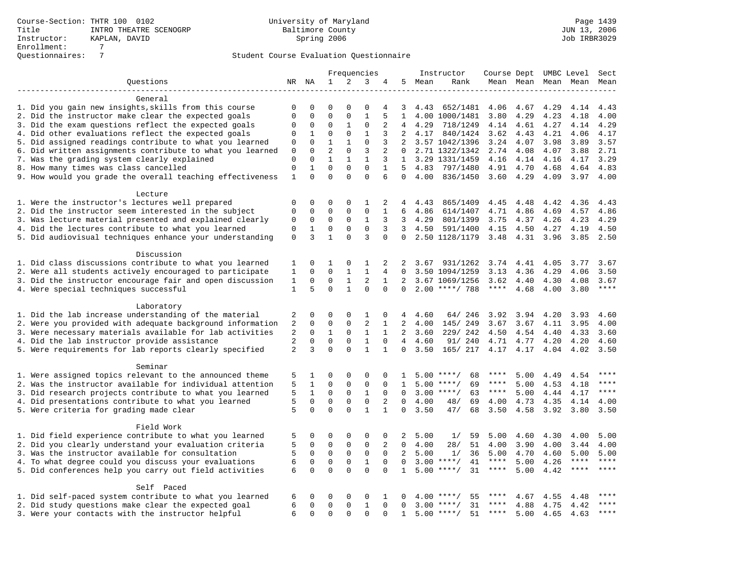|                                                           |              |              |                            |              | Frequencies          |              |                |         | Instructor         | Course Dept UMBC Level |      |      |                          | Sect        |
|-----------------------------------------------------------|--------------|--------------|----------------------------|--------------|----------------------|--------------|----------------|---------|--------------------|------------------------|------|------|--------------------------|-------------|
| Ouestions                                                 |              | NR NA        | $\mathbf{1}$               | 2            | 3                    | 4            |                | 5 Mean  | Rank               |                        |      |      | Mean Mean Mean Mean Mean |             |
|                                                           |              |              |                            |              |                      |              |                |         |                    |                        |      |      |                          |             |
| General                                                   |              |              |                            |              |                      |              |                |         |                    |                        |      |      |                          |             |
| 1. Did you gain new insights, skills from this course     | $\Omega$     | $\Omega$     | $\Omega$                   | O            | $\Omega$             | 4            | 3              | 4.43    | 652/1481           | 4.06                   | 4.67 | 4.29 | 4.14                     | 4.43        |
| 2. Did the instructor make clear the expected goals       | $\Omega$     | $\mathbf 0$  | $\Omega$                   | $\Omega$     | $\mathbf{1}$         | 5            | $\mathbf{1}$   |         | 4.00 1000/1481     | 3.80                   | 4.29 | 4.23 | 4.18                     | 4.00        |
| 3. Did the exam questions reflect the expected goals      | 0            | 0            | 0                          | $\mathbf{1}$ | $\mathbf{0}$         | 2            | 4              | 4.29    | 718/1249           | 4.14                   | 4.61 | 4.27 | 4.14                     | 4.29        |
| 4. Did other evaluations reflect the expected goals       | $\mathbf{0}$ | $\mathbf{1}$ | $\mathbf 0$                | $\mathbf 0$  | $\mathbf{1}$         | 3            | 2              | 4.17    | 840/1424           | 3.62                   | 4.43 | 4.21 | 4.06                     | 4.17        |
| 5. Did assigned readings contribute to what you learned   | 0            | $\Omega$     | $\mathbf{1}$               | $\mathbf{1}$ | $\mathbf 0$          | 3            | 2              |         | 3.57 1042/1396     | 3.24                   | 4.07 | 3.98 | 3.89                     | 3.57        |
| 6. Did written assignments contribute to what you learned | $\mathbf 0$  | $\Omega$     | $\overline{a}$             | $\Omega$     | 3                    | 2            | $\Omega$       |         | 2.71 1322/1342     | 2.74                   | 4.08 | 4.07 | 3.88                     | 2.71        |
| 7. Was the grading system clearly explained               | $\mathbf 0$  | $\mathbf 0$  | $\mathbf{1}$               | $\mathbf{1}$ | 1                    | 3            |                |         | 1 3.29 1331/1459   | 4.16                   | 4.14 | 4.16 | 4.17                     | 3.29        |
| 8. How many times was class cancelled                     | $\mathbf 0$  | $\mathbf{1}$ | $\Omega$                   | $\Omega$     | $\Omega$             | $\mathbf{1}$ | 5              | 4.83    | 797/1480           | 4.91                   | 4.70 | 4.68 | 4.64                     | 4.83        |
| 9. How would you grade the overall teaching effectiveness | $\mathbf{1}$ | $\Omega$     | $\Omega$                   | $\Omega$     | $\Omega$             | 6            | $\Omega$       | 4.00    | 836/1450           | 3.60                   | 4.29 | 4.09 | 3.97                     | 4.00        |
| Lecture                                                   |              |              |                            |              |                      |              |                |         |                    |                        |      |      |                          |             |
| 1. Were the instructor's lectures well prepared           | 0            | $\mathbf 0$  | 0                          | 0            | 1                    | 2            | 4              | 4.43    | 865/1409           | 4.45                   | 4.48 | 4.42 | 4.36                     | 4.43        |
| 2. Did the instructor seem interested in the subject      | $\mathbf{0}$ | $\mathbf 0$  | $\mathbf 0$                | $\mathbf{0}$ | $\mathbf 0$          | 1            | 6              | 4.86    | 614/1407           | 4.71                   | 4.86 | 4.69 | 4.57                     | 4.86        |
| 3. Was lecture material presented and explained clearly   | 0            | $\mathbf 0$  | $\mathbf 0$                | $\Omega$     | $\mathbf{1}$         | 3            | 3              | 4.29    | 801/1399           | 3.75                   | 4.37 | 4.26 | 4.23                     | 4.29        |
| 4. Did the lectures contribute to what you learned        | $\mathbf{0}$ | $\mathbf{1}$ | $\mathbf 0$                | $\Omega$     | $\Omega$             | 3            |                | 3, 4.50 | 591/1400           | 4.15                   | 4.50 | 4.27 | 4.19                     | 4.50        |
| 5. Did audiovisual techniques enhance your understanding  | $\mathbf{0}$ | 3            | $\mathbf{1}$               | $\Omega$     | 3                    | $\Omega$     | $\Omega$       |         | 2.50 1128/1179     | 3.48                   | 4.31 | 3.96 | 3.85                     | 2.50        |
| Discussion                                                |              |              |                            |              |                      |              |                |         |                    |                        |      |      |                          |             |
| 1. Did class discussions contribute to what you learned   | 1            | $\mathbf 0$  | 1                          | $\mathbf 0$  | 1                    | 2            | 2              | 3.67    | 931/1262           | 3.74                   | 4.41 | 4.05 | 3.77                     | 3.67        |
| 2. Were all students actively encouraged to participate   | $\mathbf{1}$ | $\mathbf 0$  | $\Omega$                   | $\mathbf{1}$ | $\mathbf{1}$         | 4            | $\Omega$       |         | 3.50 1094/1259     | 3.13                   | 4.36 | 4.29 | 4.06                     | 3.50        |
| 3. Did the instructor encourage fair and open discussion  | 1            | $\Omega$     | $\mathbf 0$                | $\mathbf{1}$ | 2                    | $\mathbf{1}$ | 2              |         | 3.67 1069/1256     | 3.62                   | 4.40 | 4.30 | 4.08                     | 3.67        |
| 4. Were special techniques successful                     | $\mathbf{1}$ | 5            | $\Omega$                   | $\mathbf{1}$ | $\Omega$             | $\Omega$     | $\Omega$       |         | $2.00$ ****/ 788   | $***$ * * *            | 4.68 | 4.00 | 3.80                     | ****        |
| Laboratory                                                |              |              |                            |              |                      |              |                |         |                    |                        |      |      |                          |             |
| 1. Did the lab increase understanding of the material     | 2            | $\mathbf 0$  | 0                          | $\mathbf 0$  | 1                    | 0            | 4              | 4.60    | 64/ 246            | 3.92                   | 3.94 | 4.20 | 3.93                     | 4.60        |
| 2. Were you provided with adequate background information | 2            | $\Omega$     | $\Omega$                   | $\mathbf{0}$ | 2                    | $\mathbf{1}$ | 2              | 4.00    | 145/ 249           | 3.67                   | 3.67 | 4.11 | 3.95                     | 4.00        |
| 3. Were necessary materials available for lab activities  | 2            | 0            | $\mathbf{1}$               | $\mathbf 0$  | $\mathbf{1}$         | $\mathbf{1}$ | 2              | 3.60    | 229/242            | 4.50                   | 4.54 | 4.40 | 4.33                     | 3.60        |
| 4. Did the lab instructor provide assistance              | 2            | $\mathbf 0$  | $\mathbf 0$                | $\mathbf{0}$ | $\mathbf{1}$         | $\mathbf 0$  | $\overline{4}$ | 4.60    | 91/ 240            | 4.71                   | 4.77 | 4.20 | 4.20                     | 4.60        |
| 5. Were requirements for lab reports clearly specified    | 2            | 3            | $\Omega$                   | $\Omega$     | $\mathbf{1}$         | $\mathbf{1}$ | $\Omega$       | 3.50    | 165/ 217           | 4.17                   | 4.17 | 4.04 | 4.02                     | 3.50        |
|                                                           |              |              |                            |              |                      |              |                |         |                    |                        |      |      |                          |             |
| Seminar                                                   |              |              |                            |              |                      |              |                |         |                    | $***$ * * *            |      |      |                          | ****        |
| 1. Were assigned topics relevant to the announced theme   | 5            | 1            | 0                          | $\mathbf 0$  | $\Omega$             | 0            | 1              |         | 68<br>$5.00$ ****/ | ****                   | 5.00 | 4.49 | 4.54                     | ****        |
| 2. Was the instructor available for individual attention  | 5            | $\mathbf{1}$ | $\mathbf 0$                | $\mathbf{0}$ | $\mathbf{0}$         | 0            | 1              | 5.00    | $***$ /<br>69      |                        | 5.00 | 4.53 | 4.18                     | $***$       |
| 3. Did research projects contribute to what you learned   | 5            | $\mathbf{1}$ | $\mathbf 0$<br>$\mathbf 0$ | $\mathbf 0$  | $1\,$<br>$\mathbf 0$ | $\mathbf 0$  | $\mathbf 0$    |         | $3.00$ ****/<br>63 | $***$ * *              | 5.00 | 4.44 | 4.17                     |             |
| 4. Did presentations contribute to what you learned       | 5            | $\mathbf 0$  | $\Omega$                   | $\mathbf{0}$ |                      | 2            | $\Omega$       | 4.00    | 48/<br>69          | 4.00                   | 4.73 | 4.35 | 4.14                     | 4.00        |
| 5. Were criteria for grading made clear                   | 5            | $\Omega$     |                            | $\Omega$     | $\mathbf{1}$         | $\mathbf{1}$ | $\Omega$       | 3.50    | 47/<br>68          | 3.50                   | 4.58 | 3.92 | 3.80                     | 3.50        |
| Field Work                                                |              |              |                            |              |                      |              |                |         |                    |                        |      |      |                          |             |
| 1. Did field experience contribute to what you learned    | 5            | $\mathbf 0$  | 0                          | $\mathbf 0$  | $\mathbf 0$          | 0            | 2              | 5.00    | 1/<br>59           | 5.00                   | 4.60 | 4.30 | 4.00                     | 5.00        |
| 2. Did you clearly understand your evaluation criteria    | 5            | $\Omega$     | $\Omega$                   | $\mathbf{0}$ | $\Omega$             | 2            | $\Omega$       | 4.00    | 28/<br>51          | 4.00                   | 3.90 | 4.00 | 3.44                     | 4.00        |
| 3. Was the instructor available for consultation          | 5            | $\mathbf 0$  | $\mathbf 0$                | $\mathsf 0$  | $\mathbf 0$          | $\mathbf{0}$ | 2              | 5.00    | 36<br>1/           | 5.00                   | 4.70 | 4.60 | 5.00                     | 5.00        |
| 4. To what degree could you discuss your evaluations      | 6            | $\mathbf 0$  | $\mathbf 0$                | $\mathsf 0$  | $\mathbf{1}$         | $\mathbf 0$  | $\Omega$       | 3.00    | $***$ /<br>41      | $***$ * * *            | 5.00 | 4.26 | $***$ * * *              | $***$       |
| 5. Did conferences help you carry out field activities    | 6            | $\Omega$     | $\Omega$                   | $\Omega$     | $\Omega$             | $\Omega$     | $\mathbf{1}$   | 5.00    | $***/$<br>31       | $***$ * *              | 5.00 | 4.42 | $***$ * * *              | $***$       |
| Self Paced                                                |              |              |                            |              |                      |              |                |         |                    |                        |      |      |                          |             |
| 1. Did self-paced system contribute to what you learned   | 6            | 0            | 0                          | 0            | 0                    | 1            | 0              | 4.00    | $***$ /<br>55      |                        | 4.67 | 4.55 | 4.48                     | $***$       |
| 2. Did study questions make clear the expected goal       | 6            | $\mathbf 0$  | $\mathbf 0$                | $\mathbf{0}$ | $\mathbf{1}$         | $\Omega$     | $\Omega$       |         | 31<br>$3.00$ ****/ | ****                   | 4.88 | 4.75 | 4.42                     | $***$ * * * |
| 3. Were your contacts with the instructor helpful         | 6            | $\mathbf 0$  | $\mathbf 0$                | $\mathbf{0}$ | $\Omega$             | $\Omega$     | 1              |         | 51<br>$5.00$ ****/ | ****                   | 5.00 | 4.65 | 4.63                     | $***$       |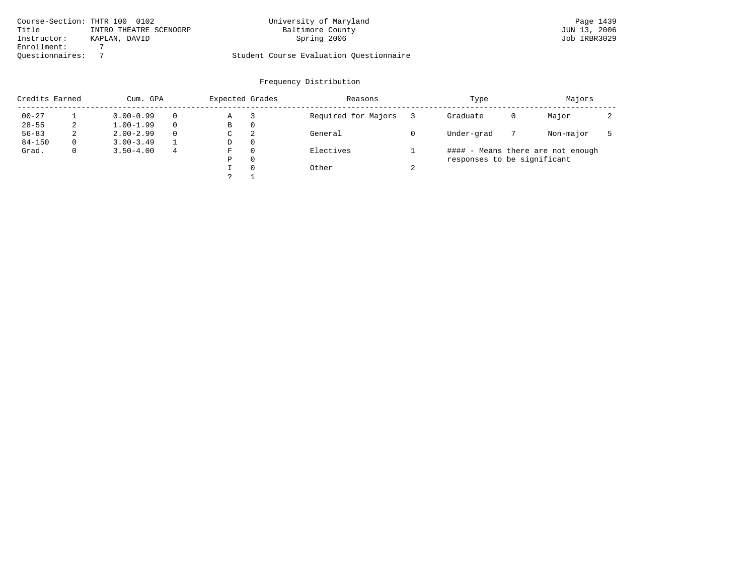|                 | Course-Section: THTR 100 0102 | University of Maryland                  | Page 1439    |
|-----------------|-------------------------------|-----------------------------------------|--------------|
| Title           | INTRO THEATRE SCENOGRP        | Baltimore County                        | JUN 13, 2006 |
| Instructor:     | KAPLAN, DAVID                 | Spring 2006                             | Job IRBR3029 |
| Enrollment:     |                               |                                         |              |
| Ouestionnaires: |                               | Student Course Evaluation Questionnaire |              |

| Credits Earned |    | Cum. GPA      |          | Expected Grades |          | Reasons             |        | Type                        |   | Majors                            |  |
|----------------|----|---------------|----------|-----------------|----------|---------------------|--------|-----------------------------|---|-----------------------------------|--|
| $00 - 27$      |    | $0.00 - 0.99$ | $\Omega$ | Α               |          | Required for Majors |        | Graduate                    | 0 | Major                             |  |
| $28 - 55$      |    | $1.00 - 1.99$ | $\Omega$ | B               | 0        |                     |        |                             |   |                                   |  |
| $56 - 83$      | z. | $2.00 - 2.99$ | $\Omega$ | C               | 2        | General             |        | Under-grad                  |   | Non-major                         |  |
| $84 - 150$     |    | $3.00 - 3.49$ |          | D               | $\Omega$ |                     |        |                             |   |                                   |  |
| Grad.          |    | $3.50 - 4.00$ | 4        | F               | $\Omega$ | Electives           |        |                             |   | #### - Means there are not enough |  |
|                |    |               |          | Ρ               | 0        |                     |        | responses to be significant |   |                                   |  |
|                |    |               |          |                 | $\Omega$ | Other               | $\sim$ |                             |   |                                   |  |
|                |    |               |          |                 |          |                     |        |                             |   |                                   |  |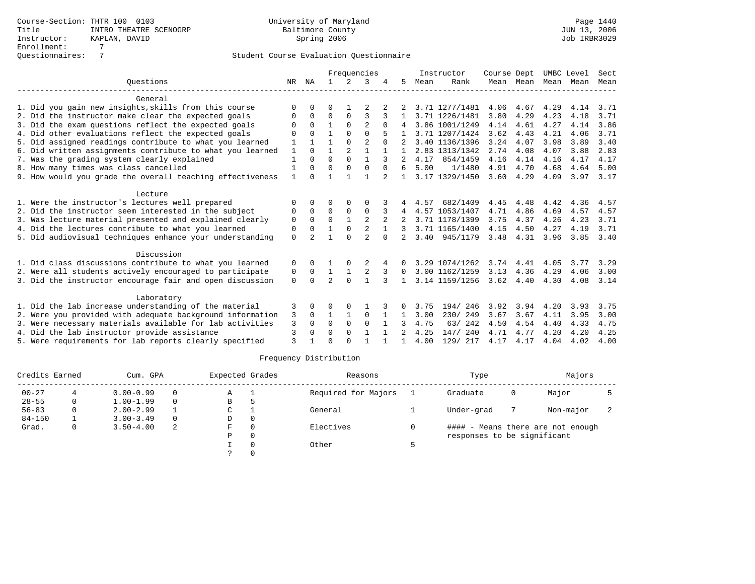|                                                           |              |             |                |                | Frequencies    |              |                |      | Instructor     | Course Dept       |           | UMBC Level |           | Sect          |
|-----------------------------------------------------------|--------------|-------------|----------------|----------------|----------------|--------------|----------------|------|----------------|-------------------|-----------|------------|-----------|---------------|
| Ouestions                                                 | NR           | ΝA          |                | 2              | 3              |              | 5.             | Mean | Rank           |                   | Mean Mean | Mean       | Mean      | Mean          |
| General                                                   |              |             |                |                |                |              |                |      |                |                   |           |            |           |               |
| 1. Did you gain new insights, skills from this course     | $\Omega$     | $\cap$      | 0              |                |                |              |                |      | 3.71 1277/1481 | 4.06              | 4.67      | 4.29       | 4.14      | 3.71          |
| 2. Did the instructor make clear the expected goals       | $\Omega$     | $\Omega$    | $\Omega$       | $\Omega$       | 3              | 3            | $\mathbf{1}$   |      | 3.71 1226/1481 | 3.80              | 4.29      | 4.23       | 4.18      | 3.71          |
| 3. Did the exam questions reflect the expected goals      | 0            | $\Omega$    | $\mathbf{1}$   | $\Omega$       | $\mathfrak{D}$ | $\Omega$     | 4              |      | 3.86 1001/1249 | 4.14              | 4.61      | 4.27       | 4.14      | 3.86          |
| 4. Did other evaluations reflect the expected goals       | O            | $\cap$      | $\mathbf{1}$   | $\Omega$       | $\Omega$       |              |                |      | 3.71 1207/1424 | 3.62              | 4.43      | 4.21       | 4.06      | 3.71          |
| 5. Did assigned readings contribute to what you learned   | 1            | 1           | $\mathbf{1}$   | $\Omega$       | $\mathfrak{D}$ | $\Omega$     | 2              |      | 3.40 1136/1396 | 3.24              | 4.07      | 3.98       | 3.89      | 3.40          |
| 6. Did written assignments contribute to what you learned | 1            | $\Omega$    | $\mathbf{1}$   | $\overline{2}$ | $\mathbf{1}$   |              |                |      | 2.83 1313/1342 | 2.74              | 4.08      | 4.07       | 3.88      | 2.83          |
| 7. Was the grading system clearly explained               | 1            | $\cap$      | $\Omega$       | $\Omega$       | $\mathbf{1}$   |              |                | 4.17 | 854/1459       | 4.16              | 4.14      | 4.16       | 4.17      | 4.17          |
| 8. How many times was class cancelled                     | 1            | $\Omega$    | $\Omega$       | $\Omega$       | $\Omega$       | $\Omega$     | 6              | 5.00 | 1/1480         | 4.91              | 4.70      | 4.68       | 4.64      | 5.00          |
| 9. How would you grade the overall teaching effectiveness | $\mathbf{1}$ | $\Omega$    |                |                |                |              |                |      | 3.17 1329/1450 | 3.60              | 4.29      | 4.09       |           | $3.97$ $3.17$ |
| Lecture                                                   |              |             |                |                |                |              |                |      |                |                   |           |            |           |               |
| 1. Were the instructor's lectures well prepared           | 0            | $\Omega$    | 0              | 0              | 0              |              | 4              | 4.57 | 682/1409       | 4.45              | 4.48      | 4.42       | 4.36      | 4.57          |
| 2. Did the instructor seem interested in the subject      | 0            | $\Omega$    | $\Omega$       | $\mathbf 0$    | $\mathbf 0$    |              | 4              |      | 4.57 1053/1407 | 4.71              | 4.86      | 4.69       | 4.57      | 4.57          |
| 3. Was lecture material presented and explained clearly   | $\mathbf 0$  | $\Omega$    | $\Omega$       | $\mathbf{1}$   | $\overline{2}$ |              |                |      | 3.71 1178/1399 | 3.75              | 4.37      | 4.26       | 4.23      | 3.71          |
| 4. Did the lectures contribute to what you learned        | 0            | $\Omega$    | $\mathbf{1}$   | $\mathbf{0}$   | 2              |              |                |      | 3.71 1165/1400 | 4.15              | 4.50      | 4.27       | 4.19      | 3.71          |
| 5. Did audiovisual techniques enhance your understanding  | $\Omega$     | $2^{\circ}$ | $\mathbf{1}$   | $\cap$         | $\mathfrak{D}$ | $\cap$       | $2^{\circ}$    |      | 3.40 945/1179  |                   | 3.48 4.31 | 3.96       | 3.85 3.40 |               |
| Discussion                                                |              |             |                |                |                |              |                |      |                |                   |           |            |           |               |
| 1. Did class discussions contribute to what you learned   | $\Omega$     | $\Omega$    |                | $\Omega$       | 2              |              | $\Omega$       |      | 3.29 1074/1262 |                   | 3.74 4.41 | 4.05       | 3.77      | 3.29          |
| 2. Were all students actively encouraged to participate   | 0            | $\Omega$    | $\mathbf{1}$   | $\mathbf{1}$   | 2              |              | $\Omega$       |      | 3.00 1162/1259 | 3.13              | 4.36      | 4.29       | 4.06      | 3.00          |
| 3. Did the instructor encourage fair and open discussion  | $\Omega$     | $\Omega$    | $\mathfrak{D}$ | $\Omega$       |                | २            | $\mathbf{1}$   |      | 3.14 1159/1256 | $3.62 \quad 4.40$ |           | 4.30       | 4.08      | 3.14          |
|                                                           |              |             |                |                |                |              |                |      |                |                   |           |            |           |               |
| Laboratory                                                |              |             |                |                |                |              |                |      |                |                   |           |            |           |               |
| 1. Did the lab increase understanding of the material     | 3            | $\Omega$    | O              | 0              |                |              | 0              | 3.75 | 194/246        | 3.92              | 3.94      | 4.20       | 3.93      | 3.75          |
| 2. Were you provided with adequate background information | 3            | $\Omega$    | 1              | 1              | $\Omega$       | 1            | 1              | 3.00 | 230/249        | 3.67              | 3.67      | 4.11       | 3.95      | 3.00          |
| 3. Were necessary materials available for lab activities  | 3            | $\Omega$    | $\Omega$       | $\Omega$       | $\Omega$       |              |                | 4.75 | 63/242         | 4.50              | 4.54      | 4.40       | 4.33      | 4.75          |
| 4. Did the lab instructor provide assistance              | 3            | $\Omega$    | $\Omega$       | $\Omega$       | $\mathbf{1}$   | $\mathbf{1}$ | $\mathfrak{D}$ | 4.25 | 147/240        | 4.71              | 4.77      | 4.20       | 4.20      | 4.25          |
| 5. Were requirements for lab reports clearly specified    | 3            |             | $\cap$         | $\cap$         |                |              | $\mathbf{1}$   | 4.00 | 129/ 217       | 4.17              | 4.17      | 4.04       | 4.02      | 4.00          |

| Credits Earned |   | Cum. GPA      |          | Expected Grades |          | Reasons             | Type                        |   | Majors                            |  |
|----------------|---|---------------|----------|-----------------|----------|---------------------|-----------------------------|---|-----------------------------------|--|
| $00 - 27$      |   | $0.00 - 0.99$ | $\Omega$ | Α               |          | Required for Majors | Graduate                    | 0 | Major                             |  |
| $28 - 55$      | 0 | $1.00 - 1.99$ | $\Omega$ | В               |          |                     |                             |   |                                   |  |
| $56 - 83$      | 0 | $2.00 - 2.99$ |          | C               |          | General             | Under-grad                  |   | Non-major                         |  |
| $84 - 150$     |   | $3.00 - 3.49$ | $\Omega$ | D               | 0        |                     |                             |   |                                   |  |
| Grad.          | 0 | $3.50 - 4.00$ | 2        | F.              | $\Omega$ | Electives           |                             |   | #### - Means there are not enough |  |
|                |   |               |          | Ρ               | 0        |                     | responses to be significant |   |                                   |  |
|                |   |               |          |                 |          | Other               |                             |   |                                   |  |
|                |   |               |          |                 |          |                     |                             |   |                                   |  |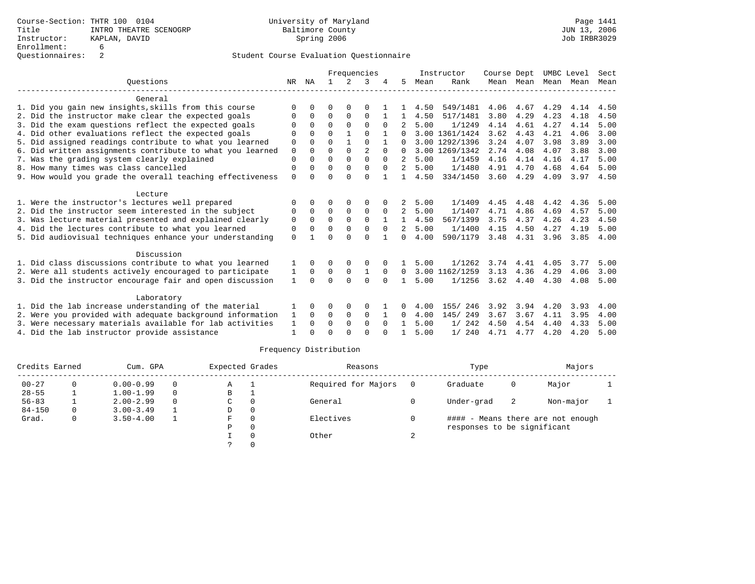|                                                                                                          |              |              |                      |                    | Frequencies             |              |                |              | Instructor         | Course Dept  |              | UMBC Level   |              | Sect         |
|----------------------------------------------------------------------------------------------------------|--------------|--------------|----------------------|--------------------|-------------------------|--------------|----------------|--------------|--------------------|--------------|--------------|--------------|--------------|--------------|
| Ouestions                                                                                                | NR           | ΝA           |                      | $2^{\circ}$        |                         |              | 5              | Mean         | Rank               |              | Mean Mean    | Mean         | Mean         | Mean         |
| General                                                                                                  |              |              |                      |                    |                         |              |                |              |                    |              |              |              |              |              |
| 1. Did you gain new insights, skills from this course                                                    | ∩            |              | O                    | $\Omega$           | $\Omega$                |              |                | 4.50         | 549/1481           | 4.06         | 4.67         | 4.29         | 4.14         | 4.50         |
| 2. Did the instructor make clear the expected goals                                                      | O            | <sup>0</sup> | $\Omega$             | $\Omega$           | $\Omega$                |              |                | 4.50         | 517/1481           | 3.80         | 4.29         | 4.23         | 4.18         | 4.50         |
| 3. Did the exam questions reflect the expected goals                                                     |              |              | $\Omega$             | $\Omega$           | $\Omega$                | $\Omega$     |                | 5.00         | 1/1249             | 4.14         | 4.61         | 4.27         | 4.14         | 5.00         |
| 4. Did other evaluations reflect the expected goals                                                      | $\Omega$     | $\Omega$     | $\Omega$             |                    | $\Omega$                |              |                |              | 3.00 1361/1424     | 3.62         | 4.43         | 4.21         | 4.06         | 3.00         |
| 5. Did assigned readings contribute to what you learned                                                  | $\Omega$     | $\Omega$     | $\Omega$             | $\mathbf{1}$       | $\Omega$                |              |                |              | 3.00 1292/1396     | 3.24         | 4.07         | 3.98         | 3.89         | 3.00         |
| 6. Did written assignments contribute to what you learned                                                | $\mathbf 0$  | <sup>0</sup> | $\Omega$             | $\Omega$           | $\mathfrak{D}$          | $\Omega$     | 0              |              | 3.00 1269/1342     | 2.74         | 4.08         | 4.07         | 3.88         | 3.00         |
| 7. Was the grading system clearly explained                                                              | $\Omega$     | 0            | $\Omega$             | $\Omega$           | $\Omega$                | $\Omega$     | 2              | 5.00         | 1/1459             | 4.16         | 4.14         | 4.16         | 4.17         | 5.00         |
| 8. How many times was class cancelled                                                                    | $\Omega$     | $\Omega$     | $\Omega$             | $\Omega$           | $\Omega$                | $\Omega$     | 2              | 5.00         | 1/1480             | 4.91         | 4.70         | 4.68         | 4.64         | 5.00         |
| 9. How would you grade the overall teaching effectiveness                                                | $\Omega$     |              | $\Omega$             | $\cap$             | $\Omega$                |              |                | 4.50         | 334/1450           | 3.60         | 4.29         | 4.09         | 3.97         | 4.50         |
| Lecture                                                                                                  |              |              |                      |                    |                         |              |                |              |                    |              |              |              |              |              |
| 1. Were the instructor's lectures well prepared                                                          | O            | 0            | 0                    | O                  | O                       |              |                | 5.00         | 1/1409             | 4.45         | 4.48         | 4.42         | 4.36         | 5.00         |
| 2. Did the instructor seem interested in the subject                                                     | $\Omega$     | $\Omega$     | $\Omega$             | $\Omega$           | $\mathbf 0$             | $\Omega$     | $\overline{a}$ | 5.00         | 1/1407             | 4.71         | 4.86         | 4.69         | 4.57         | 5.00         |
| 3. Was lecture material presented and explained clearly                                                  | $\mathbf 0$  | 0            | 0                    | 0                  | $\mathbf 0$             |              | $\mathbf{1}$   | 4.50         | 567/1399           | 3.75         | 4.37         | 4.26         | 4.23         | 4.50         |
| 4. Did the lectures contribute to what you learned                                                       | $\Omega$     | 0            | $\Omega$             | $\Omega$           | $\Omega$                | $\Omega$     | $\overline{2}$ | 5.00         | 1/1400             | 4.15         | 4.50         | 4.27         | 4.19         | 5.00         |
| 5. Did audiovisual techniques enhance your understanding                                                 | $\Omega$     |              | $\cap$               | ∩                  | $\cap$                  |              | <sup>n</sup>   | 4.00         | 590/1179           | 3.48         | 4.31         | 3.96         | 3.85         | 4.00         |
| Discussion                                                                                               |              |              |                      |                    |                         |              |                |              |                    |              |              |              |              |              |
| 1. Did class discussions contribute to what you learned                                                  |              | 0            | 0                    | 0                  | 0                       |              |                | 5.00         | 1/1262             | 3.74         | 4.41         | 4.05         | 3.77         | 5.00         |
| 2. Were all students actively encouraged to participate                                                  | ı            | $\Omega$     | 0                    | 0                  | 1                       | $\Omega$     | 0              |              | 3.00 1162/1259     | 3.13         | 4.36         | 4.29         | 4.06         | 3.00         |
| 3. Did the instructor encourage fair and open discussion                                                 | $\mathbf{1}$ | 0            | $\Omega$             | $\Omega$           | $\Omega$                | <sup>0</sup> |                | 5.00         | 1/1256             | 3.62         | 4.40         | 4.30         | 4.08         | 5.00         |
|                                                                                                          |              |              |                      |                    |                         |              |                |              |                    |              |              |              |              |              |
| Laboratory                                                                                               |              |              |                      |                    |                         |              |                |              |                    |              |              |              |              |              |
| 1. Did the lab increase understanding of the material                                                    |              | 0            | 0                    | 0                  | $\Omega$                |              | 0              | 4.00         | 246<br>155/        | 3.92         | 3.94         | 4.20         | 3.93         | 4.00         |
| 2. Were you provided with adequate background information                                                | 1            | $\Omega$     | 0                    | 0                  | $\mathbf 0$             |              | 0              | 4.00         | 145/ 249           | 3.67         | 3.67         | 4.11         | 3.95         | 4.00         |
| 3. Were necessary materials available for lab activities<br>4. Did the lab instructor provide assistance | 1<br>1       | 0            | $\Omega$<br>$\Omega$ | $\Omega$<br>$\cap$ | $\mathbf 0$<br>$\Omega$ | $\Omega$     |                | 5.00<br>5.00 | 1/242<br>240<br>1/ | 4.50<br>4.71 | 4.54<br>4.77 | 4.40<br>4.20 | 4.33<br>4.20 | 5.00<br>5.00 |
|                                                                                                          |              |              |                      |                    |                         |              |                |              |                    |              |              |              |              |              |

| Credits Earned |          | Cum. GPA      |          | Expected Grades |          | Reasons             |     | Type                        |    | Majors                            |  |
|----------------|----------|---------------|----------|-----------------|----------|---------------------|-----|-----------------------------|----|-----------------------------------|--|
| $00 - 27$      |          | $0.00 - 0.99$ | $\Omega$ | Α               |          | Required for Majors | - 0 | Graduate                    | 0  | Major                             |  |
| $28 - 55$      |          | $1.00 - 1.99$ | $\Omega$ | в               |          |                     |     |                             |    |                                   |  |
| $56 - 83$      |          | $2.00 - 2.99$ | $\Omega$ | C               | $\Omega$ | General             |     | Under-grad                  | -2 | Non-major                         |  |
| $84 - 150$     | $\Omega$ | $3.00 - 3.49$ |          | D               | 0        |                     |     |                             |    |                                   |  |
| Grad.          | 0        | $3.50 - 4.00$ |          | F.              | $\Omega$ | Electives           |     |                             |    | #### - Means there are not enough |  |
|                |          |               |          | Ρ               | $\Omega$ |                     |     | responses to be significant |    |                                   |  |
|                |          |               |          |                 |          | Other               |     |                             |    |                                   |  |
|                |          |               |          |                 |          |                     |     |                             |    |                                   |  |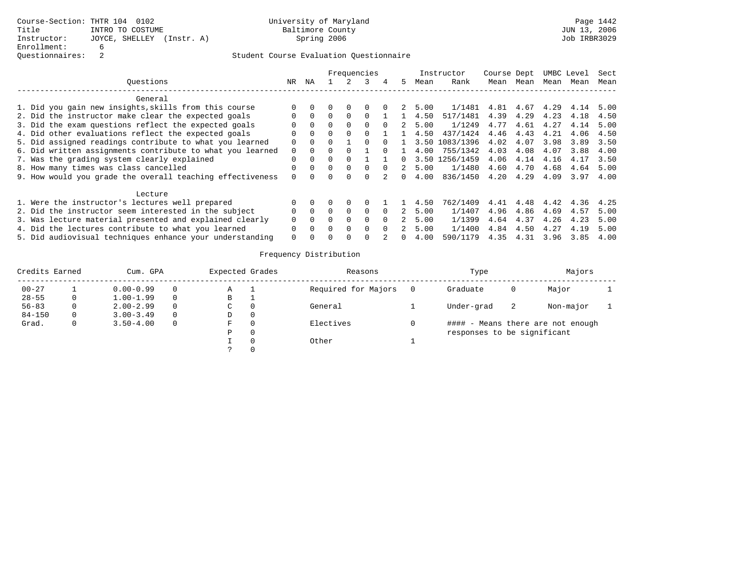|                                                           |          |          |   |              | Frequencies |          |          |      | Instructor     | Course Dept |      |      | UMBC Level | Sect |
|-----------------------------------------------------------|----------|----------|---|--------------|-------------|----------|----------|------|----------------|-------------|------|------|------------|------|
| Ouestions                                                 | NR.      | ΝA       |   |              |             | 4        | 5.       | Mean | Rank           | Mean        | Mean | Mean | Mean       | Mean |
| General                                                   |          |          |   |              |             |          |          |      |                |             |      |      |            |      |
| 1. Did you gain new insights, skills from this course     |          |          |   | $\Omega$     |             |          |          | 5.00 | 1/1481         | 4.81        | 4.67 | 4.29 | 4.14       | 5.00 |
| 2. Did the instructor make clear the expected goals       |          | $\Omega$ |   | $\Omega$     |             |          |          | 4.50 | 517/1481       | 4.39        | 4.29 | 4.23 | 4.18       | 4.50 |
| 3. Did the exam questions reflect the expected goals      |          | $\Omega$ |   | <sup>0</sup> |             |          |          | 5.00 | 1/1249         | 4.77        | 4.61 | 4.27 | 4.14       | 5.00 |
| 4. Did other evaluations reflect the expected goals       |          | $\Omega$ |   | $\Omega$     |             |          |          | 4.50 | 437/1424       | 4.46        | 4.43 | 4.21 | 4.06       | 4.50 |
| 5. Did assigned readings contribute to what you learned   | 0        | $\Omega$ | U |              |             | n.       |          |      | 3.50 1083/1396 | 4.02        | 4.07 | 3.98 | 3.89       | 3.50 |
| 6. Did written assignments contribute to what you learned | $\Omega$ | $\Omega$ |   |              |             |          |          | 4.00 | 755/1342       | 4.03        | 4.08 | 4.07 | 3.88       | 4.00 |
| 7. Was the grading system clearly explained               | 0        | $\Omega$ |   |              |             |          | 0.       |      | 3.50 1256/1459 | 4.06        | 4.14 | 4.16 | 4.17       | 3.50 |
| 8. How many times was class cancelled                     |          | $\Omega$ | 0 | $\Omega$     | $\Omega$    | $\cap$   |          | 5.00 | 1/1480         | 4.60        | 4.70 | 4.68 | 4.64       | 5.00 |
| 9. How would you grade the overall teaching effectiveness | 0        |          |   | 0            |             |          | 0.       | 4.00 | 836/1450       | 4.20        | 4.29 | 4.09 | 3.97       | 4.00 |
| Lecture                                                   |          |          |   |              |             |          |          |      |                |             |      |      |            |      |
| 1. Were the instructor's lectures well prepared           |          |          |   | $\Omega$     |             |          |          | 4.50 | 762/1409       | 4.41        | 4.48 | 4.42 | 4.36       | 4.25 |
| 2. Did the instructor seem interested in the subject      |          | $\Omega$ | 0 | $\Omega$     | 0           | $\Omega$ | 2.       | 5.00 | 1/1407         | 4.96        | 4.86 | 4.69 | 4.57       | 5.00 |
| 3. Was lecture material presented and explained clearly   |          | $\Omega$ |   | $\Omega$     | $\Omega$    |          |          | 5.00 | 1/1399         | 4.64        | 4.37 | 4.26 | 4.23       | 5.00 |
| 4. Did the lectures contribute to what you learned        |          | $\Omega$ |   | $\Omega$     | $\Omega$    | $\Omega$ | 2        | 5.00 | 1/1400         | 4.84        | 4.50 | 4.27 | 4.19       | 5.00 |
| 5. Did audiovisual techniques enhance your understanding  | 0        |          |   | 0            |             |          | $\Omega$ | 4.00 | 590/1179       | 4.35        | 4.31 | 3.96 | 3.85       | 4.00 |

| Credits Earned |   | Cum. GPA      |          | Expected Grades | Reasons             | Type                        |    | Majors                            |  |
|----------------|---|---------------|----------|-----------------|---------------------|-----------------------------|----|-----------------------------------|--|
| $00 - 27$      |   | $0.00 - 0.99$ | 0        | Α               | Required for Majors | Graduate                    | O  | Major                             |  |
| $28 - 55$      | 0 | $1.00 - 1.99$ | $\Omega$ | В               |                     |                             |    |                                   |  |
| $56 - 83$      |   | $2.00 - 2.99$ | $\Omega$ | C               | General             | Under-grad                  | -2 | Non-major                         |  |
| $84 - 150$     | 0 | $3.00 - 3.49$ | $\Omega$ | D               |                     |                             |    |                                   |  |
| Grad.          |   | $3.50 - 4.00$ | $\Omega$ | F               | Electives           |                             |    | #### - Means there are not enough |  |
|                |   |               |          | P               |                     | responses to be significant |    |                                   |  |
|                |   |               |          |                 | Other               |                             |    |                                   |  |
|                |   |               |          |                 |                     |                             |    |                                   |  |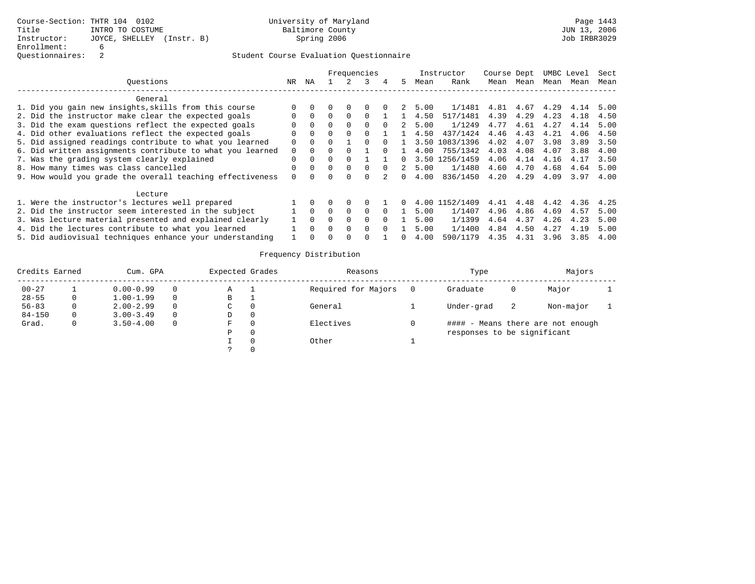|                                                    |                                                           |          |          |   |              | Frequencies  |          |    |      | Instructor     | Course Dept |      |      | UMBC Level | Sect |
|----------------------------------------------------|-----------------------------------------------------------|----------|----------|---|--------------|--------------|----------|----|------|----------------|-------------|------|------|------------|------|
|                                                    | Ouestions                                                 | NR       | ΝA       |   |              |              | 4        | 5. | Mean | Rank           | Mean        | Mean | Mean | Mean       | Mean |
|                                                    | General                                                   |          |          |   |              |              |          |    |      |                |             |      |      |            |      |
|                                                    | 1. Did you gain new insights, skills from this course     |          |          |   | $\Omega$     |              |          |    | 5.00 | 1/1481         | 4.81        | 4.67 | 4.29 | 4.14       | 5.00 |
|                                                    | 2. Did the instructor make clear the expected goals       |          | $\Omega$ |   | $\Omega$     |              |          |    | 4.50 | 517/1481       | 4.39        | 4.29 | 4.23 | 4.18       | 4.50 |
|                                                    | 3. Did the exam questions reflect the expected goals      |          | $\Omega$ |   | <sup>0</sup> |              |          |    | 5.00 | 1/1249         | 4.77        | 4.61 | 4.27 | 4.14       | 5.00 |
|                                                    | 4. Did other evaluations reflect the expected goals       |          | $\Omega$ | 0 | $\Omega$     |              |          |    | 4.50 | 437/1424       | 4.46        | 4.43 | 4.21 | 4.06       | 4.50 |
|                                                    | 5. Did assigned readings contribute to what you learned   | 0        | $\Omega$ |   |              |              |          |    |      | 3.50 1083/1396 | 4.02        | 4.07 | 3.98 | 3.89       | 3.50 |
|                                                    | 6. Did written assignments contribute to what you learned | $\Omega$ | $\Omega$ |   |              |              |          |    | 4.00 | 755/1342       | 4.03        | 4.08 | 4.07 | 3.88       | 4.00 |
|                                                    | 7. Was the grading system clearly explained               |          | $\Omega$ |   |              |              |          | 0. |      | 3.50 1256/1459 | 4.06        | 4.14 | 4.16 | 4.17       | 3.50 |
|                                                    | 8. How many times was class cancelled                     |          | $\Omega$ | 0 | $\Omega$     | <sup>n</sup> | $\cap$   |    | 5.00 | 1/1480         | 4.60        | 4.70 | 4.68 | 4.64       | 5.00 |
|                                                    | 9. How would you grade the overall teaching effectiveness |          |          |   |              |              |          | 0. | 4.00 | 836/1450       | 4.20        | 4.29 | 4.09 | 3.97       | 4.00 |
|                                                    | Lecture                                                   |          |          |   |              |              |          |    |      |                |             |      |      |            |      |
|                                                    | 1. Were the instructor's lectures well prepared           |          |          |   | $\Omega$     |              |          | 0  |      | 4.00 1152/1409 | 4.41        | 4.48 | 4.42 | 4.36       | 4.25 |
|                                                    | 2. Did the instructor seem interested in the subject      |          | $\Omega$ | 0 | $\Omega$     | $\Omega$     |          |    | 5.00 | 1/1407         | 4.96        | 4.86 | 4.69 | 4.57       | 5.00 |
|                                                    | 3. Was lecture material presented and explained clearly   |          | $\Omega$ |   | $\Omega$     | $\Omega$     |          |    | 5.00 | 1/1399         | 4.64        | 4.37 | 4.26 | 4.23       | 5.00 |
| 4. Did the lectures contribute to what you learned |                                                           |          |          |   | $\Omega$     | $\Omega$     | $\Omega$ |    | 5.00 | 1/1400         | 4.84        | 4.50 | 4.27 | 4.19       | 5.00 |
|                                                    | 5. Did audiovisual techniques enhance your understanding  |          |          |   | 0            |              |          | 0. | 4.00 | 590/1179       | 4.35        | 4.31 | 3.96 | 3.85       | 4.00 |

| Credits Earned |   | Cum. GPA      |          | Expected Grades |          | Reasons             | Type                        |    | Majors                            |  |
|----------------|---|---------------|----------|-----------------|----------|---------------------|-----------------------------|----|-----------------------------------|--|
| $00 - 27$      |   | $0.00 - 0.99$ | 0        | Α               |          | Required for Majors | Graduate                    | O  | Major                             |  |
| $28 - 55$      |   | $1.00 - 1.99$ | 0        | В               |          |                     |                             |    |                                   |  |
| $56 - 83$      |   | $2.00 - 2.99$ | $\Omega$ | C.              |          | General             | Under-grad                  | -2 | Non-major                         |  |
| $84 - 150$     | 0 | $3.00 - 3.49$ | $\Omega$ | D               |          |                     |                             |    |                                   |  |
| Grad.          | 0 | $3.50 - 4.00$ | $\Omega$ | F               |          | Electives           |                             |    | #### - Means there are not enough |  |
|                |   |               |          | P               | $\Omega$ |                     | responses to be significant |    |                                   |  |
|                |   |               |          |                 |          | Other               |                             |    |                                   |  |
|                |   |               |          |                 |          |                     |                             |    |                                   |  |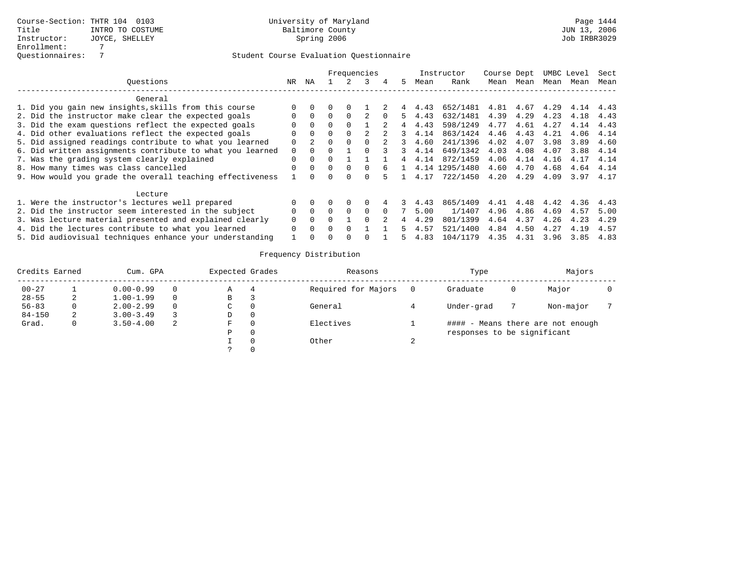|                                                           |              |          |          |          | Frequencies  |    |    |      | Instructor     | Course Dept |      |      | UMBC Level | Sect |
|-----------------------------------------------------------|--------------|----------|----------|----------|--------------|----|----|------|----------------|-------------|------|------|------------|------|
| Ouestions                                                 | NR           | ΝA       |          |          |              | 4  | 5. | Mean | Rank           | Mean        | Mean | Mean | Mean       | Mean |
| General                                                   |              |          |          |          |              |    |    |      |                |             |      |      |            |      |
| 1. Did you gain new insights, skills from this course     |              |          |          | 0        |              |    |    | 4.43 | 652/1481       | 4.81        | 4.67 | 4.29 | 4.14       | 4.43 |
| 2. Did the instructor make clear the expected goals       |              | $\Omega$ |          |          |              |    |    | 4.43 | 632/1481       | 4.39        | 4.29 | 4.23 | 4.18       | 4.43 |
| 3. Did the exam questions reflect the expected goals      |              | $\Omega$ |          |          |              |    |    | 4.43 | 598/1249       | 4.77        | 4.61 | 4.27 | 4.14       | 4.43 |
| 4. Did other evaluations reflect the expected goals       | U            | $\Omega$ | 0        | $\Omega$ |              |    |    | 4.14 | 863/1424       | 4.46        | 4.43 | 4.21 | 4.06       | 4.14 |
| 5. Did assigned readings contribute to what you learned   | 0            |          | 0        | $\Omega$ |              |    |    | 4.60 | 241/1396       | 4.02        | 4.07 | 3.98 | 3.89       | 4.60 |
| 6. Did written assignments contribute to what you learned | 0            | $\Omega$ |          |          |              |    |    | 4.14 | 649/1342       | 4.03        | 4.08 | 4.07 | 3.88       | 4.14 |
| 7. Was the grading system clearly explained               |              | $\Omega$ |          |          |              |    |    | 4.14 | 872/1459       | 4.06        | 4.14 | 4.16 | 4.17       | 4.14 |
| 8. How many times was class cancelled                     |              |          |          | $\Omega$ | 0            | б. |    |      | 4.14 1295/1480 | 4.60        | 4.70 | 4.68 | 4.64       | 4.14 |
| 9. How would you grade the overall teaching effectiveness |              |          |          |          |              |    |    | 4.17 | 722/1450       | 4.20        | 4.29 | 4.09 | 3.97       | 4.17 |
| Lecture                                                   |              |          |          |          |              |    |    |      |                |             |      |      |            |      |
| 1. Were the instructor's lectures well prepared           | <sup>n</sup> |          |          | 0        |              |    |    | 4.43 | 865/1409       | 4.41        | 4.48 | 4.42 | 4.36       | 4.43 |
| 2. Did the instructor seem interested in the subject      | 0            | $\Omega$ | $\Omega$ | $\Omega$ | <sup>0</sup> |    |    | 5.00 | 1/1407         | 4.96        | 4.86 | 4.69 | 4.57       | 5.00 |
| 3. Was lecture material presented and explained clearly   | 0            | $\Omega$ |          |          |              |    |    | 4.29 | 801/1399       | 4.64        | 4.37 | 4.26 | 4.23       | 4.29 |
| 4. Did the lectures contribute to what you learned        | $\Omega$     | $\Omega$ |          | $\Omega$ |              |    |    | 4.57 | 521/1400       | 4.84        | 4.50 | 4.27 | 4.19       | 4.57 |
| 5. Did audiovisual techniques enhance your understanding  |              |          |          |          |              |    |    | 4.83 | 104/1179       | 4.35        | 4.31 | 3.96 | 3.85       | 4.83 |

| Credits Earned |    | Cum. GPA      |          | Expected Grades | Reasons             |   | Type                        |   | Majors                            |  |
|----------------|----|---------------|----------|-----------------|---------------------|---|-----------------------------|---|-----------------------------------|--|
| $00 - 27$      |    | $0.00 - 0.99$ | 0        | Α               | Required for Majors |   | Graduate                    | O | Major                             |  |
| $28 - 55$      | z. | $1.00 - 1.99$ | $\Omega$ | В               |                     |   |                             |   |                                   |  |
| $56 - 83$      |    | $2.00 - 2.99$ | $\Omega$ | C               | General             |   | Under-grad                  |   | Non-major                         |  |
| $84 - 150$     | 2  | $3.00 - 3.49$ |          | D               |                     |   |                             |   |                                   |  |
| Grad.          |    | $3.50 - 4.00$ | 2        | F               | Electives           |   |                             |   | #### - Means there are not enough |  |
|                |    |               |          | P               |                     |   | responses to be significant |   |                                   |  |
|                |    |               |          |                 | Other               | ∠ |                             |   |                                   |  |
|                |    |               |          |                 |                     |   |                             |   |                                   |  |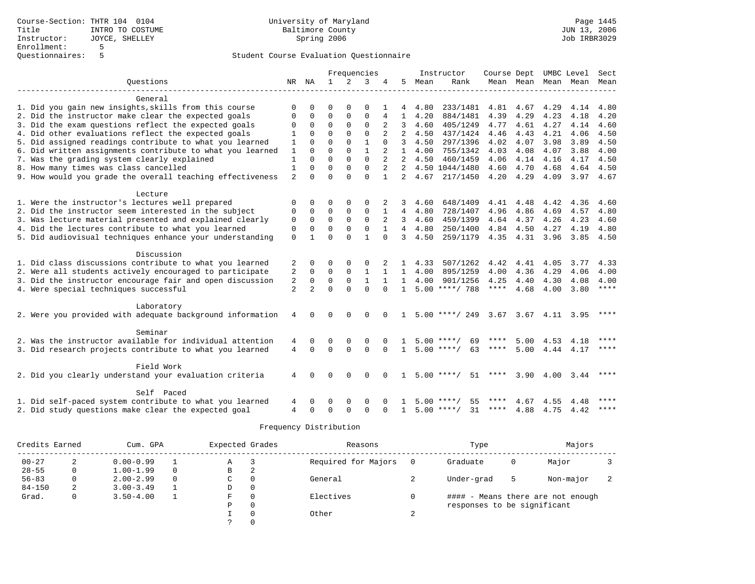|                                                           |                |                |                |              | Frequencies  |              |                |                | Instructor         | Course Dept UMBC Level |                     |      |                          | Sect        |
|-----------------------------------------------------------|----------------|----------------|----------------|--------------|--------------|--------------|----------------|----------------|--------------------|------------------------|---------------------|------|--------------------------|-------------|
| Ouestions                                                 |                | NR NA          | $\overline{1}$ | 2            | 3            | 4            | .5             | Mean           | Rank               |                        |                     |      | Mean Mean Mean Mean Mean |             |
|                                                           |                |                |                |              |              |              |                |                |                    |                        |                     |      |                          |             |
| General                                                   |                |                |                |              |              |              |                |                |                    |                        |                     |      |                          |             |
| 1. Did you gain new insights, skills from this course     |                |                | ∩              |              | $\Omega$     |              |                | 4.80           | 233/1481           | 4.81                   | 4.67                | 4.29 | 4.14                     | 4.80        |
| 2. Did the instructor make clear the expected goals       | $\Omega$       | $\Omega$       | $\Omega$       | $\Omega$     | $\Omega$     | 4            | $\mathbf{1}$   | 4.20           | 884/1481           | 4.39                   | 4.29                | 4.23 | 4.18                     | 4.20        |
| 3. Did the exam questions reflect the expected goals      | 0              | $\mathbf 0$    | $\mathbf 0$    | $\mathbf{0}$ | $\mathbf 0$  | 2            | 3              | 4.60           | 405/1249           | 4.77                   | 4.61                | 4.27 | 4.14                     | 4.60        |
| 4. Did other evaluations reflect the expected goals       |                | $\Omega$       | $\Omega$       | $\Omega$     | $\Omega$     |              | $\overline{2}$ | 4.50           | 437/1424           | 4.46                   | 4.43                | 4.21 | 4.06                     | 4.50        |
| 5. Did assigned readings contribute to what you learned   | $\mathbf{1}$   | $\Omega$       | $\Omega$       | $\Omega$     | $\mathbf{1}$ | $\Omega$     | 3              | 4.50           | 297/1396           | 4.02                   | 4.07                | 3.98 | 3.89                     | 4.50        |
| 6. Did written assignments contribute to what you learned | $\mathbf{1}$   | $\Omega$       | $\Omega$       | $\Omega$     | 1            |              | $\mathbf{1}$   | 4.00           | 755/1342           | 4.03                   | 4.08                | 4.07 | 3.88                     | 4.00        |
| 7. Was the grading system clearly explained               | 1              | $\Omega$       | $\Omega$       | $\Omega$     | $\Omega$     |              | 2              | 4.50           | 460/1459           | 4.06                   | 4.14                | 4.16 | 4.17                     | 4.50        |
| 8. How many times was class cancelled                     | 1              | $\Omega$       | $\Omega$       | $\Omega$     | $\Omega$     |              | 2              |                | 4.50 1044/1480     | 4.60                   | 4.70                | 4.68 | 4.64                     | 4.50        |
| 9. How would you grade the overall teaching effectiveness | 2              | $\cap$         | $\cap$         | $\Omega$     | $\Omega$     | $\mathbf{1}$ | $\overline{2}$ | 4.67           | 217/1450           | 4.20                   | 4.29                | 4.09 | 3.97 4.67                |             |
| Lecture                                                   |                |                |                |              |              |              |                |                |                    |                        |                     |      |                          |             |
| 1. Were the instructor's lectures well prepared           |                | $\Omega$       | $\Omega$       | $\Omega$     |              |              | 3              | 4.60           | 648/1409           | 4.41                   | 4.48                | 4.42 | 4.36                     | 4.60        |
| 2. Did the instructor seem interested in the subject      | 0              | $\mathbf 0$    | $\Omega$       | $\Omega$     | $\Omega$     | 1            | $\overline{4}$ | 4.80           | 728/1407           | 4.96                   | 4.86                | 4.69 | 4.57                     | 4.80        |
| 3. Was lecture material presented and explained clearly   | $\mathbf 0$    | $\mathbf 0$    | $\mathbf 0$    | $\Omega$     | $\Omega$     | 2            | 3              | 4.60           | 459/1399           | 4.64                   | 4.37                | 4.26 | 4.23                     | 4.60        |
| 4. Did the lectures contribute to what you learned        | $\mathbf 0$    | $\Omega$       | $\Omega$       | $\Omega$     | $\Omega$     |              | $\overline{4}$ | 4.80           | 250/1400           |                        | 4.84 4.50           | 4.27 | 4.19                     | 4.80        |
| 5. Did audiovisual techniques enhance your understanding  | $\mathbf 0$    |                | $\Omega$       | $\cap$       | 1            | $\cap$       | 3              | 4.50           | 259/1179           |                        | 4.35 4.31           | 3.96 | 3.85                     | 4.50        |
|                                                           |                |                |                |              |              |              |                |                |                    |                        |                     |      |                          |             |
| Discussion                                                |                |                |                |              |              |              |                |                |                    |                        |                     |      |                          |             |
| 1. Did class discussions contribute to what you learned   | 2              | 0              | $\Omega$       | $\Omega$     | $\Omega$     |              | 1              | 4.33           | 507/1262           | 4.42                   | 4.41                | 4.05 | 3.77                     | 4.33        |
| 2. Were all students actively encouraged to participate   | 2              | $\mathbf 0$    | $\mathbf 0$    | $\Omega$     | $\mathbf{1}$ | 1            |                | $1 \quad 4.00$ | 895/1259           | 4.00                   | 4.36                | 4.29 | 4.06                     | 4.00        |
| 3. Did the instructor encourage fair and open discussion  | 2              | $\mathbf 0$    | $\Omega$       | $\Omega$     | $\mathbf{1}$ | $\mathbf{1}$ | $\mathbf{1}$   | 4.00           | 901/1256           | 4.25                   | 4.40                | 4.30 | 4.08                     | 4.00        |
| 4. Were special techniques successful                     | $\overline{a}$ | $\overline{a}$ | $\Omega$       | $\Omega$     | $\Omega$     | $\Omega$     | $\mathbf{1}$   |                | $5.00$ ****/ 788   | $***$ * * *            | 4.68                | 4.00 | 3.80                     | $***$ * * * |
| Laboratory                                                |                |                |                |              |              |              |                |                |                    |                        |                     |      |                          |             |
|                                                           |                | $\Omega$       | $\Omega$       | $\Omega$     |              |              |                |                | $5.00$ ****/ 249   |                        |                     |      |                          | ****        |
| 2. Were you provided with adequate background information | 4              |                |                |              | $\Omega$     |              |                |                |                    |                        | 3.67 3.67 4.11 3.95 |      |                          |             |
| Seminar                                                   |                |                |                |              |              |              |                |                |                    |                        |                     |      |                          |             |
| 2. Was the instructor available for individual attention  | 4              | $\Omega$       | $\Omega$       | $\Omega$     | $\Omega$     |              |                |                | $5.00$ ****<br>69  |                        | 5.00                | 4.53 | 4.18                     | ****        |
| 3. Did research projects contribute to what you learned   | $\overline{4}$ | $\Omega$       | $\Omega$       | $\Omega$     | $\Omega$     | $\Omega$     | $\mathbf{1}$   |                | $5.00$ ****/<br>63 | ****                   | 5.00                | 4.44 | 4.17                     | $***$       |
| Field Work                                                |                |                |                |              |              |              |                |                |                    |                        |                     |      |                          |             |
| 2. Did you clearly understand your evaluation criteria    | 4              |                | $\Omega$       | $\Omega$     | $\Omega$     | $\Omega$     | $\mathbf{1}$   |                | $5.00$ ****/<br>51 | ****                   | 3.90                | 4.00 | 3.44                     | ****        |
|                                                           |                |                |                |              |              |              |                |                |                    |                        |                     |      |                          |             |
| Self Paced                                                |                |                |                |              |              |              |                |                |                    |                        |                     |      |                          |             |
| 1. Did self-paced system contribute to what you learned   |                |                | $\Omega$       | $\Omega$     | $\Omega$     |              |                | 5.00           | 55<br>****/        | ****                   | 4.67                | 4.55 | 4.48                     | ****        |
| 2. Did study questions make clear the expected goal       | 4              | $\Omega$       | $\Omega$       | $\cap$       | $\Omega$     | $\Omega$     | $\mathbf{1}$   |                | $5.00$ ****/<br>31 | ****                   | 4.88                |      | 4.75 4.42                | ****        |

| Credits Earned |   | Cum. GPA      |          | Expected Grades |          | Reasons             |             | Type                        |   | Majors                            |  |
|----------------|---|---------------|----------|-----------------|----------|---------------------|-------------|-----------------------------|---|-----------------------------------|--|
| $00 - 27$      | A | $0.00 - 0.99$ |          | Α               |          | Required for Majors |             | Graduate                    | 0 | Major                             |  |
| $28 - 55$      |   | $1.00 - 1.99$ | $\Omega$ | В               | 2        |                     |             |                             |   |                                   |  |
| $56 - 83$      |   | $2.00 - 2.99$ | $\Omega$ | C               | $\Omega$ | General             |             | Under-grad                  | 5 | Non-major                         |  |
| $84 - 150$     | 2 | $3.00 - 3.49$ |          | D               | 0        |                     |             |                             |   |                                   |  |
| Grad.          |   | $3.50 - 4.00$ |          | F               | $\Omega$ | Electives           |             |                             |   | #### - Means there are not enough |  |
|                |   |               |          | Ρ               | $\Omega$ |                     |             | responses to be significant |   |                                   |  |
|                |   |               |          |                 | $\Omega$ | Other               | $\sim$<br>∠ |                             |   |                                   |  |
|                |   |               |          |                 | $\Omega$ |                     |             |                             |   |                                   |  |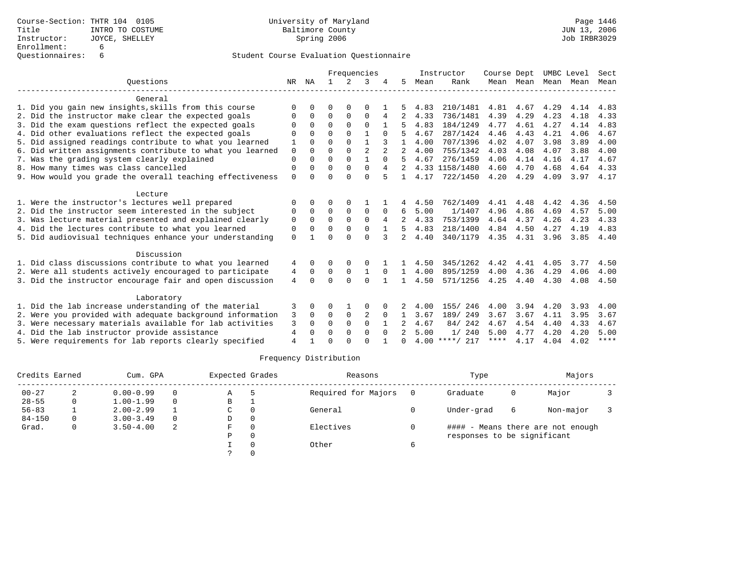|                                                           |             |             |          |             | Frequencies    |          |              |      | Instructor       | Course Dept |           | UMBC Level |      | Sect        |
|-----------------------------------------------------------|-------------|-------------|----------|-------------|----------------|----------|--------------|------|------------------|-------------|-----------|------------|------|-------------|
| Ouestions                                                 | NR          | ΝA          |          | $2^{\circ}$ | 3              |          | 5            | Mean | Rank             |             | Mean Mean | Mean       | Mean | Mean        |
| General                                                   |             |             |          |             |                |          |              |      |                  |             |           |            |      |             |
| 1. Did you gain new insights, skills from this course     |             |             | ∩        |             | ∩              |          |              | 4.83 | 210/1481         | 4.81        | 4.67      | 4.29       | 4.14 | 4.83        |
| 2. Did the instructor make clear the expected goals       | O           | $\Omega$    | $\Omega$ | $\Omega$    | $\Omega$       | 4        | 2            | 4.33 | 736/1481         | 4.39        | 4.29      | 4.23       | 4.18 | 4.33        |
| 3. Did the exam questions reflect the expected goals      | $\Omega$    | $\Omega$    | $\Omega$ | $\Omega$    | $\Omega$       |          | 5            | 4.83 | 184/1249         | 4.77        | 4.61      | 4.27       | 4.14 | 4.83        |
| 4. Did other evaluations reflect the expected goals       |             | $\cap$      | $\Omega$ | $\Omega$    |                |          | 5            | 4.67 | 287/1424         | 4.46        | 4.43      | 4.21       | 4.06 | 4.67        |
| 5. Did assigned readings contribute to what you learned   |             |             | $\Omega$ |             |                |          |              | 4.00 | 707/1396         | 4.02        | 4.07      | 3.98       | 3.89 | 4.00        |
| 6. Did written assignments contribute to what you learned | $\mathbf 0$ | $\Omega$    | $\Omega$ | $\Omega$    | $\overline{2}$ |          |              | 4.00 | 755/1342         | 4.03        | 4.08      | 4.07       | 3.88 | 4.00        |
| 7. Was the grading system clearly explained               | $\Omega$    | $\cap$      | $\Omega$ | $\Omega$    | 1              | $\Omega$ | 5            | 4.67 | 276/1459         | 4.06        | 4.14      | 4.16       | 4.17 | 4.67        |
| 8. How many times was class cancelled                     | $\Omega$    |             | $\Omega$ | $\Omega$    | $\Omega$       |          |              |      | 4.33 1158/1480   | 4.60        | 4.70      | 4.68       | 4.64 | 4.33        |
| 9. How would you grade the overall teaching effectiveness | $\Omega$    |             | $\Omega$ | $\cap$      | $\Omega$       |          |              | 4.17 | 722/1450         | 4.20        | 4.29      | 4.09       | 3.97 | 4.17        |
| Lecture                                                   |             |             |          |             |                |          |              |      |                  |             |           |            |      |             |
| 1. Were the instructor's lectures well prepared           | $\Omega$    | $\Omega$    | $\Omega$ | $\Omega$    |                |          |              | 4.50 | 762/1409         | 4.41        | 4.48      | 4.42       | 4.36 | 4.50        |
| 2. Did the instructor seem interested in the subject      | 0           | $\Omega$    | $\Omega$ | $\Omega$    | $\Omega$       | 0        | 6            | 5.00 | 1/1407           | 4.96        | 4.86      | 4.69       | 4.57 | 5.00        |
| 3. Was lecture material presented and explained clearly   | $\mathbf 0$ | $\Omega$    | $\Omega$ | $\Omega$    | $\Omega$       |          |              | 4.33 | 753/1399         | 4.64        | 4.37      | 4.26       | 4.23 | 4.33        |
| 4. Did the lectures contribute to what you learned        | 0           | $\Omega$    | $\Omega$ | $\Omega$    | $\Omega$       |          | 5            | 4.83 | 218/1400         | 4.84        | 4.50      | 4.27       | 4.19 | 4.83        |
| 5. Did audiovisual techniques enhance your understanding  | $\Omega$    |             | ∩        | $\cap$      | $\cap$         | 3        | $2^{\circ}$  | 4.40 | 340/1179         | 4.35        | 4.31      | 3.96       | 3.85 | 4.40        |
| Discussion                                                |             |             |          |             |                |          |              |      |                  |             |           |            |      |             |
| 1. Did class discussions contribute to what you learned   | 4           | $\Omega$    | 0        | $\Omega$    | $\Omega$       |          |              | 4.50 | 345/1262         | 4.42        | 4.41      | 4.05       | 3.77 | 4.50        |
| 2. Were all students actively encouraged to participate   | 4           | $\mathbf 0$ | 0        | $\mathbf 0$ |                |          | 1            | 4.00 | 895/1259         | 4.00        | 4.36      | 4.29       | 4.06 | 4.00        |
| 3. Did the instructor encourage fair and open discussion  | 4           | $\Omega$    | $\Omega$ | $\cap$      | $\Omega$       |          | $\mathbf{1}$ | 4.50 | 571/1256         | 4.25        | 4.40      | 4.30       | 4.08 | 4.50        |
| Laboratory                                                |             |             |          |             |                |          |              |      |                  |             |           |            |      |             |
| 1. Did the lab increase understanding of the material     | 3           |             |          |             | 0              |          |              | 4.00 | 155/ 246         | 4.00        | 3.94      | 4.20       | 3.93 | 4.00        |
| 2. Were you provided with adequate background information | 3           | $\Omega$    | $\Omega$ | 0           | 2              | $\Omega$ |              | 3.67 | 189/ 249         | 3.67        | 3.67      | 4.11       | 3.95 | 3.67        |
| 3. Were necessary materials available for lab activities  | 3           | $\Omega$    | $\Omega$ | $\Omega$    | $\Omega$       |          |              | 4.67 | 84/242           | 4.67        | 4.54      | 4.40       | 4.33 | 4.67        |
| 4. Did the lab instructor provide assistance              | 4           | $\Omega$    | $\Omega$ | $\Omega$    | $\Omega$       | $\Omega$ | 2            | 5.00 | 1/240            | 5.00        | 4.77      | 4.20       | 4.20 | 5.00        |
| 5. Were requirements for lab reports clearly specified    | 4           |             | ∩        |             | $\cap$         |          | $\cap$       |      | $4.00$ ****/ 217 | ****        | 4.17      | 4.04       | 4.02 | $***$ * * * |
|                                                           |             |             |          |             |                |          |              |      |                  |             |           |            |      |             |

| Credits Earned |          | Cum. GPA      |          | Expected Grades |          | Reasons             |     | Type                        |   | Majors                            |  |
|----------------|----------|---------------|----------|-----------------|----------|---------------------|-----|-----------------------------|---|-----------------------------------|--|
| $00 - 27$      | 2        | $0.00 - 0.99$ | $\Omega$ | Α               |          | Required for Majors | - 0 | Graduate                    | 0 | Major                             |  |
| $28 - 55$      | 0        | $1.00 - 1.99$ | $\Omega$ | в               |          |                     |     |                             |   |                                   |  |
| $56 - 83$      |          | $2.00 - 2.99$ |          | C               | $\Omega$ | General             |     | Under-grad                  | 6 | Non-major                         |  |
| $84 - 150$     | $\Omega$ | $3.00 - 3.49$ | $\Omega$ | D               | 0        |                     |     |                             |   |                                   |  |
| Grad.          | $\Omega$ | $3.50 - 4.00$ | 2        | F.              | $\Omega$ | Electives           |     |                             |   | #### - Means there are not enough |  |
|                |          |               |          | Ρ               | 0        |                     |     | responses to be significant |   |                                   |  |
|                |          |               |          |                 |          | Other               | 6   |                             |   |                                   |  |
|                |          |               |          |                 |          |                     |     |                             |   |                                   |  |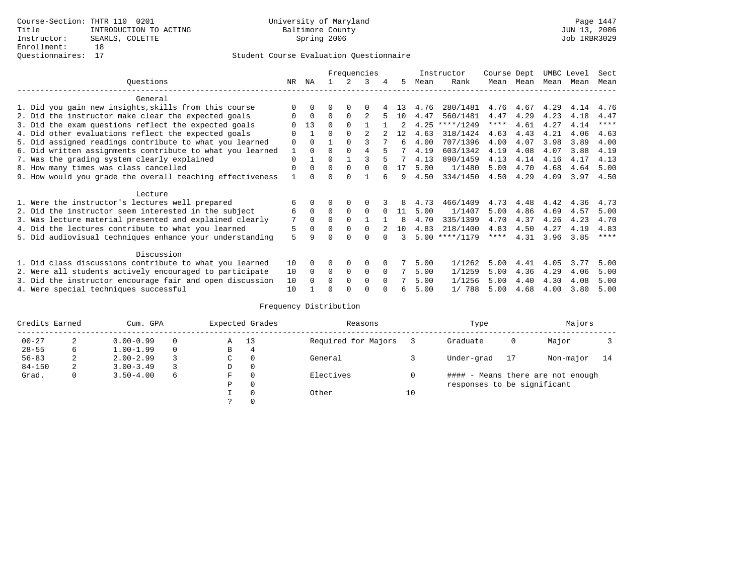|                                                           |             |          |          |          | Frequencies |              |     |      | Instructor       | Course Dept |      | UMBC Level |      | Sect        |
|-----------------------------------------------------------|-------------|----------|----------|----------|-------------|--------------|-----|------|------------------|-------------|------|------------|------|-------------|
| Questions                                                 | NR          | ΝA       |          |          | २           | 4            | 5   | Mean | Rank             | Mean        | Mean | Mean       | Mean | Mean        |
| General                                                   |             |          |          |          |             |              |     |      |                  |             |      |            |      |             |
| 1. Did you gain new insights, skills from this course     |             |          |          |          |             |              | 13. | 4.76 | 280/1481         | 4.76        | 4.67 | 4.29       | 4.14 | 4.76        |
| 2. Did the instructor make clear the expected goals       |             | $\Omega$ | $\Omega$ | $\Omega$ |             |              | 1 O | 4.47 | 560/1481         | 4.47        | 4.29 | 4.23       | 4.18 | 4.47        |
| 3. Did the exam questions reflect the expected goals      |             | 13       | $\Omega$ | $\Omega$ |             |              |     | 4.25 | $***/1249$       | ****        | 4.61 | 4.27       | 4.14 | $***$ * * * |
| 4. Did other evaluations reflect the expected goals       | $\Omega$    |          | $\Omega$ | $\Omega$ |             |              | 12  | 4.63 | 318/1424         | 4.63        | 4.43 | 4.21       | 4.06 | 4.63        |
| 5. Did assigned readings contribute to what you learned   | $\mathbf 0$ | $\Omega$ |          |          | ς           |              | 6   | 4.00 | 707/1396         | 4.00        | 4.07 | 3.98       | 3.89 | 4.00        |
| 6. Did written assignments contribute to what you learned |             | $\Omega$ | U        |          | 4           |              |     | 4.19 | 603/1342         | 4.19        | 4.08 | 4.07       | 3.88 | 4.19        |
| 7. Was the grading system clearly explained               | $\Omega$    |          | 0        |          |             |              |     | 4.13 | 890/1459         | 4.13        | 4.14 | 4.16       | 4.17 | 4.13        |
| 8. How many times was class cancelled                     | $\Omega$    | $\Omega$ | $\Omega$ | $\Omega$ | $\Omega$    |              | 17  | 5.00 | 1/1480           | 5.00        | 4.70 | 4.68       | 4.64 | 5.00        |
| 9. How would you grade the overall teaching effectiveness |             |          |          |          |             |              | q   | 4.50 | 334/1450         | 4.50        | 4.29 | 4.09       | 3.97 | 4.50        |
| Lecture                                                   |             |          |          |          |             |              |     |      |                  |             |      |            |      |             |
| 1. Were the instructor's lectures well prepared           | 6           |          |          |          |             |              |     | 4.73 | 466/1409         | 4.73        | 4.48 | 4.42       | 4.36 | 4.73        |
| 2. Did the instructor seem interested in the subject      | 6           | $\Omega$ | $\Omega$ | $\Omega$ | $\Omega$    | <sup>0</sup> | 11  | 5.00 | 1/1407           | 5.00        | 4.86 | 4.69       | 4.57 | 5.00        |
| 3. Was lecture material presented and explained clearly   | 7           | $\Omega$ |          |          |             |              | 8   | 4.70 | 335/1399         | 4.70        | 4.37 | 4.26       | 4.23 | 4.70        |
| 4. Did the lectures contribute to what you learned        | 5           | $\Omega$ | 0        | $\Omega$ |             |              | 10  | 4.83 | 218/1400         | 4.83        | 4.50 | 4.27       | 4.19 | 4.83        |
| 5. Did audiovisual techniques enhance your understanding  | 5           | a        |          |          |             |              |     |      | $5.00$ ****/1179 | ****        | 4.31 | 3.96       | 3.85 | $* * * * *$ |
| Discussion                                                |             |          |          |          |             |              |     |      |                  |             |      |            |      |             |
| 1. Did class discussions contribute to what you learned   | 10          | 0        | 0        | $\Omega$ | $\Omega$    |              |     | 5.00 | 1/1262           | 5.00        | 4.41 | 4.05       | 3.77 | 5.00        |
| 2. Were all students actively encouraged to participate   | 10          | $\Omega$ | $\Omega$ | $\Omega$ | $\Omega$    | $\Omega$     |     | 5.00 | 1/1259           | 5.00        | 4.36 | 4.29       | 4.06 | 5.00        |
| 3. Did the instructor encourage fair and open discussion  | 10          |          | O        | $\Omega$ | $\Omega$    | $\Omega$     |     | 5.00 | 1/1256           | 5.00        | 4.40 | 4.30       | 4.08 | 5.00        |
| 4. Were special techniques successful                     | 10          |          |          |          |             |              | 6   | 5.00 | 1/ 788           | 5.00        | 4.68 | 4.00       | 3.80 | 5.00        |

| Credits Earned |   | Cum. GPA      |   | Expected Grades |          | Reasons             |    | Type                        |    | Majors                            |    |
|----------------|---|---------------|---|-----------------|----------|---------------------|----|-----------------------------|----|-----------------------------------|----|
| $00 - 27$      | 2 | $0.00 - 0.99$ |   | Α               | 13       | Required for Majors |    | Graduate                    | 0  | Major                             |    |
| $28 - 55$      | 6 | $1.00 - 1.99$ |   | В               | 4        |                     |    |                             |    |                                   |    |
| $56 - 83$      | 2 | $2.00 - 2.99$ |   | $\sim$<br>◡     | 0        | General             |    | Under-grad                  | 17 | Non-major                         | 14 |
| $84 - 150$     | 2 | $3.00 - 3.49$ |   | D               | 0        |                     |    |                             |    |                                   |    |
| Grad.          | 0 | $3.50 - 4.00$ | 6 | F               | 0        | Electives           | 0  |                             |    | #### - Means there are not enough |    |
|                |   |               |   | Ρ               | 0        |                     |    | responses to be significant |    |                                   |    |
|                |   |               |   |                 | $\Omega$ | Other               | 10 |                             |    |                                   |    |
|                |   |               |   |                 |          |                     |    |                             |    |                                   |    |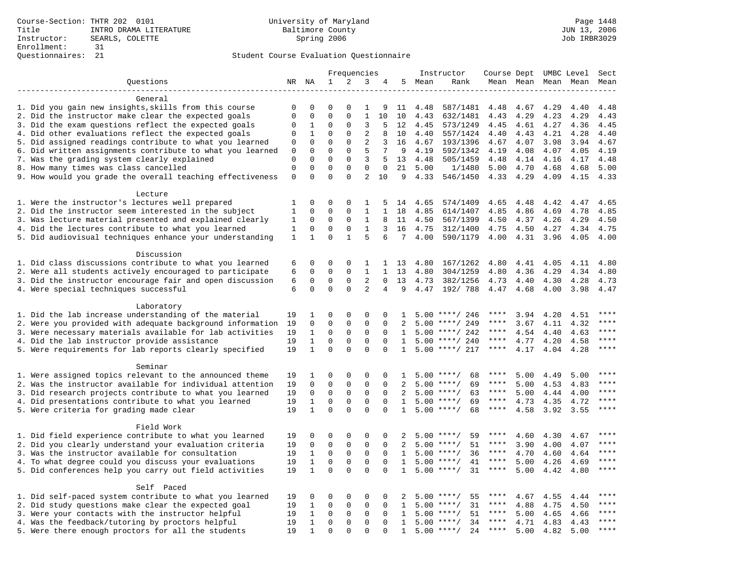|                                                                                                                     |                            |                         |                         | Frequencies             |                  |                   |              |              | Instructor         | Course Dept UMBC Level |              |              |              | Sect         |
|---------------------------------------------------------------------------------------------------------------------|----------------------------|-------------------------|-------------------------|-------------------------|------------------|-------------------|--------------|--------------|--------------------|------------------------|--------------|--------------|--------------|--------------|
| Questions                                                                                                           |                            | NR NA                   | $\mathbf{1}$            | 2                       | 3                | 4                 | 5            | Mean         | Rank               |                        | Mean Mean    |              | Mean Mean    | Mean         |
|                                                                                                                     |                            |                         |                         |                         |                  |                   |              |              |                    |                        |              |              |              |              |
| General                                                                                                             |                            |                         |                         |                         |                  |                   |              |              |                    |                        |              |              |              |              |
| 1. Did you gain new insights, skills from this course                                                               | 0                          | 0                       | $\Omega$                | O                       | 1                | 9                 | 11           | 4.48         | 587/1481           | 4.48                   | 4.67         | 4.29         | 4.40         | 4.48         |
| 2. Did the instructor make clear the expected goals                                                                 | $\mathbf{0}$               | $\mathbf 0$             | $\mathbf 0$             | $\mathbf{0}$            | $\mathbf{1}$     | 10                | 10           | 4.43         | 632/1481           | 4.43                   | 4.29         | 4.23         | 4.29         | 4.43         |
| 3. Did the exam questions reflect the expected goals                                                                | 0                          | 1                       | 0                       | $\Omega$                | 3                | 5                 | 12           | 4.45         | 573/1249           | 4.45                   | 4.61         | 4.27         | 4.36         | 4.45         |
| 4. Did other evaluations reflect the expected goals                                                                 | $\mathbf 0$                | 1                       | $\mathbf 0$             | $\Omega$                | $\overline{2}$   | 8                 | 10           | 4.40         | 557/1424           | 4.40                   | 4.43         | 4.21         | 4.28         | 4.40         |
| 5. Did assigned readings contribute to what you learned                                                             | $\mathbf 0$                | $\mathbf{0}$            | $\mathbf 0$             | $\Omega$                | $\overline{2}$   | 3                 | 16           | 4.67         | 193/1396           | 4.67                   | 4.07         | 3.98         | 3.94         | 4.67         |
| 6. Did written assignments contribute to what you learned                                                           | $\mathbf{0}$               | $\mathbf{0}$            | $\Omega$                | $\Omega$                | 5                | 7                 | 9            | 4.19         | 592/1342           | 4.19                   | 4.08         | 4.07         | 4.05         | 4.19         |
| 7. Was the grading system clearly explained                                                                         | $\Omega$                   | $\Omega$<br>$\mathbf 0$ | $\Omega$<br>$\mathbf 0$ | $\Omega$<br>$\mathbf 0$ | 3<br>$\mathbf 0$ | 5                 | 13           | 4.48         | 505/1459           | 4.48                   | 4.14         | 4.16         | 4.17         | 4.48         |
| 8. How many times was class cancelled                                                                               | $\mathbf 0$<br>$\mathbf 0$ | $\Omega$                | $\Omega$                | $\Omega$                | $\overline{2}$   | $\mathbf 0$<br>10 | 21<br>9      | 5.00<br>4.33 | 1/1480<br>546/1450 | 5.00<br>4.33           | 4.70<br>4.29 | 4.68<br>4.09 | 4.68<br>4.15 | 5.00<br>4.33 |
| 9. How would you grade the overall teaching effectiveness                                                           |                            |                         |                         |                         |                  |                   |              |              |                    |                        |              |              |              |              |
| Lecture                                                                                                             |                            |                         |                         |                         |                  |                   |              |              |                    |                        |              |              |              |              |
| 1. Were the instructor's lectures well prepared                                                                     | 1                          | $\mathbf 0$             | 0                       | 0                       | 1                | 5                 | 14           | 4.65         | 574/1409           | 4.65                   | 4.48         | 4.42         | 4.47         | 4.65         |
| 2. Did the instructor seem interested in the subject                                                                | 1                          | $\mathbf 0$             | $\mathbf 0$             | $\Omega$                | 1                | $\mathbf{1}$      | 18           | 4.85         | 614/1407           | 4.85                   | 4.86         | 4.69         | 4.78         | 4.85         |
| 3. Was lecture material presented and explained clearly                                                             | 1                          | $\mathbf 0$             | $\mathbf 0$             | $\mathbf 0$             | 1                | 8                 | 11           | 4.50         | 567/1399           | 4.50                   | 4.37         | 4.26         | 4.29         | 4.50         |
| 4. Did the lectures contribute to what you learned                                                                  | 1                          | $\Omega$                | $\Omega$                | $\Omega$                | $\mathbf{1}$     | 3                 | 16           | 4.75         | 312/1400           | 4.75                   | 4.50         | 4.27         | 4.34         | 4.75         |
| 5. Did audiovisual techniques enhance your understanding                                                            | $\mathbf{1}$               | $\mathbf{1}$            | $\Omega$                | $\mathbf{1}$            | 5                | 6                 | 7            | 4.00         | 590/1179           | 4.00                   | 4.31         | 3.96         | 4.05         | 4.00         |
|                                                                                                                     |                            |                         |                         |                         |                  |                   |              |              |                    |                        |              |              |              |              |
| Discussion                                                                                                          |                            |                         |                         |                         |                  |                   |              |              |                    |                        |              |              |              |              |
| 1. Did class discussions contribute to what you learned                                                             | 6                          | 0                       | 0                       | 0                       | 1                | $\mathbf{1}$      | 13           | 4.80         | 167/1262           | 4.80                   | 4.41         | 4.05         | 4.11         | 4.80         |
| 2. Were all students actively encouraged to participate                                                             | 6                          | 0                       | $\mathbf 0$             | $\mathbf 0$             | $\mathbf{1}$     | $\mathbf{1}$      | 13           | 4.80         | 304/1259           | 4.80                   | 4.36         | 4.29         | 4.34         | 4.80         |
| 3. Did the instructor encourage fair and open discussion                                                            | 6                          | $\mathbf 0$             | $\mathbf 0$             | 0                       | 2                | $\Omega$          | 13           | 4.73         | 382/1256           | 4.73                   | 4.40         | 4.30         | 4.28         | 4.73         |
| 4. Were special techniques successful                                                                               | 6                          | $\Omega$                | $\Omega$                | $\Omega$                | $\overline{2}$   | $\overline{4}$    | 9            | 4.47         | 192/ 788           | 4.47                   | 4.68         | 4.00         | 3.98         | 4.47         |
|                                                                                                                     |                            |                         |                         |                         |                  |                   |              |              |                    |                        |              |              |              |              |
| Laboratory                                                                                                          |                            |                         |                         |                         |                  |                   |              |              |                    |                        |              |              |              |              |
| 1. Did the lab increase understanding of the material                                                               | 19                         | 1                       | 0                       | $\Omega$                | $\Omega$         | $\Omega$          | $\mathbf{1}$ |              | $5.00$ ****/ 246   | ****                   | 3.94         | 4.20         | 4.51         |              |
| 2. Were you provided with adequate background information                                                           | 19                         | $\mathbf 0$             | 0                       | $\mathbf{0}$            | $\mathbf{0}$     | 0                 | 2            | 5.00         | ****/ 249          | ****                   | 3.67         | 4.11         | 4.32         | ****         |
| 3. Were necessary materials available for lab activities                                                            | 19                         | $\mathbf{1}$            | $\mathbf 0$             | $\mathbf 0$             | $\mathbf 0$      | $\mathbf{0}$      | 1            |              | $5.00$ ****/ 242   | $***$ * *              | 4.54         | 4.40         | 4.63         | $***$        |
| 4. Did the lab instructor provide assistance                                                                        | 19                         | $\mathbf 1$             | $\mathbf 0$             | 0                       | $\mathbf 0$      | $\Omega$          | $\mathbf{1}$ |              | $5.00$ ****/ 240   | ****                   | 4.77         | 4.20         | 4.58         | $***$        |
| 5. Were requirements for lab reports clearly specified                                                              | 19                         | $\mathbf{1}$            | $\Omega$                | $\Omega$                | $\Omega$         | $\Omega$          | $\mathbf{1}$ |              | $5.00$ ****/ 217   | ****                   | 4.17         | 4.04         | 4.28         | $***$        |
|                                                                                                                     |                            |                         |                         |                         |                  |                   |              |              |                    |                        |              |              |              |              |
| Seminar                                                                                                             |                            |                         | 0                       | $\Omega$                | $\Omega$         | $\Omega$          | -1.          |              | $5.00$ ****/<br>68 | ****                   | 5.00         | 4.49         | 5.00         | ****         |
| 1. Were assigned topics relevant to the announced theme<br>2. Was the instructor available for individual attention | 19<br>19                   | 1<br>$\mathbf 0$        | $\mathbf 0$             | $\mathbf 0$             | $\mathbf{0}$     | $\Omega$          | 2            |              | $5.00$ ****/<br>69 | ****                   | 5.00         | 4.53         | 4.83         | ****         |
| 3. Did research projects contribute to what you learned                                                             | 19                         | $\mathbf 0$             | $\mathbf 0$             | $\mathsf 0$             | $\mathbf 0$      | $\mathbf 0$       | 2            |              | $5.00$ ****/<br>63 | $***$ * *              | 5.00         | 4.44         | 4.00         | ****         |
| 4. Did presentations contribute to what you learned                                                                 | 19                         | $\mathbf{1}$            | $\mathbf 0$             | $\mathbf 0$             | $\mathbf 0$      | $\mathbf{0}$      | $\mathbf{1}$ |              | 69<br>$5.00$ ****/ | $***$ * * *            | 4.73         | 4.35         | 4.72         | $***$        |
| 5. Were criteria for grading made clear                                                                             | 19                         | $\mathbf{1}$            | $\Omega$                | $\Omega$                | $\Omega$         | $\Omega$          | $\mathbf{1}$ |              | $5.00$ ****/<br>68 | ****                   | 4.58         | 3.92         | 3.55         | ****         |
|                                                                                                                     |                            |                         |                         |                         |                  |                   |              |              |                    |                        |              |              |              |              |
| Field Work                                                                                                          |                            |                         |                         |                         |                  |                   |              |              |                    |                        |              |              |              |              |
| 1. Did field experience contribute to what you learned                                                              | 19                         | $\mathbf 0$             | 0                       | 0                       | 0                | 0                 | 2            |              | $5.00$ ****/<br>59 | ****                   | 4.60         | 4.30         | 4.67         | ****         |
| 2. Did you clearly understand your evaluation criteria                                                              | 19                         | $\mathbf 0$             | $\mathbf 0$             | $\mathbf 0$             | $\mathbf 0$      | $\Omega$          | 2            |              | 51<br>$5.00$ ****/ | ****                   | 3.90         | 4.00         | 4.07         | ****         |
| 3. Was the instructor available for consultation                                                                    | 19                         | 1                       | $\mathbf 0$             | $\mathbf 0$             | $\mathbf 0$      | $\Omega$          | $\mathbf{1}$ |              | 36<br>$5.00$ ****/ | ****                   | 4.70         | 4.60         | 4.64         | ****         |
| 4. To what degree could you discuss your evaluations                                                                | 19                         | $\mathbf{1}$            | $\mathbf 0$             | $\mathbf{0}$            | $\mathbf 0$      | $\Omega$          | $\mathbf{1}$ | 5.00         | $***/$<br>41       | $***$ * * *            | 5.00         | 4.26         | 4.69         | ****         |
| 5. Did conferences help you carry out field activities                                                              | 19                         | $\mathbf{1}$            | $\Omega$                | $\Omega$                | $\Omega$         | $\Omega$          | $\mathbf{1}$ |              | $5.00$ ****/<br>31 | $***$ * *              | 5.00         | 4.42         | 4.80         | $***$        |
|                                                                                                                     |                            |                         |                         |                         |                  |                   |              |              |                    |                        |              |              |              |              |
| Self Paced                                                                                                          |                            |                         |                         |                         |                  |                   |              |              |                    |                        |              |              |              |              |
| 1. Did self-paced system contribute to what you learned                                                             | 19                         | 0                       | 0                       | 0                       | 0                | 0                 | 2            |              | $5.00$ ****/<br>55 | ****                   | 4.67         | 4.55         | 4.44         |              |
| 2. Did study questions make clear the expected goal                                                                 | 19                         | 1                       | $\mathbf 0$             | $\mathbf 0$             | $\mathbf{0}$     | 0                 | 1            | 5.00         | 31<br>$***$ /      | ****                   | 4.88         | 4.75         | 4.50         | $***$        |
| 3. Were your contacts with the instructor helpful                                                                   |                            | $\mathbf{1}$            | $\Omega$                | $\Omega$                | $\Omega$         | $\Omega$          | 1            | 5.00         | $***/$<br>51       | $***$ * *              | 5.00         | 4.65         | 4.66         | $***$        |
| 4. Was the feedback/tutoring by proctors helpful                                                                    | 19                         | $\mathbf{1}$            | $\mathbf 0$             | $\mathbf 0$             | $\Omega$         | $\Omega$          | $\mathbf{1}$ |              | $5.00$ ****/<br>34 | ****                   | 4.71         | 4.83         | 4.43         | $***$        |
| 5. Were there enough proctors for all the students                                                                  | 19                         | $\mathbf{1}$            | $\Omega$                | $\Omega$                | $\Omega$         | $\Omega$          | $\mathbf{1}$ |              | $5.00$ ****/<br>24 | $***$ * *              | 5.00         | 4.82         | 5.00         | $***$        |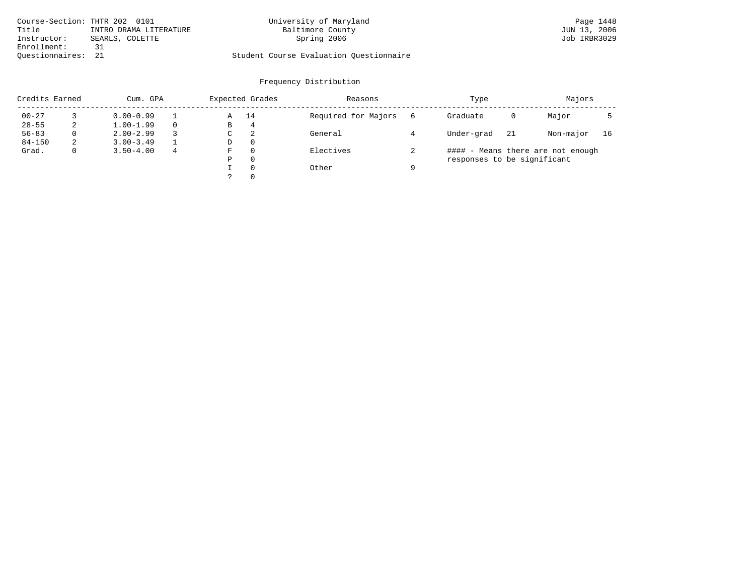| Course-Section: THTR 202 0101 |                        | University of Maryland                  | Page 1448    |
|-------------------------------|------------------------|-----------------------------------------|--------------|
| Title                         | INTRO DRAMA LITERATURE | Baltimore County                        | JUN 13, 2006 |
| Instructor:                   | SEARLS, COLETTE        | Spring 2006                             | Job IRBR3029 |
| Enrollment:                   | 31                     |                                         |              |
| Ouestionnaires: 21            |                        | Student Course Evaluation Questionnaire |              |

| Credits Earned |              | Cum. GPA      |   |   | Expected Grades | Reasons             |   | Type                        |    | Majors                            |    |
|----------------|--------------|---------------|---|---|-----------------|---------------------|---|-----------------------------|----|-----------------------------------|----|
| $00 - 27$      |              | $0.00 - 0.99$ |   | Α | 14              | Required for Majors | 6 | Graduate                    | 0  | Major                             |    |
| $28 - 55$      | 2            | $1.00 - 1.99$ |   | В | 4               |                     |   |                             |    |                                   |    |
| $56 - 83$      | $\Omega$     | $2.00 - 2.99$ |   | C | 2               | General             |   | Under-grad                  | 21 | Non-major                         | 16 |
| $84 - 150$     | 2            | $3.00 - 3.49$ |   | D | $\Omega$        |                     |   |                             |    |                                   |    |
| Grad.          | $\mathbf{0}$ | $3.50 - 4.00$ | 4 | F | $\Omega$        | Electives           |   |                             |    | #### - Means there are not enough |    |
|                |              |               |   | Ρ | $\Omega$        |                     |   | responses to be significant |    |                                   |    |
|                |              |               |   |   | $\Omega$        | Other               | a |                             |    |                                   |    |
|                |              |               |   |   | $\Omega$        |                     |   |                             |    |                                   |    |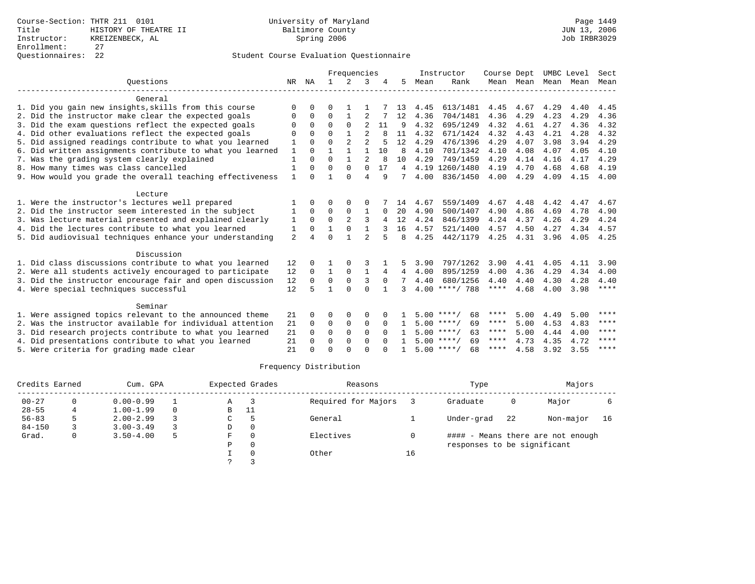|                                                           | Frequencies    |              |              |                |                |          |              | Instructor | Course Dept        |      | UMBC Level |      | Sect |             |
|-----------------------------------------------------------|----------------|--------------|--------------|----------------|----------------|----------|--------------|------------|--------------------|------|------------|------|------|-------------|
| Ouestions                                                 | NR             | ΝA           | 1.           | $\mathcal{L}$  | 3              |          | 5.           | Mean       | Rank               |      | Mean Mean  | Mean | Mean | Mean        |
| General                                                   |                |              |              |                |                |          |              |            |                    |      |            |      |      |             |
| 1. Did you gain new insights, skills from this course     | $\Omega$       | U            | O            |                |                |          | 13           | 4.45       | 613/1481           | 4.45 | 4.67       | 4.29 | 4.40 | 4.45        |
| 2. Did the instructor make clear the expected goals       | $\Omega$       | $\Omega$     | $\Omega$     | 1              | 2              |          | 12           | 4.36       | 704/1481           | 4.36 | 4.29       | 4.23 | 4.29 | 4.36        |
| 3. Did the exam questions reflect the expected goals      | $\Omega$       | $\Omega$     | $\Omega$     | $\Omega$       | $\overline{2}$ | 11       | 9            | 4.32       | 695/1249           | 4.32 | 4.61       | 4.27 | 4.36 | 4.32        |
| 4. Did other evaluations reflect the expected goals       | $\Omega$       | <sup>n</sup> | $\Omega$     |                | $\mathfrak{D}$ |          | 11           | 4.32       | 671/1424           | 4.32 | 4.43       | 4.21 | 4.28 | 4.32        |
| 5. Did assigned readings contribute to what you learned   | 1              | $\Omega$     | $\Omega$     | $\overline{a}$ | $\mathfrak{D}$ | 5        | 12           | 4.29       | 476/1396           | 4.29 | 4.07       | 3.98 | 3.94 | 4.29        |
| 6. Did written assignments contribute to what you learned | 1              | 0            | 1            | $\mathbf{1}$   | 1              | 10       | <sup>8</sup> | 4.10       | 701/1342           | 4.10 | 4.08       | 4.07 | 4.05 | 4.10        |
| 7. Was the grading system clearly explained               | $\mathbf{1}$   | $\Omega$     | $\Omega$     | $\mathbf{1}$   | $\overline{a}$ |          | 10           | 4.29       | 749/1459           | 4.29 | 4.14       | 4.16 | 4.17 | 4.29        |
| 8. How many times was class cancelled                     | $\mathbf{1}$   | $\Omega$     | $\Omega$     | $\Omega$       | $\Omega$       | 17       | 4            | 4.19       | 1260/1480          | 4.19 | 4.70       | 4.68 | 4.68 | 4.19        |
| 9. How would you grade the overall teaching effectiveness | 1              | $\cap$       | 1            | $\Omega$       | $\overline{4}$ | 9        | 7            | 4.00       | 836/1450           | 4.00 | 4.29       | 4.09 | 4.15 | 4.00        |
| Lecture                                                   |                |              |              |                |                |          |              |            |                    |      |            |      |      |             |
| 1. Were the instructor's lectures well prepared           |                | 0            | 0            | O              | 0              |          | 14           | 4.67       | 559/1409           | 4.67 | 4.48       | 4.42 | 4.47 | 4.67        |
| 2. Did the instructor seem interested in the subject      | 1              | $\Omega$     | $\Omega$     | $\Omega$       | $\mathbf{1}$   | $\Omega$ | 20           | 4.90       | 500/1407           | 4.90 | 4.86       | 4.69 | 4.78 | 4.90        |
| 3. Was lecture material presented and explained clearly   | 1              | $\Omega$     | $\mathbf 0$  | $\overline{a}$ | 3              | 4        | 12           | 4.24       | 846/1399           | 4.24 | 4.37       | 4.26 | 4.29 | 4.24        |
| 4. Did the lectures contribute to what you learned        | 1              | $\Omega$     | $\mathbf{1}$ | $\Omega$       | $\mathbf{1}$   |          | 16           | 4.57       | 521/1400           | 4.57 | 4.50       | 4.27 | 4.34 | 4.57        |
| 5. Did audiovisual techniques enhance your understanding  | $\overline{a}$ |              | $\Omega$     | $\mathbf{1}$   | $\mathfrak{D}$ | 5        | 8            | 4.25       | 442/1179           | 4.25 | 4.31       | 3.96 | 4.05 | 4.25        |
| Discussion                                                |                |              |              |                |                |          |              |            |                    |      |            |      |      |             |
| 1. Did class discussions contribute to what you learned   | 12             | <sup>0</sup> |              | $\Omega$       | 3              |          |              | 3.90       | 797/1262           | 3.90 | 4.41       | 4.05 | 4.11 | 3.90        |
| 2. Were all students actively encouraged to participate   | 12             | $\Omega$     | 1            | $\mathbf 0$    | $\mathbf{1}$   | 4        | 4            | 4.00       | 895/1259           | 4.00 | 4.36       | 4.29 | 4.34 | 4.00        |
| 3. Did the instructor encourage fair and open discussion  | 12             | $\Omega$     | $\Omega$     | $\Omega$       | 3              | $\Omega$ |              | 4.40       | 680/1256           | 4.40 | 4.40       | 4.30 | 4.28 | 4.40        |
| 4. Were special techniques successful                     | 12             | 5            | 1            | $\cap$         | $\Omega$       |          | 3            | 4.00       | $***/788$          | **** | 4.68       | 4.00 | 3.98 | ****        |
| Seminar                                                   |                |              |              |                |                |          |              |            |                    |      |            |      |      |             |
| 1. Were assigned topics relevant to the announced theme   | 21             | 0            | 0            | $\Omega$       | $\Omega$       |          |              |            | $5.00$ ****/<br>68 | **** | 5.00       | 4.49 | 5.00 | ****        |
| 2. Was the instructor available for individual attention  | 21             | 0            | 0            | $\mathbf 0$    | $\mathbf 0$    | $\Omega$ |              |            | $5.00$ ****/<br>69 | **** | 5.00       | 4.53 | 4.83 | $***$ * * * |
| 3. Did research projects contribute to what you learned   | 21             | $\Omega$     | $\mathbf 0$  | $\mathbf 0$    | $\mathbf 0$    | $\Omega$ |              |            | $5.00$ ****/<br>63 | **** | 5.00       | 4.44 | 4.00 | ****        |
| 4. Did presentations contribute to what you learned       | 21             | $\Omega$     | $\Omega$     | $\Omega$       | $\Omega$       | $\cap$   |              |            | 69<br>$5.00$ ****/ | **** | 4.73       | 4.35 | 4.72 | ****        |
| 5. Were criteria for grading made clear                   | 21             |              | $\Omega$     | $\cap$         | $\Omega$       |          |              |            | $5.00$ ****/<br>68 | **** | 4.58       | 3.92 | 3.55 | ****        |

| Credits Earned |   | Cum. GPA      |   |   | Expected Grades | Reasons             |    | Type                        |    | Majors                            |    |
|----------------|---|---------------|---|---|-----------------|---------------------|----|-----------------------------|----|-----------------------------------|----|
| $00 - 27$      |   | $0.00 - 0.99$ |   | Α |                 | Required for Majors |    | Graduate                    | 0  | Major                             |    |
| $28 - 55$      | 4 | $1.00 - 1.99$ |   | B | 11              |                     |    |                             |    |                                   |    |
| $56 - 83$      |   | $2.00 - 2.99$ |   | C |                 | General             |    | Under-grad                  | 22 | Non-major                         | 16 |
| $84 - 150$     |   | $3.00 - 3.49$ |   | D | $\Omega$        |                     |    |                             |    |                                   |    |
| Grad.          | 0 | $3.50 - 4.00$ | 5 | F | $\Omega$        | Electives           |    |                             |    | #### - Means there are not enough |    |
|                |   |               |   | P | $\Omega$        |                     |    | responses to be significant |    |                                   |    |
|                |   |               |   |   | $\Omega$        | Other               | 16 |                             |    |                                   |    |
|                |   |               |   |   |                 |                     |    |                             |    |                                   |    |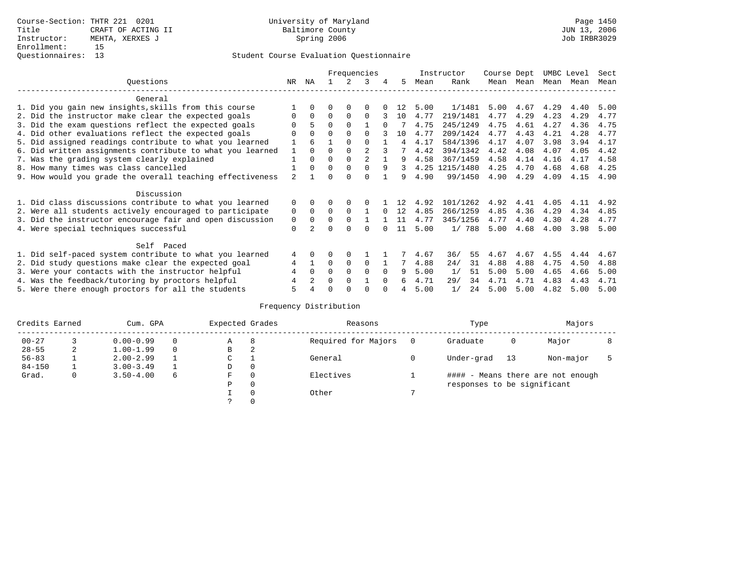|                                                           |                |             |          |          | Frequencies |          |     |      | Instructor     | Course Dept |      | UMBC Level |      | Sect |
|-----------------------------------------------------------|----------------|-------------|----------|----------|-------------|----------|-----|------|----------------|-------------|------|------------|------|------|
| Ouestions                                                 | NR.            | ΝA          |          |          |             | 4        | 5.  | Mean | Rank           | Mean        | Mean | Mean       | Mean | Mean |
| General                                                   |                |             |          |          |             |          |     |      |                |             |      |            |      |      |
| 1. Did you gain new insights, skills from this course     |                |             |          |          |             |          |     | 5.00 | 1/1481         | 5.00        | 4.67 | 4.29       | 4.40 | 5.00 |
| 2. Did the instructor make clear the expected goals       | 0              | $\mathbf 0$ | $\Omega$ | $\Omega$ | $\Omega$    |          | 10  | 4.77 | 219/1481       | 4.77        | 4.29 | 4.23       | 4.29 | 4.77 |
| 3. Did the exam questions reflect the expected goals      |                |             | $\Omega$ | $\Omega$ |             | $\Omega$ |     | 4.75 | 245/1249       | 4.75        | 4.61 | 4.27       | 4.36 | 4.75 |
| 4. Did other evaluations reflect the expected goals       | $\Omega$       | $\Omega$    | 0        | $\Omega$ | $\Omega$    |          | 1 N | 4.77 | 209/1424       | 4.77        | 4.43 | 4.21       | 4.28 | 4.77 |
| 5. Did assigned readings contribute to what you learned   |                |             |          | $\Omega$ | $\Omega$    |          | 4   | 4.17 | 584/1396       | 4.17        | 4.07 | 3.98       | 3.94 | 4.17 |
| 6. Did written assignments contribute to what you learned |                | $\Omega$    | $\Omega$ | $\Omega$ |             |          |     | 4.42 | 394/1342       | 4.42        | 4.08 | 4.07       | 4.05 | 4.42 |
| 7. Was the grading system clearly explained               |                | $\Omega$    | $\Omega$ | $\Omega$ |             |          |     | 4.58 | 367/1459       | 4.58        | 4.14 | 4.16       | 4.17 | 4.58 |
| 8. How many times was class cancelled                     |                | $\Omega$    | $\Omega$ | $\Omega$ | $\Omega$    | 9        | 3   |      | 4.25 1215/1480 | 4.25        | 4.70 | 4.68       | 4.68 | 4.25 |
| 9. How would you grade the overall teaching effectiveness | $\mathfrak{D}$ |             | U        | ∩        | U           |          | q   | 4.90 | 99/1450        | 4.90        | 4.29 | 4.09       | 4.15 | 4.90 |
| Discussion                                                |                |             |          |          |             |          |     |      |                |             |      |            |      |      |
| 1. Did class discussions contribute to what you learned   | 0              |             |          |          |             |          | 12  | 4.92 | 101/1262       | 4.92        | 4.41 | 4.05       | 4.11 | 4.92 |
| 2. Were all students actively encouraged to participate   | 0              | $\Omega$    | $\Omega$ | $\Omega$ |             | $\cap$   | 12  | 4.85 | 266/1259       | 4.85        | 4.36 | 4.29       | 4.34 | 4.85 |
| 3. Did the instructor encourage fair and open discussion  | 0              | $\Omega$    |          | $\Omega$ |             |          | 11  | 4.77 | 345/1256       | 4.77        | 4.40 | 4.30       | 4.28 | 4.77 |
| 4. Were special techniques successful                     | $\mathbf 0$    |             |          |          |             |          | 11  | 5.00 | 1/788          | 5.00        | 4.68 | 4.00       | 3.98 | 5.00 |
| Self Paced                                                |                |             |          |          |             |          |     |      |                |             |      |            |      |      |
| 1. Did self-paced system contribute to what you learned   | 4              | 0           | 0        | $\Omega$ |             |          |     | 4.67 | 55<br>36/      | 4.67        | 4.67 | 4.55       | 4.44 | 4.67 |
| 2. Did study questions make clear the expected goal       | 4              |             | $\Omega$ | $\Omega$ | $\Omega$    |          |     | 4.88 | 24/<br>31      | 4.88        | 4.88 | 4.75       | 4.50 | 4.88 |
| 3. Were your contacts with the instructor helpful         |                | 0           | 0        | $\Omega$ | $\Omega$    | $\Omega$ | 9   | 5.00 | 1/<br>51       | 5.00        | 5.00 | 4.65       | 4.66 | 5.00 |
| 4. Was the feedback/tutoring by proctors helpful          |                |             | $\Omega$ | $\Omega$ |             | $\Omega$ |     | 4.71 | 29/<br>34      | 4.71        | 4.71 | 4.83       | 4.43 | 4.71 |
| 5. Were there enough proctors for all the students        |                |             |          |          |             |          |     | 5.00 | 1/<br>24       | 5.00        | 5.00 | 4.82       | 5.00 | 5.00 |

| Credits Earned |   | Cum. GPA      |   | Expected Grades |          | Reasons             | Type                        |    | Majors                            |  |
|----------------|---|---------------|---|-----------------|----------|---------------------|-----------------------------|----|-----------------------------------|--|
| $00 - 27$      |   | $0.00 - 0.99$ |   | Α               | 8        | Required for Majors | Graduate                    | 0  | Major                             |  |
| $28 - 55$      | 2 | $1.00 - 1.99$ |   | B               | 2        |                     |                             |    |                                   |  |
| $56 - 83$      |   | $2.00 - 2.99$ |   | ◡               |          | General             | Under-grad                  | 13 | Non-major                         |  |
| $84 - 150$     |   | $3.00 - 3.49$ |   | D               | 0        |                     |                             |    |                                   |  |
| Grad.          | 0 | $3.50 - 4.00$ | 6 | F               | 0        | Electives           |                             |    | #### - Means there are not enough |  |
|                |   |               |   | Ρ               | 0        |                     | responses to be significant |    |                                   |  |
|                |   |               |   |                 | $\Omega$ | Other               |                             |    |                                   |  |
|                |   |               |   |                 |          |                     |                             |    |                                   |  |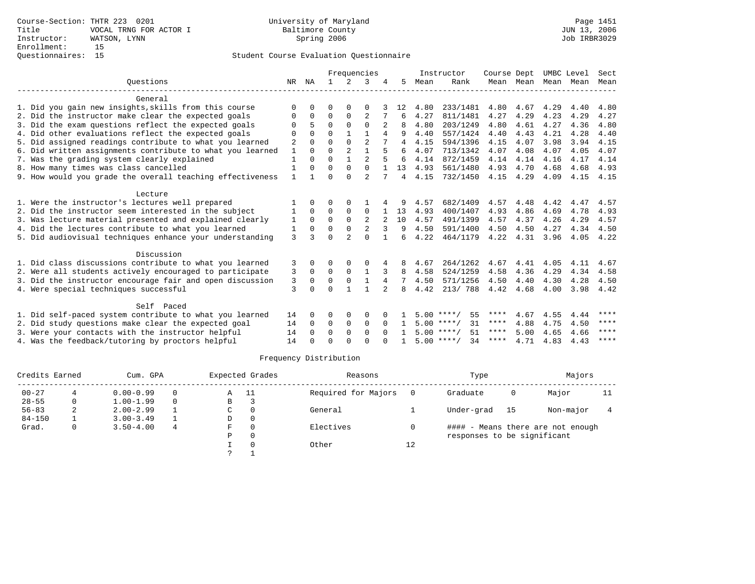|                                                           | Frequencies    |              |             |                |                | Instructor | Course Dept    |      | UMBC Level         |             | Sect      |      |      |             |
|-----------------------------------------------------------|----------------|--------------|-------------|----------------|----------------|------------|----------------|------|--------------------|-------------|-----------|------|------|-------------|
| Ouestions                                                 | NR             | ΝA           |             | $\overline{2}$ | 3              |            | 5              | Mean | Rank               |             | Mean Mean | Mean | Mean | Mean        |
| General                                                   |                |              |             |                |                |            |                |      |                    |             |           |      |      |             |
| 1. Did you gain new insights, skills from this course     | ∩              | <sup>n</sup> | U           | ∩              | ∩              |            | 12             | 4.80 | 233/1481           | 4.80        | 4.67      | 4.29 | 4.40 | 4.80        |
| 2. Did the instructor make clear the expected goals       | 0              | $\Omega$     | $\Omega$    | $\Omega$       | $\overline{2}$ |            | 6              | 4.27 | 811/1481           | 4.27        | 4.29      | 4.23 | 4.29 | 4.27        |
| 3. Did the exam questions reflect the expected goals      | $\Omega$       | 5            | $\Omega$    | $\Omega$       | $\Omega$       |            | 8              | 4.80 | 203/1249           | 4.80        | 4.61      | 4.27 | 4.36 | 4.80        |
| 4. Did other evaluations reflect the expected goals       | $\Omega$       | $\Omega$     | $\Omega$    | $\mathbf{1}$   | $\mathbf{1}$   |            | 9              | 4.40 | 557/1424           | 4.40        | 4.43      | 4.21 | 4.28 | 4.40        |
| 5. Did assigned readings contribute to what you learned   | $\overline{2}$ | $\Omega$     | $\Omega$    |                | $\overline{a}$ |            | $\overline{4}$ | 4.15 | 594/1396           | 4.15        | 4.07      | 3.98 | 3.94 | 4.15        |
| 6. Did written assignments contribute to what you learned | $\mathbf{1}$   | $\Omega$     | $\Omega$    | $\overline{a}$ | $\mathbf{1}$   |            | 6              | 4.07 | 713/1342           | 4.07        | 4.08      | 4.07 | 4.05 | 4.07        |
| 7. Was the grading system clearly explained               | 1              | $\Omega$     | $\Omega$    | $\mathbf{1}$   | $\overline{a}$ |            | 6              | 4.14 | 872/1459           | 4.14        | 4.14      | 4.16 | 4.17 | 4.14        |
| 8. How many times was class cancelled                     |                | U            | $\Omega$    | $\Omega$       | $\Omega$       |            | 13             | 4.93 | 561/1480           | 4.93        | 4.70      | 4.68 | 4.68 | 4.93        |
| 9. How would you grade the overall teaching effectiveness | 1              |              | $\Omega$    | $\cap$         | $\mathfrak{D}$ |            | 4              | 4.15 | 732/1450           | 4.15        | 4.29      | 4.09 | 4.15 | 4.15        |
| Lecture                                                   |                |              |             |                |                |            |                |      |                    |             |           |      |      |             |
| 1. Were the instructor's lectures well prepared           |                | <sup>0</sup> | O           | 0              |                |            |                | 4.57 | 682/1409           | 4.57        | 4.48      | 4.42 | 4.47 | 4.57        |
| 2. Did the instructor seem interested in the subject      | 1              | $\Omega$     | $\Omega$    | $\Omega$       | $\Omega$       |            | 13             | 4.93 | 400/1407           | 4.93        | 4.86      | 4.69 | 4.78 | 4.93        |
| 3. Was lecture material presented and explained clearly   | 1              | $\Omega$     | $\Omega$    | $\Omega$       | $\overline{2}$ |            | 10             | 4.57 | 491/1399           | 4.57        | 4.37      | 4.26 | 4.29 | 4.57        |
| 4. Did the lectures contribute to what you learned        | 1              | $\Omega$     | $\Omega$    | $\Omega$       | $\overline{a}$ | 3          | 9              | 4.50 | 591/1400           | 4.50        | 4.50      | 4.27 | 4.34 | 4.50        |
| 5. Did audiovisual techniques enhance your understanding  | 3              | 3            | $\Omega$    | $\overline{a}$ | $\cap$         |            | 6              | 4.22 | 464/1179           | 4.22        | 4.31      | 3.96 | 4.05 | 4.22        |
| Discussion                                                |                |              |             |                |                |            |                |      |                    |             |           |      |      |             |
| 1. Did class discussions contribute to what you learned   | 3              | 0            | 0           | 0              | 0              |            | 8              | 4.67 | 264/1262           | 4.67        | 4.41      | 4.05 | 4.11 | 4.67        |
| 2. Were all students actively encouraged to participate   | 3              | $\Omega$     | $\mathbf 0$ | $\mathbf 0$    | $\mathbf{1}$   |            | 8              | 4.58 | 524/1259           | 4.58        | 4.36      | 4.29 | 4.34 | 4.58        |
| 3. Did the instructor encourage fair and open discussion  | 3              | $\Omega$     | $\Omega$    | $\Omega$       | $\mathbf{1}$   | 4          | 7              | 4.50 | 571/1256           | 4.50        | 4.40      | 4.30 | 4.28 | 4.50        |
| 4. Were special techniques successful                     | 3              | 0            | $\Omega$    |                |                |            | 8              | 4.42 | 213/788            | 4.42        | 4.68      | 4.00 | 3.98 | 4.42        |
| Self Paced                                                |                |              |             |                |                |            |                |      |                    |             |           |      |      |             |
| 1. Did self-paced system contribute to what you learned   | 14             | 0            | 0           | 0              | 0              |            |                |      | 55<br>$5.00$ ****/ | ****        | 4.67      | 4.55 | 4.44 | ****        |
| 2. Did study questions make clear the expected goal       | 14             | $\Omega$     | 0           | $\mathbf 0$    | $\Omega$       | $\Omega$   |                |      | 31<br>$5.00$ ****/ | $***$ * *   | 4.88      | 4.75 | 4.50 | $* * * * *$ |
| 3. Were your contacts with the instructor helpful         | 14             | $\Omega$     | $\Omega$    | $\Omega$       | $\Omega$       | $\Omega$   |                |      | $5.00$ ****/<br>51 | $***$ * * * | 5.00      | 4.65 | 4.66 | ****        |
| 4. Was the feedback/tutoring by proctors helpful          | 14             |              | $\Omega$    | $\cap$         | $\cap$         |            |                |      | $5.00$ ****/<br>34 | ****        | 4.71      | 4.83 | 4.43 | ****        |
|                                                           |                |              |             |                |                |            |                |      |                    |             |           |      |      |             |

| Credits Earned | Cum. GPA      |   |   | Expected Grades | Reasons             |    | Type                        |    | Majors                            |    |
|----------------|---------------|---|---|-----------------|---------------------|----|-----------------------------|----|-----------------------------------|----|
| $00 - 27$      | $0.00 - 0.99$ | 0 | Α | - 11            | Required for Majors |    | Graduate                    | 0  | Major                             | 11 |
| $28 - 55$      | $1.00 - 1.99$ | 0 | В |                 |                     |    |                             |    |                                   |    |
| $56 - 83$      | $2.00 - 2.99$ |   | C |                 | General             |    | Under-grad                  | 15 | Non-major                         |    |
| $84 - 150$     | $3.00 - 3.49$ |   | D | 0               |                     |    |                             |    |                                   |    |
| Grad.          | $3.50 - 4.00$ | 4 | F |                 | Electives           |    |                             |    | #### - Means there are not enough |    |
|                |               |   | Ρ | $\Omega$        |                     |    | responses to be significant |    |                                   |    |
|                |               |   |   |                 | Other               | 12 |                             |    |                                   |    |
|                |               |   |   |                 |                     |    |                             |    |                                   |    |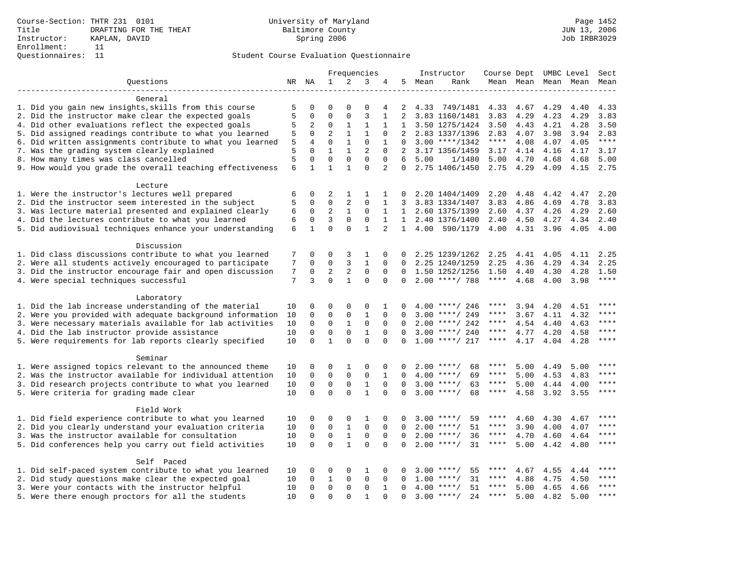|                                                                       |    |              |              |              | Frequencies    |                |                |        | Instructor          | Course Dept UMBC Level |      |                     |      | Sect  |
|-----------------------------------------------------------------------|----|--------------|--------------|--------------|----------------|----------------|----------------|--------|---------------------|------------------------|------|---------------------|------|-------|
| Ouestions                                                             |    | NR NA        | 1            | 2            | 3              | 4              |                | 5 Mean | Rank                |                        |      | Mean Mean Mean Mean |      | Mean  |
|                                                                       |    |              |              |              |                |                |                |        |                     |                        |      |                     |      |       |
| General                                                               |    |              |              |              |                |                |                |        |                     |                        |      |                     |      |       |
| 1. Did you gain new insights, skills from this course                 | 5  | $\mathbf 0$  | 0            | $\Omega$     | 0              | 4              | 2              | 4.33   | 749/1481            | 4.33                   | 4.67 | 4.29                | 4.40 | 4.33  |
| 2. Did the instructor make clear the expected goals                   | 5  | $\mathbf 0$  | $\mathbf 0$  | $\mathbf{0}$ | $\overline{3}$ | $\mathbf{1}$   | $\overline{2}$ |        | 3.83 1160/1481      | 3.83                   | 4.29 | 4.23                | 4.29 | 3.83  |
| 4. Did other evaluations reflect the expected goals                   | 5  | 2            | $\mathbf 0$  | $\mathbf{1}$ | $\mathbf{1}$   | 1              | $\mathbf{1}$   |        | 3.50 1275/1424      | 3.50                   | 4.43 | 4.21                | 4.28 | 3.50  |
| 5. Did assigned readings contribute to what you learned               | 5  | $\mathbf 0$  | 2            | $\mathbf{1}$ | 1              | 0              | 2              |        | 2.83 1337/1396      | 2.83                   | 4.07 | 3.98                | 3.94 | 2.83  |
| 6. Did written assignments contribute to what you learned             | 5  | 4            | $\mathbf 0$  | $\mathbf{1}$ | $\mathbf 0$    | 1              | $\Omega$       |        | $3.00$ ****/1342    | $***$ * * *            | 4.08 | 4.07                | 4.05 | $***$ |
| 7. Was the grading system clearly explained                           | 5  | $\Omega$     | $\mathbf{1}$ | $\mathbf{1}$ | 2              | $\Omega$       | 2              |        | 3.17 1356/1459      | 3.17                   | 4.14 | 4.16                | 4.17 | 3.17  |
| 8. How many times was class cancelled                                 | 5  | $\Omega$     | $\mathbf 0$  | $\Omega$     | $\Omega$       | $\Omega$       | 6              | 5.00   | 1/1480              | 5.00                   | 4.70 | 4.68                | 4.68 | 5.00  |
| 9. How would you grade the overall teaching effectiveness             | 6  | $\mathbf{1}$ | $\mathbf{1}$ | $\mathbf{1}$ | $\Omega$       | $\overline{2}$ | $\Omega$       |        | 2.75 1406/1450      | 2.75                   | 4.29 | 4.09                | 4.15 | 2.75  |
|                                                                       |    |              |              |              |                |                |                |        |                     |                        |      |                     |      |       |
| Lecture                                                               |    |              |              |              |                |                |                |        |                     |                        |      |                     |      |       |
| 1. Were the instructor's lectures well prepared                       | 6  | $\mathbf 0$  | 2            | 1            | 1              | 1              | 0              |        | 2.20 1404/1409      | 2.20                   | 4.48 | 4.42                | 4.47 | 2.20  |
| 2. Did the instructor seem interested in the subject                  | 5  | $\mathbf 0$  | $\mathbf 0$  | 2            | 0              | 1              | 3              |        | 3.83 1334/1407      | 3.83                   | 4.86 | 4.69                | 4.78 | 3.83  |
| 3. Was lecture material presented and explained clearly               | 6  | 0            | 2            | $\mathbf{1}$ | $\mathbf 0$    | 1              | 1              |        | 2.60 1375/1399      | 2.60                   | 4.37 | 4.26                | 4.29 | 2.60  |
| 4. Did the lectures contribute to what you learned                    | 6  | $\mathbf 0$  | 3            | $\mathbf 0$  | 0              | 1              |                |        | 1 2.40 1376/1400    | 2.40                   | 4.50 | 4.27                | 4.34 | 2.40  |
| 5. Did audiovisual techniques enhance your understanding              | 6  | $\mathbf{1}$ | $\Omega$     | $\Omega$     | $\mathbf{1}$   | $\overline{2}$ |                |        | 1 4.00 590/1179     | 4.00                   | 4.31 | 3.96                | 4.05 | 4.00  |
| Discussion                                                            |    |              |              |              |                |                |                |        |                     |                        |      |                     |      |       |
| 1. Did class discussions contribute to what you learned               | 7  | $\mathbf 0$  | 0            | 3            | $\mathbf{1}$   | 0              | 0              |        | 2.25 1239/1262      | 2.25                   | 4.41 | 4.05                | 4.11 | 2.25  |
| 2. Were all students actively encouraged to participate               | 7  | $\mathbf 0$  | $\mathbf 0$  | 3            | $\mathbf{1}$   | 0              | 0              |        | 2.25 1240/1259      | 2.25                   | 4.36 | 4.29                | 4.34 | 2.25  |
| 3. Did the instructor encourage fair and open discussion              | 7  | 0            | 2            | 2            | 0              | 0              | $\mathbf 0$    |        | 1.50 1252/1256      | 1.50                   | 4.40 | 4.30                | 4.28 | 1.50  |
| 4. Were special techniques successful                                 | 7  | 3            | $\Omega$     | $\mathbf{1}$ | $\Omega$       | $\Omega$       | $\Omega$       |        | $2.00$ ****/ 788    | $***$ * * *            | 4.68 | 4.00                | 3.98 | ****  |
|                                                                       |    |              |              |              |                |                |                |        |                     |                        |      |                     |      |       |
| Laboratory                                                            |    |              |              |              |                |                |                |        |                     |                        |      |                     |      |       |
| 1. Did the lab increase understanding of the material                 | 10 | $\Omega$     | 0            | $\Omega$     | 0              | 1              | $\Omega$       |        | $4.00$ ****/ 246    | ****                   | 3.94 | 4.20                | 4.51 | $***$ |
| 2. Were you provided with adequate background information             | 10 | $\mathbf 0$  | $\mathbf 0$  | $\mathsf 0$  | $\mathbf{1}$   | $\mathbf 0$    | 0              |        | $3.00$ ****/ 249    | $***$ * * *            | 3.67 | 4.11                | 4.32 | $***$ |
| 3. Were necessary materials available for lab activities              | 10 | $\mathbf 0$  | 0            | 1            | $\mathbf 0$    | $\mathbf 0$    |                |        | $2.00$ ****/ 242    | ****                   | 4.54 | 4.40                | 4.63 | ****  |
| 4. Did the lab instructor provide assistance                          | 10 | $\mathbf 0$  | $\mathbf 0$  | $\mathbf{0}$ | $\mathbf{1}$   | $\Omega$       | $\Omega$       |        | $3.00$ ****/ 240    | $***$ * * *            | 4.77 | 4.20                | 4.58 | ****  |
| 5. Were requirements for lab reports clearly specified                | 10 | $\Omega$     | $\mathbf{1}$ | $\Omega$     | $\Omega$       | $\Omega$       | $\Omega$       |        | $1.00$ ****/ 217    | $***$ * * *            | 4.17 | 4.04                | 4.28 | ****  |
| Seminar                                                               |    |              |              |              |                |                |                |        |                     |                        |      |                     |      |       |
| 1. Were assigned topics relevant to the announced theme               | 10 | 0            | 0            | 1            | 0              | $\Omega$       | $\Omega$       |        | $2.00$ ****/<br>68  | ****                   | 5.00 | 4.49                | 5.00 | ****  |
| 2. Was the instructor available for individual attention              | 10 | $\mathbf 0$  | $\mathbf 0$  | $\mathsf 0$  | $\mathbf 0$    | $\mathbf{1}$   | 0              |        | $4.00$ ****/<br>69  | ****                   | 5.00 |                     | 4.83 | ****  |
|                                                                       | 10 | $\mathbf 0$  | $\mathbf 0$  | $\mathsf 0$  | $\mathbf{1}$   | $\mathbf 0$    | 0              |        | $3.00$ ****/<br>63  | ****                   | 5.00 | 4.53                | 4.00 | ****  |
| 3. Did research projects contribute to what you learned               |    | $\Omega$     | $\Omega$     | $\Omega$     | $\mathbf{1}$   | $\Omega$       |                |        | $3.00$ ****/        | ****                   |      | 4.44                |      | $***$ |
| 5. Were criteria for grading made clear                               | 10 |              |              |              |                |                | $\Omega$       |        | 68                  |                        | 4.58 | 3.92                | 3.55 |       |
| Field Work                                                            |    |              |              |              |                |                |                |        |                     |                        |      |                     |      |       |
| 1. Did field experience contribute to what you learned                | 10 | 0            | 0            | 0            | 1              | 0              | 0              |        | $3.00$ ****/<br>59  |                        | 4.60 | 4.30                | 4.67 | ****  |
| 2. Did you clearly understand your evaluation criteria                | 10 | $\mathbf 0$  | $\mathbf 0$  | $\mathbf{1}$ | $\mathbf 0$    | $\Omega$       | $\Omega$       | 2.00   | 51<br>$***$ /       | ****                   | 3.90 | 4.00                | 4.07 | ****  |
| 3. Was the instructor available for consultation                      | 10 | $\mathbf 0$  | $\mathbf 0$  | $\,1$        | $\mathbf 0$    | $\Omega$       | $\Omega$       |        | $2.00$ ****/<br>36  | $***$ * *              | 4.70 | 4.60                | 4.64 | ****  |
| 5. Did conferences help you carry out field activities                | 10 | $\Omega$     | $\Omega$     | $\mathbf{1}$ | $\Omega$       | $\Omega$       | $\Omega$       |        | $2.00$ ****/<br>31  | ****                   | 5.00 | 4.42                | 4.80 | $***$ |
|                                                                       |    |              |              |              |                |                |                |        |                     |                        |      |                     |      |       |
| Self Paced<br>1. Did self-paced system contribute to what you learned | 10 | 0            | 0            | 0            | 1              | 0              | 0              | 3.00   | 55<br>$***$ /       | ****                   | 4.67 | 4.55                | 4.44 |       |
| 2. Did study questions make clear the expected goal                   | 10 | $\Omega$     | 1            | $\mathbf 0$  | $\mathbf 0$    | 0              | $\Omega$       | 1.00   | 31<br>$***$ /       | ****                   | 4.88 | 4.75                | 4.50 | ****  |
| 3. Were your contacts with the instructor helpful                     | 10 | $\Omega$     | $\Omega$     | $\Omega$     | $\mathbf{0}$   | $\mathbf{1}$   | $\Omega$       |        | $4.00$ ****/<br>51  | $***$ * * *            | 5.00 | 4.65                | 4.66 | ****  |
| 5. Were there enough proctors for all the students                    | 10 | $\Omega$     | $\Omega$     | $\Omega$     | $\mathbf{1}$   | $\cap$         | $\Omega$       |        | $3.00$ ****/<br>2.4 | $***$ * * *            | 5.00 | 4.82                | 5.00 | $***$ |
|                                                                       |    |              |              |              |                |                |                |        |                     |                        |      |                     |      |       |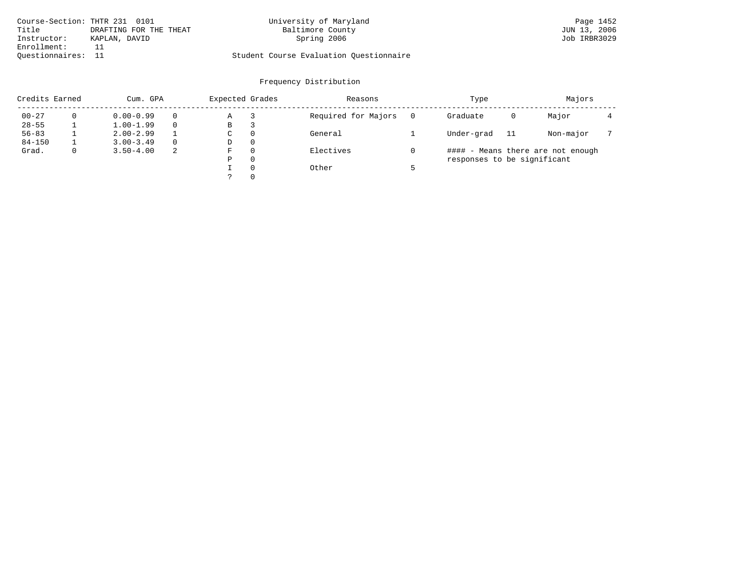| Course-Section: THTR 231 0101 |                        | University of Maryland                  | Page 1452    |
|-------------------------------|------------------------|-----------------------------------------|--------------|
| Title                         | DRAFTING FOR THE THEAT | Baltimore County                        | JUN 13, 2006 |
| Instructor:                   | KAPLAN, DAVID          | Spring 2006                             | Job IRBR3029 |
| Enrollment:                   |                        |                                         |              |
| Ouestionnaires:               |                        | Student Course Evaluation Ouestionnaire |              |

| Credits Earned |              | Cum. GPA      |          | Expected Grades |          | Reasons             |  | Type                        |    | Majors                            |  |
|----------------|--------------|---------------|----------|-----------------|----------|---------------------|--|-----------------------------|----|-----------------------------------|--|
| $00 - 27$      |              | $0.00 - 0.99$ |          | Α               |          | Required for Majors |  | Graduate                    | 0  | Major                             |  |
| $28 - 55$      |              | $1.00 - 1.99$ |          | В               | З        |                     |  |                             |    |                                   |  |
| $56 - 83$      |              | $2.00 - 2.99$ |          | C               | $\Omega$ | General             |  | Under-grad                  | 11 | Non-major                         |  |
| $84 - 150$     |              | $3.00 - 3.49$ | $\Omega$ | D               | $\Omega$ |                     |  |                             |    |                                   |  |
| Grad.          | $\mathbf{0}$ | $3.50 - 4.00$ | -2       | F               | $\Omega$ | Electives           |  |                             |    | #### - Means there are not enough |  |
|                |              |               |          | Ρ               | $\Omega$ |                     |  | responses to be significant |    |                                   |  |
|                |              |               |          |                 | $\Omega$ | Other               |  |                             |    |                                   |  |
|                |              |               |          |                 | $\Omega$ |                     |  |                             |    |                                   |  |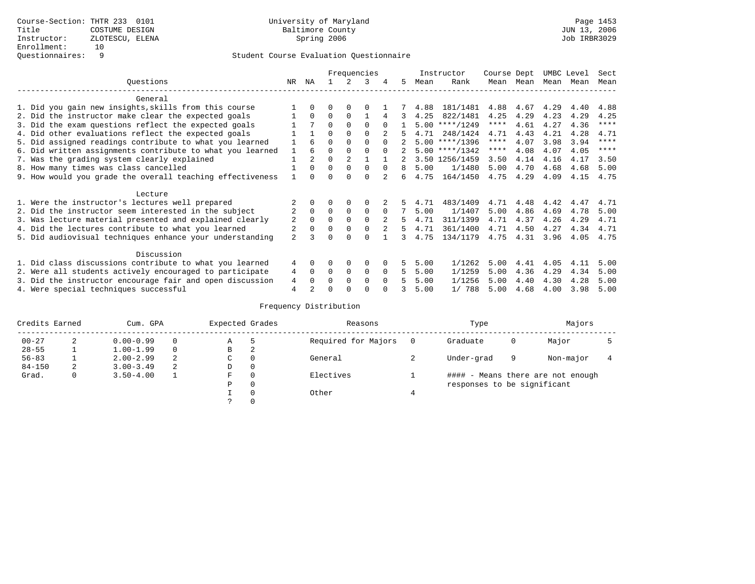|                                                           | Frequencies    |                |          |          |             |          |    |      | Instructor       | Course Dept |           | UMBC Level |      | Sect        |
|-----------------------------------------------------------|----------------|----------------|----------|----------|-------------|----------|----|------|------------------|-------------|-----------|------------|------|-------------|
| Ouestions                                                 | NR.            | ΝA             |          | 2        | 3           |          | 5. | Mean | Rank             |             | Mean Mean | Mean       | Mean | Mean        |
| General                                                   |                |                |          |          |             |          |    |      |                  |             |           |            |      |             |
| 1. Did you gain new insights, skills from this course     |                | <sup>0</sup>   | O        | $\Omega$ | $\Omega$    |          |    | 4.88 | 181/1481         | 4.88        | 4.67      | 4.29       | 4.40 | 4.88        |
| 2. Did the instructor make clear the expected goals       |                | $\Omega$       | $\Omega$ | $\Omega$ |             |          | 3. | 4.25 | 822/1481         | 4.25        | 4.29      | 4.23       | 4.29 | 4.25        |
| 3. Did the exam questions reflect the expected goals      |                |                | $\Omega$ | $\Omega$ | $\Omega$    | $\cap$   |    | 5.00 | $***/1249$       | $***$ * * * | 4.61      | 4.27       | 4.36 | $***$ * * * |
| 4. Did other evaluations reflect the expected goals       |                |                | $\Omega$ | $\Omega$ | $\Omega$    |          |    | 4.71 | 248/1424         | 4.71        | 4.43      | 4.21       | 4.28 | 4.71        |
| 5. Did assigned readings contribute to what you learned   |                | 6              | $\Omega$ | $\Omega$ | $\Omega$    | $\Omega$ |    |      | $5.00$ ****/1396 | ****        | 4.07      | 3.98       | 3.94 | $***$ * * * |
| 6. Did written assignments contribute to what you learned |                | 6              | $\Omega$ |          | $\Omega$    | $\Omega$ |    |      | $5.00$ ****/1342 | $***$ * * * | 4.08      | 4.07       | 4.05 | $* * * * *$ |
| 7. Was the grading system clearly explained               |                | $\overline{2}$ | $\Omega$ |          |             |          |    |      | 3.50 1256/1459   | 3.50        | 4.14      | 4.16       | 4.17 | 3.50        |
| 8. How many times was class cancelled                     |                | $\Omega$       | $\Omega$ | $\Omega$ | $\Omega$    | $\Omega$ | 8  | 5.00 | 1/1480           | 5.00        | 4.70      | 4.68       | 4.68 | 5.00        |
| 9. How would you grade the overall teaching effectiveness |                |                | ∩        | ∩        | $\Omega$    |          | б. | 4.75 | 164/1450         | 4.75        | 4.29      | 4.09       | 4.15 | 4.75        |
| Lecture                                                   |                |                |          |          |             |          |    |      |                  |             |           |            |      |             |
| 1. Were the instructor's lectures well prepared           |                |                |          | $\Omega$ | $\Omega$    |          |    | 4.71 | 483/1409         | 4.71        | 4.48      | 4.42       | 4.47 | 4.71        |
| 2. Did the instructor seem interested in the subject      | $\overline{2}$ | $\Omega$       | $\Omega$ | $\Omega$ | $\Omega$    | $\Omega$ |    | 5.00 | 1/1407           | 5.00        | 4.86      | 4.69       | 4.78 | 5.00        |
| 3. Was lecture material presented and explained clearly   | 2              | 0              | $\Omega$ |          | $\Omega$    |          | 5. | 4.71 | 311/1399         | 4.71        | 4.37      | 4.26       | 4.29 | 4.71        |
| 4. Did the lectures contribute to what you learned        |                |                | $\Omega$ | $\Omega$ | $\Omega$    |          | 5. | 4.71 | 361/1400         | 4.71        | 4.50      | 4.27       | 4.34 | 4.71        |
| 5. Did audiovisual techniques enhance your understanding  | $\overline{a}$ |                | ∩        |          | $\cap$      |          |    | 4.75 | 134/1179         | 4.75        | 4.31      | 3.96       | 4.05 | 4.75        |
| Discussion                                                |                |                |          |          |             |          |    |      |                  |             |           |            |      |             |
| 1. Did class discussions contribute to what you learned   | 4              | 0              | 0        | $\Omega$ | $\Omega$    |          | 5  | 5.00 | 1/1262           | 5.00        | 4.41      | 4.05       | 4.11 | 5.00        |
| 2. Were all students actively encouraged to participate   | 4              | $\Omega$       | $\Omega$ | 0        | $\mathbf 0$ | $\Omega$ | 5  | 5.00 | 1/1259           | 5.00        | 4.36      | 4.29       | 4.34 | 5.00        |
| 3. Did the instructor encourage fair and open discussion  | 4              |                | O        | $\Omega$ | $\Omega$    | $\Omega$ |    | 5.00 | 1/1256           | 5.00        | 4.40      | 4.30       | 4.28 | 5.00        |
| 4. Were special techniques successful                     | $\overline{4}$ |                | U        |          | ∩           |          |    | 5.00 | 1/ 788           | 5.00        | 4.68      | 4.00       | 3.98 | 5.00        |

| Credits Earned |   | Cum. GPA      |   | Expected Grades |          | Reasons             |   | Type                        |   | Majors                            |  |
|----------------|---|---------------|---|-----------------|----------|---------------------|---|-----------------------------|---|-----------------------------------|--|
| $00 - 27$      | 2 | $0.00 - 0.99$ |   | Α               | 5        | Required for Majors | 0 | Graduate                    | 0 | Major                             |  |
| $28 - 55$      | ᅩ | $1.00 - 1.99$ |   | В               | 2        |                     |   |                             |   |                                   |  |
| $56 - 83$      |   | $2.00 - 2.99$ | 2 | $\sim$<br>◡     | 0        | General             |   | Under-grad                  | 9 | Non-major                         |  |
| $84 - 150$     | 2 | $3.00 - 3.49$ | 2 | D               | 0        |                     |   |                             |   |                                   |  |
| Grad.          | 0 | $3.50 - 4.00$ |   | F               | 0        | Electives           |   |                             |   | #### - Means there are not enough |  |
|                |   |               |   | Ρ               | 0        |                     |   | responses to be significant |   |                                   |  |
|                |   |               |   |                 | $\Omega$ | Other               |   |                             |   |                                   |  |
|                |   |               |   |                 |          |                     |   |                             |   |                                   |  |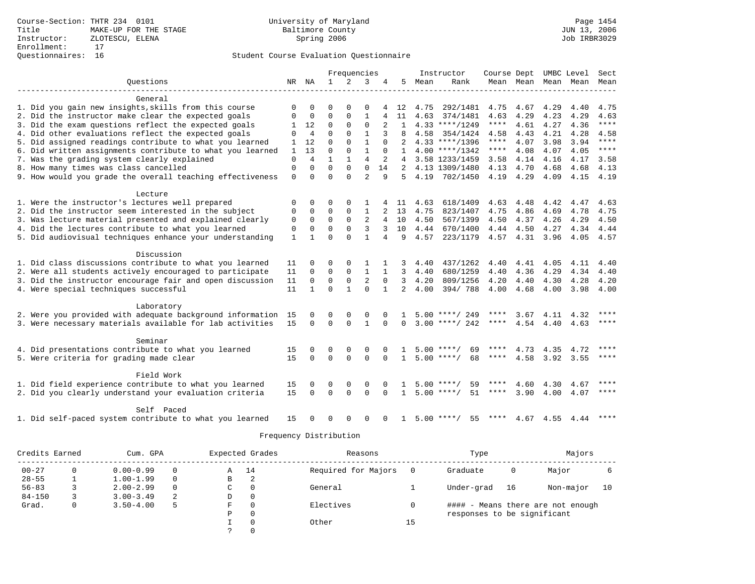|                                                           |              |                |              | Frequencies  |                |              |                |      | Instructor         | Course Dept UMBC Level |                |             |                | Sect        |
|-----------------------------------------------------------|--------------|----------------|--------------|--------------|----------------|--------------|----------------|------|--------------------|------------------------|----------------|-------------|----------------|-------------|
| Ouestions                                                 |              | NR NA          | $\mathbf{1}$ | 2            | 3              | 4            | 5              | Mean | Rank               |                        | Mean Mean Mean |             | Mean           | Mean        |
|                                                           |              |                |              |              |                |              |                |      |                    |                        |                |             |                |             |
| General                                                   |              |                |              |              |                |              |                |      |                    |                        |                |             |                |             |
| 1. Did you gain new insights, skills from this course     | 0            | $\mathbf 0$    | 0            | 0            | $\Omega$       |              | 12             | 4.75 | 292/1481           | 4.75                   | 4.67           | 4.29        | 4.40           | 4.75        |
| 2. Did the instructor make clear the expected goals       | $\Omega$     | 0              | $\Omega$     | $\mathbf{0}$ | $\mathbf{1}$   | 4            | 11             | 4.63 | 374/1481           | 4.63                   | 4.29           | 4.23        | 4.29           | 4.63        |
| 3. Did the exam questions reflect the expected goals      | $\mathbf{1}$ | 12             | 0            | $\Omega$     | $\Omega$       | 2            | $\mathbf{1}$   |      | $4.33$ ****/1249   | ****                   | 4.61           | 4.27        | 4.36           | $***$       |
| 4. Did other evaluations reflect the expected goals       | 0            | $\overline{4}$ | $\mathbf 0$  | $\Omega$     | 1              | 3            | 8              | 4.58 | 354/1424           | 4.58                   | 4.43           | 4.21        | 4.28           | 4.58        |
| 5. Did assigned readings contribute to what you learned   | 1            | 12             | $\Omega$     | $\Omega$     | $\mathbf{1}$   | $\Omega$     |                |      | $4.33$ ****/1396   | ****                   | 4.07           | 3.98        | 3.94           | $***$       |
| 6. Did written assignments contribute to what you learned | 1            | 13             | $\Omega$     | $\Omega$     | $\mathbf{1}$   | $\Omega$     |                |      | $4.00$ ****/1342   | ****                   | 4.08           | 4.07        | 4.05           | ****        |
| 7. Was the grading system clearly explained               | $\mathbf 0$  | $\overline{4}$ | $\mathbf{1}$ |              | $\overline{4}$ | 2            | 4              |      | 3.58 1233/1459     | 3.58                   | 4.14           | 4.16        | 4.17           | 3.58        |
| 8. How many times was class cancelled                     | $\mathbf 0$  | $\Omega$       | $\Omega$     | $\Omega$     | $\Omega$       | 14           | $2^{\circ}$    |      | 4.13 1309/1480     | 4.13                   | 4.70           | 4.68        | 4.68           | 4.13        |
| 9. How would you grade the overall teaching effectiveness | $\mathbf 0$  | $\Omega$       | $\Omega$     | $\cap$       | $\overline{2}$ | 9            | .5             | 4.19 | 702/1450           | 4.19                   | 4.29           | 4.09        | 4.15           | 4.19        |
|                                                           |              |                |              |              |                |              |                |      |                    |                        |                |             |                |             |
| Lecture                                                   |              |                |              |              |                |              |                |      |                    |                        |                |             |                |             |
| 1. Were the instructor's lectures well prepared           | 0            | 0              | 0            | 0            |                |              | 11             | 4.63 | 618/1409           | 4.63                   | 4.48           | 4.42        | 4.47           | 4.63        |
| 2. Did the instructor seem interested in the subject      | 0            | $\mathbf 0$    | $\mathbf 0$  | $\mathbf{0}$ | $\mathbf{1}$   |              | 13             | 4.75 | 823/1407           | 4.75                   | 4.86           | 4.69        | 4.78           | 4.75        |
| 3. Was lecture material presented and explained clearly   | $\mathbf 0$  | $\mathbf 0$    | $\Omega$     | $\Omega$     | 2              | 4            | 10             | 4.50 | 567/1399           | 4.50                   | 4.37           | 4.26        | 4.29           | 4.50        |
| 4. Did the lectures contribute to what you learned        | $\mathbf 0$  | $\mathbf 0$    | 0            | $\Omega$     | 3              | 3            | 10             | 4.44 | 670/1400           | 4.44                   | 4.50           | 4.27        | 4.34           | 4.44        |
| 5. Did audiovisual techniques enhance your understanding  | $\mathbf{1}$ | $\mathbf{1}$   | $\Omega$     | $\Omega$     | 1              | 4            | 9              | 4.57 | 223/1179           |                        | 4.57 4.31 3.96 |             | 4.05 4.57      |             |
|                                                           |              |                |              |              |                |              |                |      |                    |                        |                |             |                |             |
| Discussion                                                |              |                |              |              |                |              |                |      |                    |                        |                |             |                |             |
| 1. Did class discussions contribute to what you learned   | 11           | 0              | $\Omega$     | $\Omega$     |                |              | 3              | 4.40 | 437/1262           | 4.40                   | 4.41           | 4.05        | 4.11           | 4.40        |
| 2. Were all students actively encouraged to participate   | 11           | $\mathbf 0$    | $\mathbf 0$  | $\Omega$     | $\mathbf{1}$   | $\mathbf 1$  | $\mathbf{3}$   | 4.40 | 680/1259           | 4.40                   | 4.36           | 4.29        | 4.34           | 4.40        |
| 3. Did the instructor encourage fair and open discussion  | 11           | $\mathbf 0$    | $\mathbf 0$  | $\mathbf 0$  | $\overline{2}$ | $\Omega$     | $\mathbf{3}$   | 4.20 | 809/1256           | 4.20                   | 4.40           | 4.30        | 4.28           | 4.20        |
| 4. Were special techniques successful                     | 11           | $\mathbf{1}$   | $\Omega$     | $\mathbf{1}$ | $\Omega$       | $\mathbf{1}$ | $\overline{2}$ | 4.00 | 394/788            | 4.00                   | 4.68           | 4.00        | 3.98 4.00      |             |
|                                                           |              |                |              |              |                |              |                |      |                    |                        |                |             |                |             |
| Laboratory                                                |              |                |              |              |                |              |                |      |                    |                        |                |             |                |             |
| 2. Were you provided with adequate background information | 15           | $\Omega$       | $\Omega$     | $\Omega$     | $\Omega$       |              | 1              |      | $5.00$ ****/ 249   | ****                   |                | $3.67$ 4.11 | 4.32           | $***$       |
| 3. Were necessary materials available for lab activities  | 15           | $\Omega$       | $\Omega$     | $\Omega$     | $\mathbf{1}$   | $\Omega$     | $\Omega$       |      | $3.00$ ****/ 242   | $***$ * *              | 4.54           | 4.40        | 4.63           | $* * * * *$ |
|                                                           |              |                |              |              |                |              |                |      |                    |                        |                |             |                |             |
| Seminar                                                   |              |                |              |              |                |              |                |      |                    |                        |                |             |                |             |
| 4. Did presentations contribute to what you learned       | 15           | $\Omega$       | $\Omega$     | $\Omega$     | $\Omega$       |              |                |      | $5.00$ ****/<br>69 | ****                   | 4.73           | 4.35        | 4.72           | $* * * *$   |
| 5. Were criteria for grading made clear                   | 15           | $\Omega$       | $\Omega$     | $\Omega$     | $\Omega$       | $\Omega$     | 1              |      | $5.00$ ****/<br>68 | ****                   | 4.58           |             | 3.92 3.55      | $***$ * * * |
|                                                           |              |                |              |              |                |              |                |      |                    |                        |                |             |                |             |
| Field Work                                                |              |                |              |              |                |              |                |      |                    |                        |                |             |                |             |
| 1. Did field experience contribute to what you learned    | 15           | $\Omega$       | $\Omega$     | $\Omega$     | $\Omega$       |              | 1.             |      | $5.00$ ****/<br>59 | ****                   | 4.60           | 4.30        | 4.67           | $* * * *$   |
| 2. Did you clearly understand your evaluation criteria    | 15           | $\Omega$       | $\Omega$     | $\Omega$     | $\Omega$       | $\Omega$     | $\mathbf{1}$   |      | $5.00$ ****/<br>51 | ****                   | 3.90           | 4.00        | 4.07           | ****        |
|                                                           |              |                |              |              |                |              |                |      |                    |                        |                |             |                |             |
| Self Paced                                                |              |                |              |              |                |              |                |      |                    |                        |                |             |                |             |
| 1. Did self-paced system contribute to what you learned   | 15           | <sup>0</sup>   | $\Omega$     | $\Omega$     | $\Omega$       | $\Omega$     | 1              |      | $5.00$ ****/<br>55 | ****                   |                |             | 4.67 4.55 4.44 | ****        |

| Credits Earned |   | Cum. GPA      |          |   | Expected Grades | Reasons             |     | Type                        |    | Majors                            |    |
|----------------|---|---------------|----------|---|-----------------|---------------------|-----|-----------------------------|----|-----------------------------------|----|
| $00 - 27$      | 0 | $0.00 - 0.99$ | 0        | Α | 14              | Required for Majors | - 0 | Graduate                    | 0  | Major                             |    |
| $28 - 55$      |   | $1.00 - 1.99$ | $\Omega$ | В |                 |                     |     |                             |    |                                   |    |
| $56 - 83$      |   | $2.00 - 2.99$ | 0        | C | 0               | General             |     | Under-grad                  | 16 | Non-major                         | 10 |
| $84 - 150$     |   | $3.00 - 3.49$ | 2        | D | 0               |                     |     |                             |    |                                   |    |
| Grad.          | 0 | $3.50 - 4.00$ | 5        | F | $\Omega$        | Electives           |     |                             |    | #### - Means there are not enough |    |
|                |   |               |          | Ρ | 0               |                     |     | responses to be significant |    |                                   |    |
|                |   |               |          |   | $\Omega$        | Other               | 15  |                             |    |                                   |    |
|                |   |               |          |   | $\Omega$        |                     |     |                             |    |                                   |    |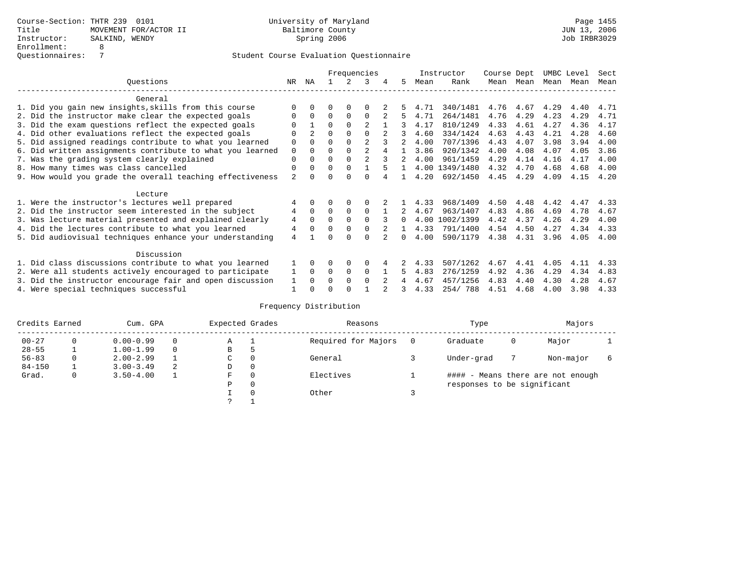|                                                           |                |                |          |             | Frequencies    |              |      | Instructor     | Course Dept |           | UMBC Level |      | Sect |
|-----------------------------------------------------------|----------------|----------------|----------|-------------|----------------|--------------|------|----------------|-------------|-----------|------------|------|------|
| Ouestions                                                 | NR.            | ΝA             |          |             | 3              | 5.           | Mean | Rank           | Mean        | Mean      | Mean       | Mean | Mean |
| General                                                   |                |                |          |             |                |              |      |                |             |           |            |      |      |
| 1. Did you gain new insights, skills from this course     |                | $\cap$         | O        | $\Omega$    | O              |              | 4.71 | 340/1481       |             | 4.76 4.67 | 4.29       | 4.40 | 4.71 |
| 2. Did the instructor make clear the expected goals       | O              | $\Omega$       | $\Omega$ | $\Omega$    | $\Omega$       | 5.           | 4.71 | 264/1481       | 4.76        | 4.29      | 4.23       | 4.29 | 4.71 |
| 3. Did the exam questions reflect the expected goals      |                |                | 0        | $\Omega$    | 2              | 3            | 4.17 | 810/1249       | 4.33        | 4.61      | 4.27       | 4.36 | 4.17 |
| 4. Did other evaluations reflect the expected goals       | O              | $\mathfrak{D}$ | $\Omega$ | $\Omega$    | $\Omega$       |              | 4.60 | 334/1424       | 4.63        | 4.43      | 4.21       | 4.28 | 4.60 |
| 5. Did assigned readings contribute to what you learned   | $\mathbf 0$    |                | $\Omega$ |             | $\mathfrak{D}$ |              | 4.00 | 707/1396       | 4.43        | 4.07      | 3.98       | 3.94 | 4.00 |
| 6. Did written assignments contribute to what you learned | $\mathbf 0$    | $\Omega$       |          |             | $\mathfrak{D}$ |              | 3.86 | 920/1342       | 4.00        | 4.08      | 4.07       | 4.05 | 3.86 |
| 7. Was the grading system clearly explained               | $\Omega$       | $\Omega$       | $\Omega$ | $\Omega$    |                |              | 4.00 | 961/1459       | 4.29        | 4.14      | 4.16       | 4.17 | 4.00 |
| 8. How many times was class cancelled                     | $\Omega$       | $\Omega$       | $\Omega$ | $\Omega$    |                |              |      | 4.00 1349/1480 | 4.32        | 4.70      | 4.68       | 4.68 | 4.00 |
| 9. How would you grade the overall teaching effectiveness | 2              | <sup>n</sup>   | U        | ∩           | U              |              | 4.20 | 692/1450       | 4.45        | 4.29      | 4.09       | 4.15 | 4.20 |
| Lecture                                                   |                |                |          |             |                |              |      |                |             |           |            |      |      |
| 1. Were the instructor's lectures well prepared           |                |                |          |             |                |              | 4.33 | 968/1409       | 4.50        | 4.48      | 4.42       | 4.47 | 4.33 |
| 2. Did the instructor seem interested in the subject      | $\overline{4}$ | $\Omega$       | $\Omega$ | $\Omega$    | $\Omega$       | 2            | 4.67 | 963/1407       | 4.83        | 4.86      | 4.69       | 4.78 | 4.67 |
| 3. Was lecture material presented and explained clearly   | 4              | $\Omega$       | $\Omega$ | $\Omega$    | $\Omega$       | $\Omega$     | 4.00 | 1002/1399      | 4.42        | 4.37      | 4.26       | 4.29 | 4.00 |
| 4. Did the lectures contribute to what you learned        | 4              | $\Omega$       | $\Omega$ | $\Omega$    |                |              | 4.33 | 791/1400       | 4.54        | 4.50      | 4.27       | 4.34 | 4.33 |
| 5. Did audiovisual techniques enhance your understanding  | $\overline{4}$ |                |          |             | U              | <sup>n</sup> | 4.00 | 590/1179       | 4.38        | 4.31      | 3.96       | 4.05 | 4.00 |
| Discussion                                                |                |                |          |             |                |              |      |                |             |           |            |      |      |
| 1. Did class discussions contribute to what you learned   |                | $\Omega$       | U        | $\Omega$    | $\Omega$       |              | 4.33 | 507/1262       | 4.67        | 4.41      | 4.05       | 4.11 | 4.33 |
| 2. Were all students actively encouraged to participate   |                | $\Omega$       | $\Omega$ | $\mathbf 0$ | $\Omega$       | 5.           | 4.83 | 276/1259       | 4.92        | 4.36      | 4.29       | 4.34 | 4.83 |
| 3. Did the instructor encourage fair and open discussion  | 1              | $\Omega$       | 0        | $\Omega$    | $\Omega$       |              | 4.67 | 457/1256       | 4.83        | 4.40      | 4.30       | 4.28 | 4.67 |
| 4. Were special techniques successful                     |                |                |          |             |                |              | 4.33 | 254/788        | 4.51        | 4.68      | 4.00       | 3.98 | 4.33 |

| Credits Earned |          | Cum. GPA      |   | Expected Grades |          | Reasons             |   | Type                        |   | Majors                            |  |
|----------------|----------|---------------|---|-----------------|----------|---------------------|---|-----------------------------|---|-----------------------------------|--|
| $00 - 27$      | $\Omega$ | $0.00 - 0.99$ |   | А               |          | Required for Majors | 0 | Graduate                    | 0 | Major                             |  |
| $28 - 55$      | ᅩ        | $1.00 - 1.99$ |   | В               | 5        |                     |   |                             |   |                                   |  |
| $56 - 83$      | 0        | $2.00 - 2.99$ |   | $\sim$<br>◡     | 0        | General             |   | Under-grad                  |   | Non-major                         |  |
| $84 - 150$     |          | $3.00 - 3.49$ | 2 | D               | 0        |                     |   |                             |   |                                   |  |
| Grad.          | 0        | $3.50 - 4.00$ |   | F               | 0        | Electives           |   |                             |   | #### - Means there are not enough |  |
|                |          |               |   | Ρ               | 0        |                     |   | responses to be significant |   |                                   |  |
|                |          |               |   |                 | $\Omega$ | Other               |   |                             |   |                                   |  |
|                |          |               |   | C               |          |                     |   |                             |   |                                   |  |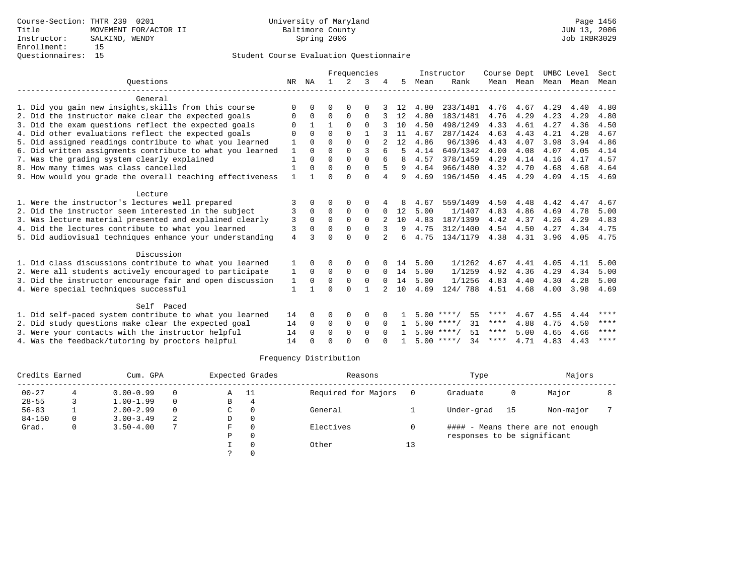|                                                           |              |              |              |             | Frequencies  |                |    |      | Instructor         | Course Dept |           | UMBC Level |      | Sect        |
|-----------------------------------------------------------|--------------|--------------|--------------|-------------|--------------|----------------|----|------|--------------------|-------------|-----------|------------|------|-------------|
| Ouestions                                                 | NR           | ΝA           |              |             | 3            |                | 5. | Mean | Rank               |             | Mean Mean | Mean       | Mean | Mean        |
| General                                                   |              |              |              |             |              |                |    |      |                    |             |           |            |      |             |
| 1. Did you gain new insights, skills from this course     | $\Omega$     | <sup>n</sup> | O            | $\Omega$    | O            |                | 12 | 4.80 | 233/1481           |             | 4.76 4.67 | 4.29       | 4.40 | 4.80        |
| 2. Did the instructor make clear the expected goals       | 0            | $\mathbf 0$  | $\Omega$     | $\Omega$    | $\Omega$     |                | 12 | 4.80 | 183/1481           | 4.76        | 4.29      | 4.23       | 4.29 | 4.80        |
| 3. Did the exam questions reflect the expected goals      | 0            | $\mathbf{1}$ | $\mathbf{1}$ | $\Omega$    | $\Omega$     |                | 10 | 4.50 | 498/1249           | 4.33        | 4.61      | 4.27       | 4.36 | 4.50        |
| 4. Did other evaluations reflect the expected goals       | $\Omega$     | $\Omega$     | $\Omega$     | $\Omega$    | $\mathbf{1}$ |                | 11 | 4.67 | 287/1424           | 4.63        | 4.43      | 4.21       | 4.28 | 4.67        |
| 5. Did assigned readings contribute to what you learned   | 1            | $\Omega$     | $\Omega$     | $\Omega$    | $\Omega$     |                | 12 | 4.86 | 96/1396            | 4.43        | 4.07      | 3.98       | 3.94 | 4.86        |
| 6. Did written assignments contribute to what you learned | $\mathbf{1}$ | $\Omega$     | $\Omega$     | $\Omega$    | ς            | 6              | 5  | 4.14 | 649/1342           | 4.00        | 4.08      | 4.07       | 4.05 | 4.14        |
| 7. Was the grading system clearly explained               | $\mathbf{1}$ | $\Omega$     | $\Omega$     | $\Omega$    | $\Omega$     |                | 8  | 4.57 | 378/1459           | 4.29        | 4.14      | 4.16       | 4.17 | 4.57        |
| 8. How many times was class cancelled                     |              | U            | $\Omega$     | $\Omega$    | $\Omega$     | 5              | 9  | 4.64 | 966/1480           | 4.32        | 4.70      | 4.68       | 4.68 | 4.64        |
| 9. How would you grade the overall teaching effectiveness | $\mathbf{1}$ |              | $\Omega$     | $\cap$      | $\Omega$     | 4              | 9  | 4.69 | 196/1450           | 4.45        | 4.29      | 4.09       | 4.15 | 4.69        |
| Lecture                                                   |              |              |              |             |              |                |    |      |                    |             |           |            |      |             |
| 1. Were the instructor's lectures well prepared           | 3            | $\Omega$     | 0            | 0           | 0            |                | 8  | 4.67 | 559/1409           | 4.50        | 4.48      | 4.42       | 4.47 | 4.67        |
| 2. Did the instructor seem interested in the subject      | 3            | $\Omega$     | $\Omega$     | $\Omega$    | $\Omega$     | $\Omega$       | 12 | 5.00 | 1/1407             | 4.83        | 4.86      | 4.69       | 4.78 | 5.00        |
| 3. Was lecture material presented and explained clearly   | 3            | $\Omega$     | $\Omega$     | $\Omega$    | $\Omega$     |                | 10 | 4.83 | 187/1399           | 4.42        | 4.37      | 4.26       | 4.29 | 4.83        |
| 4. Did the lectures contribute to what you learned        | 3            | $\Omega$     | $\Omega$     | $\Omega$    | $\Omega$     | 3              | 9  | 4.75 | 312/1400           | 4.54        | 4.50      | 4.27       | 4.34 | 4.75        |
| 5. Did audiovisual techniques enhance your understanding  | 4            | 3            | $\cap$       | $\cap$      | $\cap$       | $\overline{a}$ | 6  | 4.75 | 134/1179           |             | 4.38 4.31 | 3.96       | 4.05 | 4.75        |
| Discussion                                                |              |              |              |             |              |                |    |      |                    |             |           |            |      |             |
| 1. Did class discussions contribute to what you learned   | 1            | $\Omega$     | $\Omega$     | $\Omega$    | $\Omega$     |                | 14 | 5.00 | 1/1262             | 4.67        | 4.41      | 4.05       | 4.11 | 5.00        |
| 2. Were all students actively encouraged to participate   | 1            | $\mathbf 0$  | 0            | $\mathbf 0$ | $\mathbf 0$  | 0              | 14 | 5.00 | 1/1259             | 4.92        | 4.36      | 4.29       | 4.34 | 5.00        |
| 3. Did the instructor encourage fair and open discussion  | 1            | 0            | $\Omega$     | $\mathbf 0$ | $\mathbf 0$  | $\Omega$       | 14 | 5.00 | 1/1256             | 4.83        | 4.40      | 4.30       | 4.28 | 5.00        |
| 4. Were special techniques successful                     | 1            |              | $\Omega$     | $\Omega$    | $\mathbf{1}$ |                | 10 | 4.69 | 124/788            | 4.51        | 4.68      | 4.00       | 3.98 | 4.69        |
|                                                           |              |              |              |             |              |                |    |      |                    |             |           |            |      |             |
| Self Paced                                                |              |              |              |             |              |                |    |      |                    |             |           |            |      |             |
| 1. Did self-paced system contribute to what you learned   | 14           | 0            | 0            | 0           | 0            |                |    |      | $5.00$ ****/<br>55 | ****        | 4.67      | 4.55       | 4.44 | ****        |
| 2. Did study questions make clear the expected goal       | 14           | 0            | 0            | $\mathbf 0$ | $\mathbf 0$  | $\Omega$       |    |      | 31<br>$5.00$ ****/ | $***$ * * * | 4.88      | 4.75       | 4.50 | $* * * * *$ |
| 3. Were your contacts with the instructor helpful         | 14           | $\Omega$     | $\Omega$     | $\Omega$    | $\Omega$     | $\Omega$       |    |      | $5.00$ ****/<br>51 | ****        | 5.00      | 4.65       | 4.66 | ****        |
| 4. Was the feedback/tutoring by proctors helpful          | 14           |              | $\Omega$     | $\cap$      | $\cap$       |                |    |      | $5.00$ ****/<br>34 | ****        | 4.71      | 4.83       | 4.43 | ****        |

| Credits Earned |   | Cum. GPA      |          |   | Expected Grades | Reasons             |     | Type                        |    | Majors                            |  |
|----------------|---|---------------|----------|---|-----------------|---------------------|-----|-----------------------------|----|-----------------------------------|--|
| $00 - 27$      |   | $0.00 - 0.99$ | 0        | Α | 11              | Required for Majors | - 0 | Graduate                    | 0  | Major                             |  |
| $28 - 55$      |   | $1.00 - 1.99$ | 0        | В | 4               |                     |     |                             |    |                                   |  |
| $56 - 83$      |   | $2.00 - 2.99$ | $\Omega$ | C | $\Omega$        | General             |     | Under-grad                  | 15 | Non-major                         |  |
| $84 - 150$     | 0 | $3.00 - 3.49$ | 2        | D | 0               |                     |     |                             |    |                                   |  |
| Grad.          | 0 | $3.50 - 4.00$ |          | F | $\Omega$        | Electives           |     |                             |    | #### - Means there are not enough |  |
|                |   |               |          | Ρ | 0               |                     |     | responses to be significant |    |                                   |  |
|                |   |               |          |   |                 | Other               | 13  |                             |    |                                   |  |
|                |   |               |          |   |                 |                     |     |                             |    |                                   |  |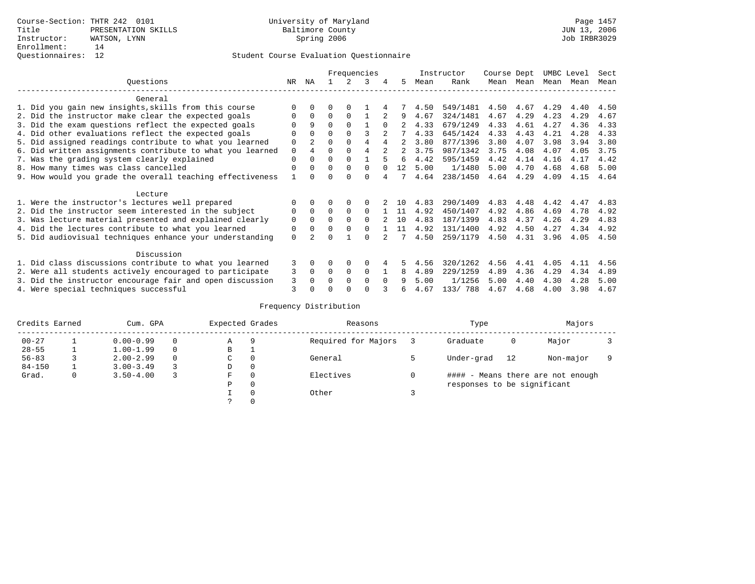|                                                           |             |              |          |          | Frequencies    |          |             |      | Instructor | Course Dept |      | UMBC Level |      | Sect |
|-----------------------------------------------------------|-------------|--------------|----------|----------|----------------|----------|-------------|------|------------|-------------|------|------------|------|------|
| Ouestions                                                 | NR.         | ΝA           |          |          | 3              |          | 5.          | Mean | Rank       | Mean        | Mean | Mean       | Mean | Mean |
| General                                                   |             |              |          |          |                |          |             |      |            |             |      |            |      |      |
| 1. Did you gain new insights, skills from this course     | ∩           |              | O        | ∩        |                |          |             | 4.50 | 549/1481   | 4.50        | 4.67 | 4.29       | 4.40 | 4.50 |
| 2. Did the instructor make clear the expected goals       | $\Omega$    | $\Omega$     | $\Omega$ | $\Omega$ |                |          | 9           | 4.67 | 324/1481   | 4.67        | 4.29 | 4.23       | 4.29 | 4.67 |
| 3. Did the exam questions reflect the expected goals      |             | 9            | $\Omega$ | $\Omega$ |                | $\Omega$ |             | 4.33 | 679/1249   | 4.33        | 4.61 | 4.27       | 4.36 | 4.33 |
| 4. Did other evaluations reflect the expected goals       | $\Omega$    |              | $\Omega$ |          |                |          |             | 4.33 | 645/1424   | 4.33        | 4.43 | 4.21       | 4.28 | 4.33 |
| 5. Did assigned readings contribute to what you learned   | 0           |              | $\Omega$ |          | 4              |          |             | 3.80 | 877/1396   | 3.80        | 4.07 | 3.98       | 3.94 | 3.80 |
| 6. Did written assignments contribute to what you learned | $\mathbf 0$ |              | $\Omega$ |          | $\overline{4}$ |          | $2^{\circ}$ | 3.75 | 987/1342   | 3.75        | 4.08 | 4.07       | 4.05 | 3.75 |
| 7. Was the grading system clearly explained               | $\Omega$    |              | $\Omega$ |          |                | 5        | 6           | 4.42 | 595/1459   | 4.42        | 4.14 | 4.16       | 4.17 | 4.42 |
| 8. How many times was class cancelled                     | $\Omega$    | <sup>0</sup> | $\Omega$ | $\Omega$ | $\Omega$       | $\cap$   | 12          | 5.00 | 1/1480     | 5.00        | 4.70 | 4.68       | 4.68 | 5.00 |
| 9. How would you grade the overall teaching effectiveness |             |              | U        | ∩        | $\cap$         |          |             | 4.64 | 238/1450   | 4.64        | 4.29 | 4.09       | 4.15 | 4.64 |
| Lecture                                                   |             |              |          |          |                |          |             |      |            |             |      |            |      |      |
| 1. Were the instructor's lectures well prepared           |             |              |          |          | $\Omega$       |          | 1 O         | 4.83 | 290/1409   | 4.83        | 4.48 | 4.42       | 4.47 | 4.83 |
| 2. Did the instructor seem interested in the subject      | 0           | $\Omega$     | $\Omega$ | $\Omega$ | $\Omega$       |          | 11          | 4.92 | 450/1407   | 4.92        | 4.86 | 4.69       | 4.78 | 4.92 |
| 3. Was lecture material presented and explained clearly   | $\mathbf 0$ | $\Omega$     | $\Omega$ |          | $\Omega$       |          | 1 O         | 4.83 | 187/1399   | 4.83        | 4.37 | 4.26       | 4.29 | 4.83 |
| 4. Did the lectures contribute to what you learned        | 0           |              | $\Omega$ |          | $\cap$         |          | 11          | 4.92 | 131/1400   | 4.92        | 4.50 | 4.27       | 4.34 | 4.92 |
| 5. Did audiovisual techniques enhance your understanding  | $\Omega$    |              | U        |          | $\cap$         |          |             | 4.50 | 259/1179   | 4.50        | 4.31 | 3.96       | 4.05 | 4.50 |
| Discussion                                                |             |              |          |          |                |          |             |      |            |             |      |            |      |      |
| 1. Did class discussions contribute to what you learned   | 3           |              | O        | $\Omega$ | $\Omega$       |          | 5           | 4.56 | 320/1262   | 4.56        | 4.41 | 4.05       | 4.11 | 4.56 |
| 2. Were all students actively encouraged to participate   | 3           | $\Omega$     | $\Omega$ | 0        | $\Omega$       |          | 8           | 4.89 | 229/1259   | 4.89        | 4.36 | 4.29       | 4.34 | 4.89 |
| 3. Did the instructor encourage fair and open discussion  | 3           |              | O        | $\Omega$ | $\Omega$       | $\Omega$ |             | 5.00 | 1/1256     | 5.00        | 4.40 | 4.30       | 4.28 | 5.00 |
| 4. Were special techniques successful                     | 3           |              |          |          | ∩              |          |             | 4.67 | 133/ 788   | 4.67        | 4.68 | 4.00       | 3.98 | 4.67 |

| Credits Earned |   | Cum. GPA      |   | Expected Grades |          | Reasons             | Type                        |    | Majors                            |  |
|----------------|---|---------------|---|-----------------|----------|---------------------|-----------------------------|----|-----------------------------------|--|
| $00 - 27$      |   | $0.00 - 0.99$ |   | Α               | 9        | Required for Majors | Graduate                    | 0  | Major                             |  |
| $28 - 55$      |   | $1.00 - 1.99$ |   | В               |          |                     |                             |    |                                   |  |
| $56 - 83$      |   | $2.00 - 2.99$ | 0 | $\sim$<br>◡     | $\Omega$ | General             | Under-grad                  | 12 | Non-major                         |  |
| $84 - 150$     |   | $3.00 - 3.49$ |   | D               | 0        |                     |                             |    |                                   |  |
| Grad.          | 0 | $3.50 - 4.00$ |   | F               | 0        | Electives           |                             |    | #### - Means there are not enough |  |
|                |   |               |   | Ρ               | 0        |                     | responses to be significant |    |                                   |  |
|                |   |               |   |                 | 0        | Other               |                             |    |                                   |  |
|                |   |               |   | $\mathcal{L}$   |          |                     |                             |    |                                   |  |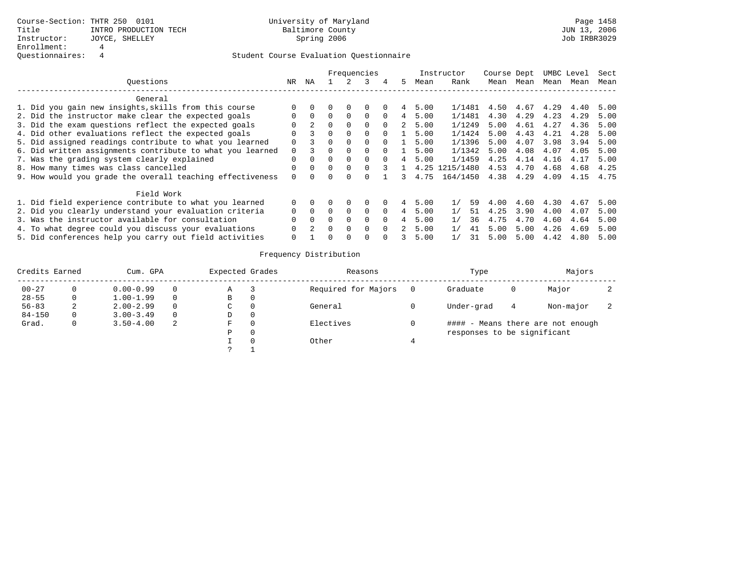|                                                           |          |          |          |          | Frequencies  |          |   |      | Instructor | Course Dept |      |      | UMBC Level | Sect |
|-----------------------------------------------------------|----------|----------|----------|----------|--------------|----------|---|------|------------|-------------|------|------|------------|------|
| Ouestions                                                 | NR.      | ΝA       |          |          |              | 4        | 5 | Mean | Rank       | Mean        | Mean | Mean | Mean       | Mean |
| General                                                   |          |          |          |          |              |          |   |      |            |             |      |      |            |      |
| 1. Did you gain new insights, skills from this course     |          |          |          | $\Omega$ | 0            |          | 4 | 5.00 | 1/1481     | 4.50        | 4.67 | 4.29 | 4.40       | 5.00 |
| 2. Did the instructor make clear the expected goals       | $\Omega$ | $\Omega$ |          | $\Omega$ | $\Omega$     | $\Omega$ | 4 | 5.00 | 1/1481     | 4.30        | 4.29 | 4.23 | 4.29       | 5.00 |
| 3. Did the exam questions reflect the expected goals      |          |          | 0        | $\Omega$ | $\Omega$     | $\Omega$ | 2 | 5.00 | 1/1249     | 5.00        | 4.61 | 4.27 | 4.36       | 5.00 |
| 4. Did other evaluations reflect the expected goals       | 0        |          | 0        | $\Omega$ | $\Omega$     | $\Omega$ |   | 5.00 | 1/1424     | 5.00        | 4.43 | 4.21 | 4.28       | 5.00 |
| 5. Did assigned readings contribute to what you learned   | 0        |          |          | $\Omega$ | 0            | $\Omega$ |   | 5.00 | 1/1396     | 5.00        | 4.07 | 3.98 | 3.94       | 5.00 |
| 6. Did written assignments contribute to what you learned |          |          |          | $\Omega$ | $\Omega$     | $\cap$   |   | 5.00 | 1/1342     | 5.00        | 4.08 | 4.07 | 4.05       | 5.00 |
| 7. Was the grading system clearly explained               | $\Omega$ | $\Omega$ | $\Omega$ | $\Omega$ | $\Omega$     | $\Omega$ |   | 5.00 | 1/1459     | 4.25        | 4.14 | 4.16 | 4.17       | 5.00 |
| 8. How many times was class cancelled                     | O        | $\Omega$ | $\Omega$ | $\Omega$ |              |          |   | 4.25 | 1215/1480  | 4.53        | 4.70 | 4.68 | 4.68       | 4.25 |
| 9. How would you grade the overall teaching effectiveness | $\Omega$ |          |          |          |              |          |   | 4.75 | 164/1450   | 4.38        | 4.29 | 4.09 | 4.15       | 4.75 |
| Field Work                                                |          |          |          |          |              |          |   |      |            |             |      |      |            |      |
| 1. Did field experience contribute to what you learned    | $\Omega$ |          |          | $\Omega$ | 0            |          | 4 | 5.00 | 59<br>1/   | 4.00        | 4.60 | 4.30 | 4.67       | 5.00 |
| 2. Did you clearly understand your evaluation criteria    | $\Omega$ | $\Omega$ | $\Omega$ | $\Omega$ | $\Omega$     | $\Omega$ | 4 | 5.00 | 1/<br>51   | 4.25        | 3.90 | 4.00 | 4.07       | 5.00 |
| 3. Was the instructor available for consultation          |          | $\Omega$ | $\Omega$ | $\Omega$ | $\Omega$     | $\Omega$ | 4 | 5.00 | 1/<br>36   | 4.75        | 4.70 | 4.60 | 4.64       | 5.00 |
| 4. To what degree could you discuss your evaluations      |          |          | $\Omega$ | $\Omega$ | $\Omega$     | $\Omega$ |   | 5.00 | 1/<br>41   | 5.00        | 5.00 | 4.26 | 4.69       | 5.00 |
| 5. Did conferences help you carry out field activities    |          |          |          | $\Omega$ | <sup>0</sup> |          |   | 5.00 | 31         | 5.00        | 5.00 | 4.42 | 4.80       | 5.00 |

| Credits Earned |    | Cum. GPA      |          | Expected Grades | Reasons             | Type                        |   | Majors                            |  |
|----------------|----|---------------|----------|-----------------|---------------------|-----------------------------|---|-----------------------------------|--|
| $00 - 27$      |    | $0.00 - 0.99$ | 0        | Α               | Required for Majors | Graduate                    | O | Major                             |  |
| $28 - 55$      | 0  | $1.00 - 1.99$ | $\Omega$ | В               |                     |                             |   |                                   |  |
| $56 - 83$      | z. | $2.00 - 2.99$ | $\Omega$ | C               | General             | Under-grad                  | 4 | Non-major                         |  |
| $84 - 150$     | 0. | $3.00 - 3.49$ | $\Omega$ | D               |                     |                             |   |                                   |  |
| Grad.          |    | $3.50 - 4.00$ | 2        | F               | Electives           |                             |   | #### - Means there are not enough |  |
|                |    |               |          | P               |                     | responses to be significant |   |                                   |  |
|                |    |               |          |                 | Other               |                             |   |                                   |  |
|                |    |               |          |                 |                     |                             |   |                                   |  |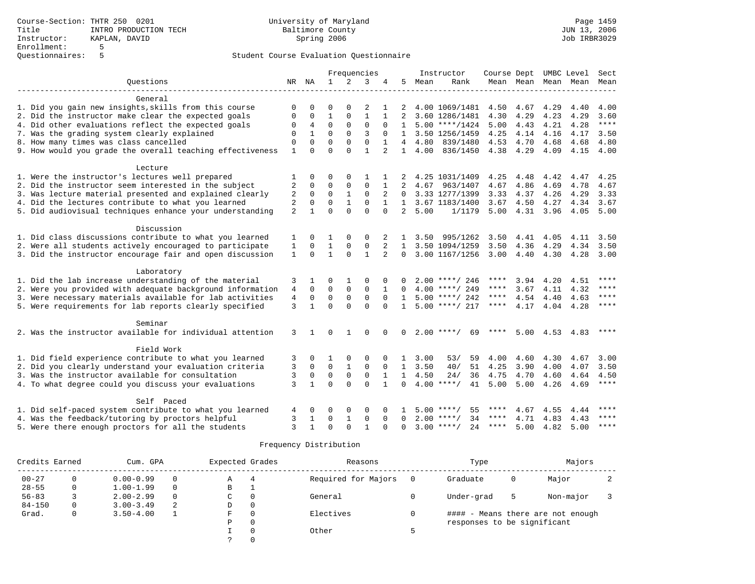|                                                           |                |              |              |                | Frequencies  |                |                |      | Instructor          |      |           |                     | Course Dept UMBC Level | Sect        |
|-----------------------------------------------------------|----------------|--------------|--------------|----------------|--------------|----------------|----------------|------|---------------------|------|-----------|---------------------|------------------------|-------------|
| Ouestions                                                 |                | NR NA        | $\mathbf{1}$ | $\mathfrak{D}$ | 3            |                | 5              | Mean | Rank                |      |           | Mean Mean Mean Mean |                        | Mean        |
| General                                                   |                |              |              |                |              |                |                |      |                     |      |           |                     |                        |             |
| 1. Did you gain new insights, skills from this course     | 0              | $\Omega$     | 0            | $\Omega$       | 2            | 1              | 2              |      | 4.00 1069/1481      |      | 4.50 4.67 | 4.29                | 4.40                   | 4.00        |
| 2. Did the instructor make clear the expected goals       | 0              | 0            | $\mathbf{1}$ | $\mathbf{0}$   | $\mathbf{1}$ | 1              | 2              |      | 3.60 1286/1481      | 4.30 | 4.29      | 4.23                | 4.29                   | 3.60        |
| 4. Did other evaluations reflect the expected goals       | 0              | 4            | $\mathbf 0$  | $\mathbf 0$    | 0            | $\Omega$       | $\mathbf{1}$   |      | $5.00$ ****/1424    | 5.00 | 4.43      | 4.21                | 4.28                   | ****        |
| 7. Was the grading system clearly explained               | 0              | $\mathbf{1}$ | $\Omega$     | $\Omega$       | 3            | $\Omega$       | $\mathbf{1}$   |      | 3.50 1256/1459      | 4.25 | 4.14      | 4.16                | 4.17                   | 3.50        |
| 8. How many times was class cancelled                     | $\mathbf 0$    | $\Omega$     | $\Omega$     | $\Omega$       | $\Omega$     | $\mathbf{1}$   | 4              | 4.80 | 839/1480            | 4.53 | 4.70      | 4.68                | 4.68                   | 4.80        |
| 9. How would you grade the overall teaching effectiveness | $\mathbf{1}$   | $\Omega$     | $\Omega$     | $\Omega$       | $\mathbf{1}$ | $\overline{a}$ | $\mathbf{1}$   | 4.00 | 836/1450            | 4.38 | 4.29      | 4.09                | 4.15                   | 4.00        |
| Lecture                                                   |                |              |              |                |              |                |                |      |                     |      |           |                     |                        |             |
| 1. Were the instructor's lectures well prepared           | 1              | 0            | 0            | 0              | 1            |                |                |      | 4.25 1031/1409      | 4.25 | 4.48      | 4.42                | 4.47                   | 4.25        |
| 2. Did the instructor seem interested in the subject      | $\overline{2}$ | $\mathbf 0$  | $\Omega$     | $\Omega$       | $\Omega$     | $\mathbf{1}$   | $\overline{2}$ | 4.67 | 963/1407            | 4.67 | 4.86      | 4.69                | 4.78                   | 4.67        |
| 3. Was lecture material presented and explained clearly   | 2              | $\mathbf 0$  | $\mathbf 0$  | $\mathbf{1}$   | $\Omega$     | 2              | $\Omega$       |      | 3.33 1277/1399      | 3.33 | 4.37      | 4.26                | 4.29                   | 3.33        |
| 4. Did the lectures contribute to what you learned        | 2              | $\mathbf 0$  | $\Omega$     | $\mathbf{1}$   | $\Omega$     | $\mathbf{1}$   | $\mathbf{1}$   |      | 3.67 1183/1400      | 3.67 | 4.50      | 4.27                | 4.34                   | 3.67        |
| 5. Did audiovisual techniques enhance your understanding  | 2              | $\mathbf{1}$ | $\Omega$     | $\Omega$       | $\Omega$     | $\Omega$       | $\overline{2}$ | 5.00 | 1/1179              | 5.00 | 4.31      | 3.96                | 4.05                   | 5.00        |
| Discussion                                                |                |              |              |                |              |                |                |      |                     |      |           |                     |                        |             |
| 1. Did class discussions contribute to what you learned   | 1              | $\Omega$     | 1            | 0              | 0            |                | 1              | 3.50 | 995/1262            | 3.50 | 4.41      | 4.05                | 4.11                   | 3.50        |
| 2. Were all students actively encouraged to participate   | 1              | $\Omega$     | 1            | 0              | $\mathbf 0$  | 2              | 1              |      | 3.50 1094/1259      | 3.50 | 4.36      | 4.29                | 4.34                   | 3.50        |
| 3. Did the instructor encourage fair and open discussion  | $\mathbf{1}$   | $\Omega$     | $\mathbf{1}$ | $\Omega$       | $\mathbf{1}$ | $\overline{a}$ | $\Omega$       |      | 3.00 1167/1256      | 3.00 | 4.40      | 4.30                | 4.28                   | 3.00        |
| Laboratory                                                |                |              |              |                |              |                |                |      |                     |      |           |                     |                        |             |
| 1. Did the lab increase understanding of the material     | 3              | 1            | 0            | 1              | 0            | 0              | 0              |      | $2.00$ ****/ 246    | **** | 3.94      | 4.20                | 4.51                   | ****        |
| 2. Were you provided with adequate background information | 4              | $\mathbf 0$  | $\mathbf 0$  | $\mathbf 0$    | $\mathbf 0$  | 1              | $\Omega$       |      | $4.00$ ****/ 249    | **** | 3.67      | 4.11                | 4.32                   | $* * * *$   |
| 3. Were necessary materials available for lab activities  | $\overline{4}$ | $\mathbf 0$  | $\Omega$     | $\Omega$       | $\Omega$     | $\Omega$       | $\mathbf{1}$   |      | $5.00$ ****/ 242    | **** | 4.54      | 4.40                | 4.63                   | $* * * *$   |
| 5. Were requirements for lab reports clearly specified    | 3              | $\mathbf{1}$ | $\Omega$     | $\Omega$       | $\Omega$     | $\Omega$       | $\mathbf{1}$   |      | $5.00$ ****/ 217    | **** | 4.17      | 4.04                | 4.28                   | ****        |
| Seminar                                                   |                |              |              |                |              |                |                |      |                     |      |           |                     |                        |             |
| 2. Was the instructor available for individual attention  | 3              | $\mathbf{1}$ | $\Omega$     | $\mathbf{1}$   | $\Omega$     | $\Omega$       | $\Omega$       |      | $2.00$ ****/<br>69  |      |           | $5.00 \quad 4.53$   | 4.83                   | ****        |
| Field Work                                                |                |              |              |                |              |                |                |      |                     |      |           |                     |                        |             |
| 1. Did field experience contribute to what you learned    | 3              | 0            | 1            | 0              | 0            | $\Omega$       | $\mathbf{1}$   | 3.00 | 53/<br>59           | 4.00 | 4.60      | 4.30                | 4.67                   | 3.00        |
| 2. Did you clearly understand your evaluation criteria    | 3              | $\mathbf 0$  | $\Omega$     | $\mathbf{1}$   | $\Omega$     | $\Omega$       | $\overline{1}$ | 3.50 | 51<br>40/           | 4.25 | 3.90      | 4.00                | 4.07                   | 3.50        |
| 3. Was the instructor available for consultation          | 3              | $\mathbf 0$  | 0            | $\Omega$       | $\mathbf 0$  | -1             | $\mathbf{1}$   | 4.50 | 24/<br>36           | 4.75 | 4.70      | 4.60                | 4.64                   | 4.50        |
| 4. To what degree could you discuss your evaluations      | 3              | $\mathbf{1}$ | $\Omega$     | $\Omega$       | $\Omega$     | $\mathbf{1}$   | $\Omega$       |      | $4.00$ ****/<br>41  | 5.00 | 5.00      | 4.26                | 4.69                   | $***$ * * * |
| Self Paced                                                |                |              |              |                |              |                |                |      |                     |      |           |                     |                        |             |
| 1. Did self-paced system contribute to what you learned   | 4              | 0            | 0            | 0              | 0            | $\Omega$       | 1              |      | $5.00$ ****/<br>55  | **** | 4.67      | 4.55                | 4.44                   |             |
| 4. Was the feedback/tutoring by proctors helpful          | 3              | 1            | $\mathbf 0$  | $\mathbf{1}$   | 0            | $\Omega$       | $\Omega$       |      | $2.00$ ****/<br>34  | **** | 4.71      | 4.83                | 4.43                   | ****        |
| 5. Were there enough proctors for all the students        | 3              | $\mathbf{1}$ | 0            | $\Omega$       | $\mathbf{1}$ | $\Omega$       | $\Omega$       |      | 2.4<br>$3.00$ ****/ | **** | 5.00      | 4.82                | 5.00                   | ****        |

| Credits Earned |              | Cum. GPA      |          | Expected Grades |          | Reasons             |     | Type                        |   | Majors                            |  |
|----------------|--------------|---------------|----------|-----------------|----------|---------------------|-----|-----------------------------|---|-----------------------------------|--|
| $00 - 27$      | 0            | $0.00 - 0.99$ | 0        | Α               | 4        | Required for Majors | - 0 | Graduate                    | 0 | Major                             |  |
| $28 - 55$      | 0            | $1.00 - 1.99$ | $\Omega$ | В               |          |                     |     |                             |   |                                   |  |
| $56 - 83$      |              | $2.00 - 2.99$ | $\Omega$ | C               | 0        | General             |     | Under-grad                  | 5 | Non-major                         |  |
| $84 - 150$     | 0            | $3.00 - 3.49$ | 2        | D               | 0        |                     |     |                             |   |                                   |  |
| Grad.          | $\mathbf{0}$ | $3.50 - 4.00$ |          | F.              | $\Omega$ | Electives           |     |                             |   | #### - Means there are not enough |  |
|                |              |               |          | Ρ               | 0        |                     |     | responses to be significant |   |                                   |  |
|                |              |               |          |                 | $\Omega$ | Other               |     |                             |   |                                   |  |
|                |              |               |          |                 | $\Omega$ |                     |     |                             |   |                                   |  |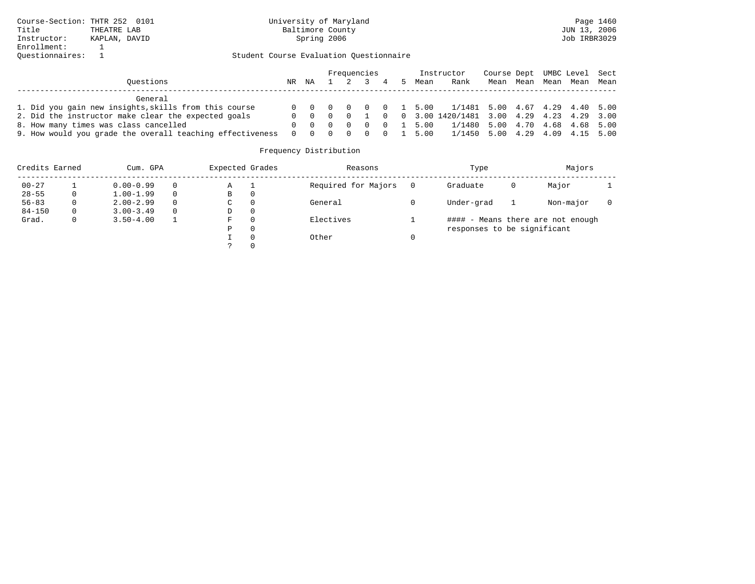|                                                           |    |    |                 | Frequencies |  |                    | Instructor                                                 | Course Dept UMBC Level Sect |      |      |           |  |
|-----------------------------------------------------------|----|----|-----------------|-------------|--|--------------------|------------------------------------------------------------|-----------------------------|------|------|-----------|--|
| Ouestions                                                 | NR | NA | $1 \t2 \t3 \t4$ |             |  | Mean               | Rank                                                       | Mean                        | Mean | Mean | Mean Mean |  |
| General                                                   |    |    |                 |             |  |                    |                                                            |                             |      |      |           |  |
| 1. Did you gain new insights, skills from this course     |    |    |                 |             |  |                    | 0 0 0 0 0 0 1 5.00 1/1481 5.00 4.67 4.29 4.40 5.00         |                             |      |      |           |  |
| 2. Did the instructor make clear the expected goals       |    |    |                 |             |  |                    | 0 0 0 0 1 0 0 3.00 1420/1481 3.00 4.29 4.23 4.29 3.00      |                             |      |      |           |  |
| 8. How many times was class cancelled                     |    |    |                 |             |  |                    | 0 0 0 0 0 0 1 5.00 $1/1480$ 5.00 $4.70$ $4.68$ $4.68$ 5.00 |                             |      |      |           |  |
| 9. How would you grade the overall teaching effectiveness |    |    |                 |             |  | 0 0 0 0 0 0 1 5.00 | 1/1450 5.00 4.29 4.09 4.15 5.00                            |                             |      |      |           |  |

| Credits Earned |   | Cum. GPA      |          | Expected Grades |          | Reasons             | Type                        |   | Majors                            |  |
|----------------|---|---------------|----------|-----------------|----------|---------------------|-----------------------------|---|-----------------------------------|--|
| $00 - 27$      |   | $0.00 - 0.99$ | 0        | Α               |          | Required for Majors | Graduate                    | 0 | Major                             |  |
| $28 - 55$      | 0 | $1.00 - 1.99$ | $\Omega$ | В               | 0        |                     |                             |   |                                   |  |
| $56 - 83$      | 0 | $2.00 - 2.99$ | $\Omega$ | C               | 0        | General             | Under-grad                  |   | Non-major                         |  |
| $84 - 150$     | 0 | $3.00 - 3.49$ | $\Omega$ | D               | 0        |                     |                             |   |                                   |  |
| Grad.          | 0 | $3.50 - 4.00$ |          | F               | $\Omega$ | Electives           |                             |   | #### - Means there are not enough |  |
|                |   |               |          | Ρ               | 0        |                     | responses to be significant |   |                                   |  |
|                |   |               |          |                 | $\Omega$ | Other               |                             |   |                                   |  |
|                |   |               |          |                 |          |                     |                             |   |                                   |  |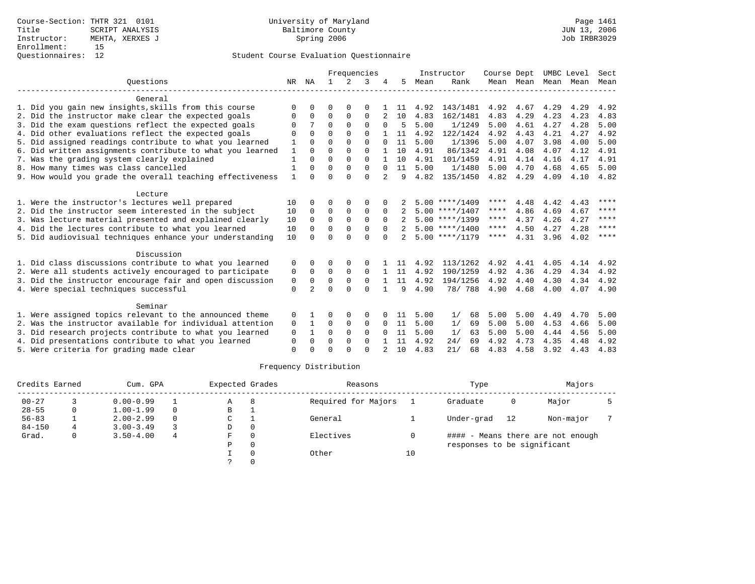|             |                        |              |          |                                   |                         |             |      |                      |                                                                                                                                                          |                                          |                                     |                                   | Sect                                       |
|-------------|------------------------|--------------|----------|-----------------------------------|-------------------------|-------------|------|----------------------|----------------------------------------------------------------------------------------------------------------------------------------------------------|------------------------------------------|-------------------------------------|-----------------------------------|--------------------------------------------|
| NR          | NA                     | $\mathbf{1}$ | $2^{1}$  | 3                                 |                         | 5.          | Mean | Rank                 |                                                                                                                                                          |                                          | Mean                                | Mean                              | Mean                                       |
|             |                        |              |          |                                   |                         |             |      |                      |                                                                                                                                                          |                                          |                                     |                                   |                                            |
| $\Omega$    |                        | $\Omega$     | $\Omega$ | O                                 |                         | -11         | 4.92 | 143/1481             | 4.92                                                                                                                                                     | 4.67                                     | 4.29                                | 4.29                              | 4.92                                       |
| 0           | $\Omega$               | $\Omega$     | $\Omega$ | $\Omega$                          |                         | 10          | 4.83 | 162/1481             | 4.83                                                                                                                                                     | 4.29                                     | 4.23                                | 4.23                              | 4.83                                       |
| O           |                        | $\Omega$     | $\Omega$ | $\Omega$                          | $\Omega$                | 5           | 5.00 | 1/1249               | 5.00                                                                                                                                                     | 4.61                                     | 4.27                                | 4.28                              | 5.00                                       |
| $\Omega$    | $\Omega$               | $\Omega$     | $\Omega$ | $\Omega$                          |                         | 11          | 4.92 | 122/1424             | 4.92                                                                                                                                                     | 4.43                                     | 4.21                                | 4.27                              | 4.92                                       |
|             | $\Omega$               | $\Omega$     | $\Omega$ | $\Omega$                          |                         | 11          | 5.00 | 1/1396               | 5.00                                                                                                                                                     | 4.07                                     | 3.98                                | 4.00                              | 5.00                                       |
| 1           | $\cap$                 | $\Omega$     | $\Omega$ | $\Omega$                          |                         | 10          | 4.91 | 86/1342              | 4.91                                                                                                                                                     | 4.08                                     | 4.07                                | 4.12                              | 4.91                                       |
|             | $\Omega$               | $\Omega$     | $\Omega$ | $\Omega$                          |                         | 1 O         | 4.91 | 101/1459             |                                                                                                                                                          | 4.14                                     | 4.16                                | 4.17                              | 4.91                                       |
|             | $\Omega$               | $\Omega$     | $\Omega$ | $\Omega$                          | $\Omega$                | 11          | 5.00 | 1/1480               | 5.00                                                                                                                                                     | 4.70                                     | 4.68                                | 4.65                              | 5.00                                       |
|             | $\cap$                 | $\Omega$     |          |                                   |                         | 9           |      |                      |                                                                                                                                                          |                                          |                                     |                                   | 4.82                                       |
|             |                        |              |          |                                   |                         |             |      |                      |                                                                                                                                                          |                                          |                                     |                                   |                                            |
| 10          |                        | ∩            | $\Omega$ | $\Omega$                          |                         |             |      |                      | ****                                                                                                                                                     | 4.48                                     | 4.42                                | 4.43                              | ****                                       |
| 10          | $\Omega$               | 0            | 0        | $\Omega$                          | $\Omega$                |             |      |                      | $***$ * * *                                                                                                                                              | 4.86                                     | 4.69                                | 4.67                              | ****                                       |
| 10          | $\Omega$               | $\Omega$     | $\Omega$ | $\Omega$                          | $\Omega$                |             |      |                      | ****                                                                                                                                                     | 4.37                                     | 4.26                                | 4.27                              | $* * * * *$                                |
| 10          | $\Omega$               | $\Omega$     | $\Omega$ | $\Omega$                          | $\Omega$                |             |      |                      | ****                                                                                                                                                     | 4.50                                     | 4.27                                | 4.28                              | ****                                       |
| 10          |                        | $\cap$       | $\cap$   | $\Omega$                          | $\cap$                  |             |      |                      | ****                                                                                                                                                     | 4.31                                     | 3.96                                | 4.02                              | ****                                       |
|             |                        |              |          |                                   |                         |             |      |                      |                                                                                                                                                          |                                          |                                     |                                   |                                            |
| 0           |                        | $\Omega$     | $\Omega$ | <sup>0</sup>                      |                         | 11          | 4.92 |                      | 4.92                                                                                                                                                     | 4.41                                     | 4.05                                | 4.14                              | 4.92                                       |
| 0           | $\Omega$               | $\Omega$     | $\Omega$ | $\Omega$                          |                         | 11          | 4.92 | 190/1259             | 4.92                                                                                                                                                     | 4.36                                     | 4.29                                | 4.34                              | 4.92                                       |
| 0           | $\Omega$               | $\Omega$     | $\Omega$ | $\Omega$                          |                         | 11          | 4.92 | 194/1256             | 4.92                                                                                                                                                     | 4.40                                     | 4.30                                | 4.34                              | 4.92                                       |
| $\mathbf 0$ | $\mathfrak{D}$         | $\Omega$     | $\Omega$ | $\Omega$                          |                         | 9           | 4.90 | 78/ 788              | 4.90                                                                                                                                                     | 4.68                                     | 4.00                                | 4.07                              | 4.90                                       |
|             |                        |              |          |                                   |                         |             |      |                      |                                                                                                                                                          |                                          |                                     |                                   |                                            |
|             |                        | $\Omega$     |          | $\Omega$                          |                         | 11          |      |                      |                                                                                                                                                          |                                          |                                     |                                   | 5.00                                       |
|             |                        |              |          |                                   | $\Omega$                |             |      |                      |                                                                                                                                                          |                                          |                                     |                                   | 5.00                                       |
| $\Omega$    |                        | $\Omega$     | $\Omega$ | $\Omega$                          | $\Omega$                | 11          | 5.00 | 63                   | 5.00                                                                                                                                                     | 5.00                                     | 4.44                                |                                   | 5.00                                       |
| $\Omega$    | $\Omega$               | $\Omega$     | $\Omega$ | $\Omega$                          |                         | 11          | 4.92 | 24/<br>69            | 4.92                                                                                                                                                     | 4.73                                     | 4.35                                | 4.48                              | 4.92                                       |
| $\Omega$    |                        | ∩            | $\cap$   | $\cap$                            | $\mathcal{L}$           | 10          | 4.83 | 21/<br>68            | 4.83                                                                                                                                                     | 4.58                                     | 3.92                                | 4.43                              | 4.83                                       |
|             | $\mathbf{1}$<br>0<br>0 |              | 0        | $\cap$<br>$\Omega$<br>$\mathbf 0$ | $\Omega$<br>$\mathbf 0$ | Frequencies | 11   | 4.82<br>5.00<br>5.00 | Instructor<br>135/1450<br>$5.00$ ****/1409<br>$5.00$ ****/1407<br>$5.00$ ****/1399<br>$5.00$ ****/1400<br>$5.00$ ****/1179<br>1/<br>68<br>1/<br>69<br>1/ | 4.91<br>4.82<br>113/1262<br>5.00<br>5.00 | Course Dept<br>4.29<br>5.00<br>5.00 | Mean Mean<br>4.09<br>4.49<br>4.53 | UMBC Level<br>4.10<br>4.70<br>4.66<br>4.56 |

| Credits Earned |   | Cum. GPA      |   | Expected Grades |          | Reasons             |    | Type                        |    | Majors                            |  |
|----------------|---|---------------|---|-----------------|----------|---------------------|----|-----------------------------|----|-----------------------------------|--|
| $00 - 27$      |   | $0.00 - 0.99$ |   | Α               | 8        | Required for Majors |    | Graduate                    | 0  | Major                             |  |
| $28 - 55$      | 0 | $1.00 - 1.99$ |   | В               |          |                     |    |                             |    |                                   |  |
| $56 - 83$      |   | $2.00 - 2.99$ |   | C               |          | General             |    | Under-grad                  | 12 | Non-major                         |  |
| $84 - 150$     |   | $3.00 - 3.49$ |   | D               | 0        |                     |    |                             |    |                                   |  |
| Grad.          | 0 | $3.50 - 4.00$ | 4 | F               | $\Omega$ | Electives           |    |                             |    | #### - Means there are not enough |  |
|                |   |               |   | Ρ               | 0        |                     |    | responses to be significant |    |                                   |  |
|                |   |               |   |                 | $\Omega$ | Other               | 10 |                             |    |                                   |  |
|                |   |               |   |                 |          |                     |    |                             |    |                                   |  |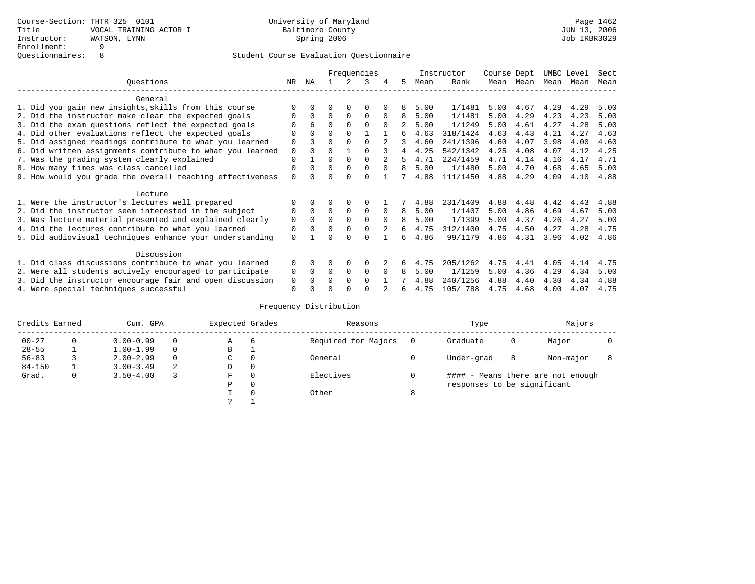|                                                           |          |              |          |          | Frequencies |          |    |      | Instructor | Course Dept |      | UMBC Level |      | Sect |
|-----------------------------------------------------------|----------|--------------|----------|----------|-------------|----------|----|------|------------|-------------|------|------------|------|------|
| Ouestions                                                 | NR       | ΝA           |          |          | २           | 4        | 5  | Mean | Rank       | Mean        | Mean | Mean Mean  |      | Mean |
| General                                                   |          |              |          |          |             |          |    |      |            |             |      |            |      |      |
| 1. Did you gain new insights, skills from this course     |          |              |          | $\Omega$ |             |          | 8  | 5.00 | 1/1481     | 5.00        | 4.67 | 4.29       | 4.29 | 5.00 |
| 2. Did the instructor make clear the expected goals       |          | $\Omega$     | 0        | $\Omega$ | 0           | $\Omega$ | 8  | 5.00 | 1/1481     | 5.00        | 4.29 | 4.23       | 4.23 | 5.00 |
| 3. Did the exam questions reflect the expected goals      |          | 6            | $\Omega$ | $\Omega$ | $\Omega$    | $\Omega$ |    | 5.00 | 1/1249     | 5.00        | 4.61 | 4.27       | 4.28 | 5.00 |
| 4. Did other evaluations reflect the expected goals       | 0        | $\Omega$     | $\Omega$ | $\Omega$ |             |          | б. | 4.63 | 318/1424   | 4.63        | 4.43 | 4.21       | 4.27 | 4.63 |
| 5. Did assigned readings contribute to what you learned   | 0        |              | 0        | $\Omega$ | $\Omega$    |          | 3  | 4.60 | 241/1396   | 4.60        | 4.07 | 3.98       | 4.00 | 4.60 |
| 6. Did written assignments contribute to what you learned | 0        |              | U        |          |             |          | 4  | 4.25 | 542/1342   | 4.25        | 4.08 | 4.07       | 4.12 | 4.25 |
| 7. Was the grading system clearly explained               | 0        |              | 0        | $\Omega$ | $\Omega$    |          | 5  | 4.71 | 224/1459   | 4.71        | 4.14 | 4.16       | 4.17 | 4.71 |
| 8. How many times was class cancelled                     | 0        | <sup>0</sup> | $\Omega$ | $\Omega$ | 0           | $\Omega$ | 8  | 5.00 | 1/1480     | 5.00        | 4.70 | 4.68       | 4.65 | 5.00 |
| 9. How would you grade the overall teaching effectiveness | $\Omega$ |              |          |          | U           |          |    | 4.88 | 111/1450   | 4.88        | 4.29 | 4.09       | 4.10 | 4.88 |
| Lecture                                                   |          |              |          |          |             |          |    |      |            |             |      |            |      |      |
| 1. Were the instructor's lectures well prepared           |          |              |          |          |             |          |    | 4.88 | 231/1409   | 4.88        | 4.48 | 4.42       | 4.43 | 4.88 |
| 2. Did the instructor seem interested in the subject      | 0        | $\mathbf 0$  | 0        | 0        | 0           | $\Omega$ | 8  | 5.00 | 1/1407     | 5.00        | 4.86 | 4.69       | 4.67 | 5.00 |
| 3. Was lecture material presented and explained clearly   | 0        | $\Omega$     | U        | $\Omega$ | $\Omega$    | $\Omega$ | 8  | 5.00 | 1/1399     | 5.00        | 4.37 | 4.26       | 4.27 | 5.00 |
| 4. Did the lectures contribute to what you learned        | 0        |              | 0        | $\Omega$ | 0           |          | 6  | 4.75 | 312/1400   | 4.75        | 4.50 | 4.27       | 4.28 | 4.75 |
| 5. Did audiovisual techniques enhance your understanding  | $\Omega$ |              |          |          |             |          | б. | 4.86 | 99/1179    | 4.86        | 4.31 | 3.96       | 4.02 | 4.86 |
| Discussion                                                |          |              |          |          |             |          |    |      |            |             |      |            |      |      |
| 1. Did class discussions contribute to what you learned   | $\Omega$ | 0            | 0        | $\Omega$ | 0           |          |    | 4.75 | 205/1262   | 4.75        | 4.41 | 4.05       | 4.14 | 4.75 |
| 2. Were all students actively encouraged to participate   | 0        | $\Omega$     | 0        | 0        | 0           | $\Omega$ | 8  | 5.00 | 1/1259     | 5.00        | 4.36 | 4.29       | 4.34 | 5.00 |
| 3. Did the instructor encourage fair and open discussion  | 0        |              |          | $\Omega$ | $\Omega$    |          |    | 4.88 | 240/1256   | 4.88        | 4.40 | 4.30       | 4.34 | 4.88 |
| 4. Were special techniques successful                     | 0        |              |          |          |             |          | 6  | 4.75 | 105/ 788   | 4.75        | 4.68 | 4.00       | 4.07 | 4.75 |

| Credits Earned |          | Cum. GPA      |   | Expected Grades |          | Reasons             |   | Type                        |   | Majors                            |  |
|----------------|----------|---------------|---|-----------------|----------|---------------------|---|-----------------------------|---|-----------------------------------|--|
| $00 - 27$      | $\Omega$ | $0.00 - 0.99$ |   | А               | 6        | Required for Majors | 0 | Graduate                    | 0 | Major                             |  |
| $28 - 55$      | ᅩ        | $1.00 - 1.99$ |   | В               | ÷        |                     |   |                             |   |                                   |  |
| $56 - 83$      |          | $2.00 - 2.99$ |   | $\sim$<br>◡     | 0        | General             |   | Under-grad                  | 8 | Non-major                         |  |
| $84 - 150$     |          | $3.00 - 3.49$ | 2 | D               | 0        |                     |   |                             |   |                                   |  |
| Grad.          | 0        | $3.50 - 4.00$ |   | F               | 0        | Electives           | 0 |                             |   | #### - Means there are not enough |  |
|                |          |               |   | Ρ               | 0        |                     |   | responses to be significant |   |                                   |  |
|                |          |               |   |                 | $\Omega$ | Other               | 8 |                             |   |                                   |  |
|                |          |               |   | C               |          |                     |   |                             |   |                                   |  |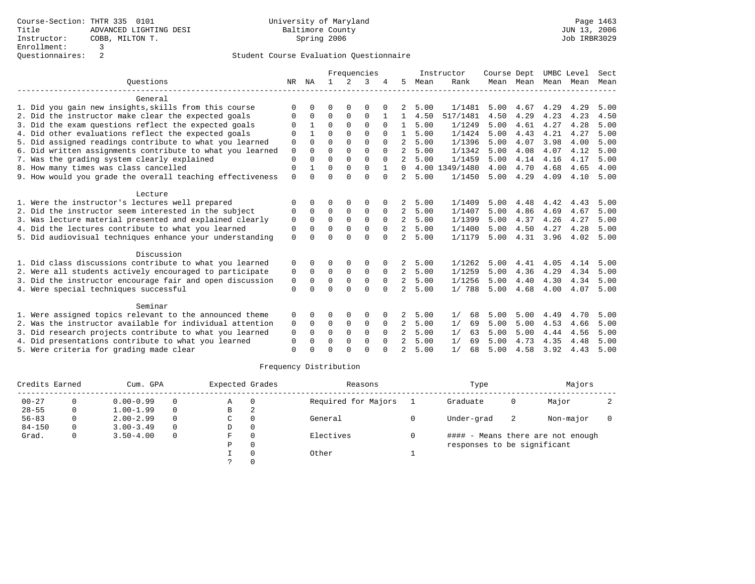|                                                           |             |          |          |          | Frequencies |          |                |      | Instructor     | Course Dept |                |      | UMBC Level | Sect |
|-----------------------------------------------------------|-------------|----------|----------|----------|-------------|----------|----------------|------|----------------|-------------|----------------|------|------------|------|
| Ouestions                                                 | NR          | ΝA       |          | 2        | 3           |          | 5              | Mean | Rank           |             | Mean Mean Mean |      | Mean       | Mean |
| General                                                   |             |          |          |          |             |          |                |      |                |             |                |      |            |      |
| 1. Did you gain new insights, skills from this course     | ∩           |          | O        |          | $\Omega$    |          | 2              | 5.00 | 1/1481         | 5.00        | 4.67           | 4.29 | 4.29       | 5.00 |
| 2. Did the instructor make clear the expected goals       | 0           | $\Omega$ | $\Omega$ | 0        | $\Omega$    |          |                | 4.50 | 517/1481       | 4.50        | 4.29           | 4.23 | 4.23       | 4.50 |
| 3. Did the exam questions reflect the expected goals      | $\Omega$    |          | $\Omega$ | $\Omega$ | $\mathbf 0$ | $\Omega$ | $\mathbf{1}$   | 5.00 | 1/1249         | 5.00        | 4.61           | 4.27 | 4.28       | 5.00 |
| 4. Did other evaluations reflect the expected goals       | $\Omega$    |          | $\Omega$ | $\Omega$ | ∩           |          |                | 5.00 | 1/1424         | 5.00        | 4.43           | 4.21 | 4.27       | 5.00 |
| 5. Did assigned readings contribute to what you learned   | 0           | $\Omega$ | $\Omega$ | $\Omega$ | $\Omega$    |          | 2              | 5.00 | 1/1396         | 5.00        | 4.07           | 3.98 | 4.00       | 5.00 |
| 6. Did written assignments contribute to what you learned | $\mathbf 0$ | $\Omega$ | $\Omega$ | $\Omega$ | $\Omega$    | $\Omega$ | 2              | 5.00 | 1/1342         | 5.00        | 4.08           | 4.07 | 4.12       | 5.00 |
| 7. Was the grading system clearly explained               | $\Omega$    |          | $\Omega$ | $\Omega$ | $\Omega$    | $\Omega$ | 2              | 5.00 | 1/1459         | 5.00        | 4.14           | 4.16 | 4.17       | 5.00 |
| 8. How many times was class cancelled                     | $\Omega$    |          | $\Omega$ | $\Omega$ | $\Omega$    |          | 0              |      | 4.00 1349/1480 | 4.00        | 4.70           | 4.68 | 4.65       | 4.00 |
| 9. How would you grade the overall teaching effectiveness | $\Omega$    | $\cap$   | $\Omega$ | $\cap$   | $\Omega$    | $\Omega$ | $2^{\circ}$    | 5.00 | 1/1450         | 5.00        | 4.29           | 4.09 | 4.10       | 5.00 |
| Lecture                                                   |             |          |          |          |             |          |                |      |                |             |                |      |            |      |
| 1. Were the instructor's lectures well prepared           | ∩           |          | ∩        |          | $\Omega$    |          | 2              | 5.00 | 1/1409         | 5.00        | 4.48           | 4.42 | 4.43       | 5.00 |
| 2. Did the instructor seem interested in the subject      | $\Omega$    | $\Omega$ | $\Omega$ | 0        | 0           | $\Omega$ | 2              | 5.00 | 1/1407         | 5.00        | 4.86           | 4.69 | 4.67       | 5.00 |
| 3. Was lecture material presented and explained clearly   | $\mathbf 0$ | $\Omega$ | $\Omega$ | $\Omega$ | $\Omega$    | $\Omega$ | $\overline{a}$ | 5.00 | 1/1399         | 5.00        | 4.37           | 4.26 | 4.27       | 5.00 |
| 4. Did the lectures contribute to what you learned        | $\Omega$    | $\cap$   | $\Omega$ | $\Omega$ | $\Omega$    | $\Omega$ | $\overline{2}$ | 5.00 | 1/1400         | 5.00        | 4.50           | 4.27 | 4.28       | 5.00 |
| 5. Did audiovisual techniques enhance your understanding  | $\Omega$    |          | $\cap$   | $\cap$   | $\Omega$    | $\cap$   | 2              | 5.00 | 1/1179         | 5.00        | 4.31           | 3.96 | 4.02       | 5.00 |
| Discussion                                                |             |          |          |          |             |          |                |      |                |             |                |      |            |      |
| 1. Did class discussions contribute to what you learned   | $\Omega$    |          | ∩        | $\Omega$ | $\Omega$    |          | 2              | 5.00 | 1/1262         | 5.00        | 4.41           | 4.05 | 4.14       | 5.00 |
| 2. Were all students actively encouraged to participate   | 0           | $\Omega$ | $\Omega$ | $\Omega$ | $\Omega$    | $\Omega$ | 2              | 5.00 | 1/1259         | 5.00        | 4.36           | 4.29 | 4.34       | 5.00 |
| 3. Did the instructor encourage fair and open discussion  | 0           | $\Omega$ | $\Omega$ | $\Omega$ | 0           | $\Omega$ | 2              | 5.00 | 1/1256         | 5.00        | 4.40           | 4.30 | 4.34       | 5.00 |
| 4. Were special techniques successful                     | $\Omega$    |          | $\Omega$ | $\Omega$ | $\Omega$    | $\Omega$ | 2              | 5.00 | 1/788          | 5.00        | 4.68           | 4.00 | 4.07       | 5.00 |
| Seminar                                                   |             |          |          |          |             |          |                |      |                |             |                |      |            |      |
| 1. Were assigned topics relevant to the announced theme   | 0           |          | $\Omega$ | $\Omega$ | $\Omega$    |          | 2              | 5.00 | 1/<br>68       | 5.00        | 5.00           | 4.49 | 4.70       | 5.00 |
| 2. Was the instructor available for individual attention  | 0           | $\Omega$ | 0        | 0        | 0           | 0        | 2              | 5.00 | 1/<br>69       | 5.00        | 5.00           | 4.53 | 4.66       | 5.00 |
| 3. Did research projects contribute to what you learned   | $\Omega$    | $\Omega$ | $\Omega$ | $\Omega$ | $\Omega$    | $\Omega$ | 2              | 5.00 | 1/<br>63       | 5.00        | 5.00           | 4.44 | 4.56       | 5.00 |
| 4. Did presentations contribute to what you learned       | $\Omega$    |          | $\Omega$ | $\Omega$ | $\Omega$    | $\Omega$ | $\mathfrak{D}$ | 5.00 | 1/<br>69       | 5.00        | 4.73           | 4.35 | 4.48       | 5.00 |
| 5. Were criteria for grading made clear                   | $\Omega$    |          | $\Omega$ | $\cap$   | $\cap$      |          | $\mathfrak{D}$ | 5.00 | 1/<br>68       | 5.00        | 4.58           | 3.92 | 4.43       | 5.00 |
|                                                           |             |          |          |          |             |          |                |      |                |             |                |      |            |      |

| Credits Earned |    | Cum. GPA      |          | Expected Grades |   | Reasons             | Type                        |    | Majors                            |  |
|----------------|----|---------------|----------|-----------------|---|---------------------|-----------------------------|----|-----------------------------------|--|
| $00 - 27$      |    | $0.00 - 0.99$ | $\Omega$ | Α               |   | Required for Majors | Graduate                    | 0  | Major                             |  |
| $28 - 55$      | 0  | $1.00 - 1.99$ | $\Omega$ | В               | 2 |                     |                             |    |                                   |  |
| $56 - 83$      | 0  | $2.00 - 2.99$ | $\Omega$ | С               |   | General             | Under-grad                  | -2 | Non-major                         |  |
| $84 - 150$     | 0. | $3.00 - 3.49$ | $\Omega$ | D               |   |                     |                             |    |                                   |  |
| Grad.          | 0  | $3.50 - 4.00$ | $\Omega$ | F               |   | Electives           |                             |    | #### - Means there are not enough |  |
|                |    |               |          | D               |   |                     | responses to be significant |    |                                   |  |
|                |    |               |          |                 |   | Other               |                             |    |                                   |  |
|                |    |               |          |                 |   |                     |                             |    |                                   |  |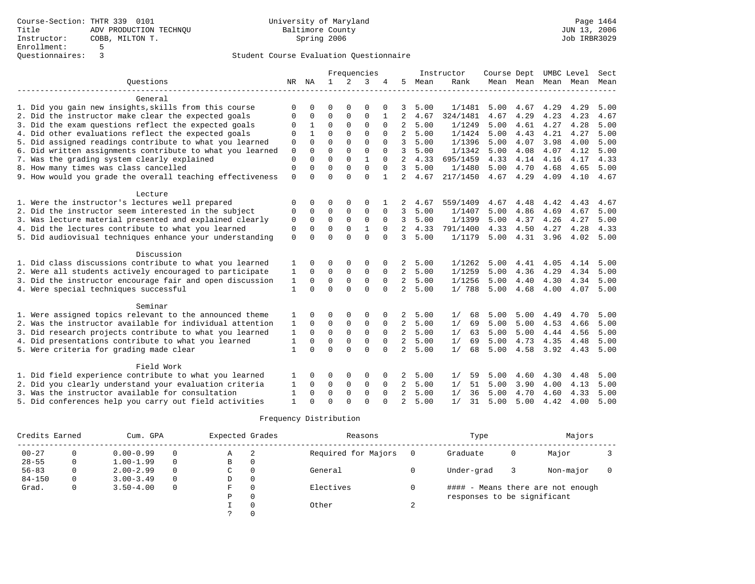|                                                           |              |             |              |                | Frequencies  |              |                |      | Instructor | Course Dept |      | UMBC Level          |      | Sect |
|-----------------------------------------------------------|--------------|-------------|--------------|----------------|--------------|--------------|----------------|------|------------|-------------|------|---------------------|------|------|
| Ouestions                                                 | NR           | NA          | $\mathbf{1}$ | $\overline{a}$ | 3            | 4            | 5              | Mean | Rank       |             |      | Mean Mean Mean Mean |      | Mean |
|                                                           |              |             |              |                |              |              |                |      |            |             |      |                     |      |      |
| General                                                   |              |             |              |                |              |              |                |      |            |             |      |                     |      |      |
| 1. Did you gain new insights, skills from this course     |              |             | ∩            |                | $\Omega$     |              | 3              | 5.00 | 1/1481     | 5.00        | 4.67 | 4.29                | 4.29 | 5.00 |
| 2. Did the instructor make clear the expected goals       | $\Omega$     | $\Omega$    | $\mathbf 0$  | 0              | $\Omega$     |              | 2              | 4.67 | 324/1481   | 4.67        | 4.29 | 4.23                | 4.23 | 4.67 |
| 3. Did the exam questions reflect the expected goals      | $\Omega$     | 1           | $\Omega$     | 0              | $\Omega$     | $\Omega$     | 2              | 5.00 | 1/1249     | 5.00        | 4.61 | 4.27                | 4.28 | 5.00 |
| 4. Did other evaluations reflect the expected goals       | $\Omega$     |             | $\Omega$     | $\Omega$       | $\Omega$     | $\Omega$     | $\overline{a}$ | 5.00 | 1/1424     | 5.00        | 4.43 | 4.21                | 4.27 | 5.00 |
| 5. Did assigned readings contribute to what you learned   | $\mathbf 0$  | $\Omega$    | $\Omega$     | $\Omega$       | $\Omega$     | $\Omega$     | 3              | 5.00 | 1/1396     | 5.00        | 4.07 | 3.98                | 4.00 | 5.00 |
| 6. Did written assignments contribute to what you learned | 0            | $\Omega$    | $\mathbf 0$  | $\mathbf 0$    | $\mathbf 0$  | $\Omega$     | 3              | 5.00 | 1/1342     | 5.00        | 4.08 | 4.07                | 4.12 | 5.00 |
| 7. Was the grading system clearly explained               | $\mathbf 0$  | $\Omega$    | $\Omega$     | $\Omega$       | $\mathbf{1}$ | $\Omega$     | 2              | 4.33 | 695/1459   | 4.33        | 4.14 | 4.16                | 4.17 | 4.33 |
| 8. How many times was class cancelled                     | $\mathbf 0$  | $\Omega$    | $\Omega$     | $\Omega$       | 0            | $\Omega$     | 3              | 5.00 | 1/1480     | 5.00        | 4.70 | 4.68                | 4.65 | 5.00 |
| 9. How would you grade the overall teaching effectiveness | $\Omega$     | $\cap$      | $\Omega$     | $\cap$         | $\Omega$     | $\mathbf{1}$ | 2              | 4.67 | 217/1450   | 4.67        | 4.29 | 4.09                | 4.10 | 4.67 |
|                                                           |              |             |              |                |              |              |                |      |            |             |      |                     |      |      |
| Lecture                                                   |              |             |              |                |              |              |                |      |            |             |      |                     |      |      |
| 1. Were the instructor's lectures well prepared           | $\Omega$     | $\Omega$    | $\Omega$     | 0              | $\Omega$     |              | 2              | 4.67 | 559/1409   | 4.67        | 4.48 | 4.42                | 4.43 | 4.67 |
| 2. Did the instructor seem interested in the subject      | $\Omega$     | $\Omega$    | 0            | $\mathbf 0$    | 0            | $\Omega$     | 3              | 5.00 | 1/1407     | 5.00        | 4.86 | 4.69                | 4.67 | 5.00 |
| 3. Was lecture material presented and explained clearly   | $\Omega$     | $\Omega$    | $\Omega$     | $\Omega$       | $\Omega$     | $\Omega$     | 3              | 5.00 | 1/1399     | 5.00        | 4.37 | 4.26                | 4.27 | 5.00 |
| 4. Did the lectures contribute to what you learned        | $\Omega$     | $\Omega$    | $\Omega$     | $\Omega$       | 1            | $\Omega$     | 2              | 4.33 | 791/1400   | 4.33        | 4.50 | 4.27                | 4.28 | 4.33 |
| 5. Did audiovisual techniques enhance your understanding  | $\Omega$     | $\cap$      | $\cap$       | $\cap$         | $\Omega$     | $\cap$       | 3              | 5.00 | 1/1179     | 5.00        | 4.31 | 3.96                | 4.02 | 5.00 |
|                                                           |              |             |              |                |              |              |                |      |            |             |      |                     |      |      |
| Discussion                                                |              |             |              |                |              |              |                |      |            |             |      |                     |      |      |
| 1. Did class discussions contribute to what you learned   | 1            | $\Omega$    | $\Omega$     | 0              | $\Omega$     | 0            | 2              | 5.00 | 1/1262     | 5.00        | 4.41 | 4.05                | 4.14 | 5.00 |
| 2. Were all students actively encouraged to participate   | 1            | $\Omega$    | 0            | 0              | 0            | 0            | $\overline{a}$ | 5.00 | 1/1259     | 5.00        | 4.36 | 4.29                | 4.34 | 5.00 |
| 3. Did the instructor encourage fair and open discussion  | 1            | 0           | $\mathbf 0$  | $\mathbf{0}$   | $\mathbf 0$  | $\mathbf 0$  | 2              | 5.00 | 1/1256     | 5.00        | 4.40 | 4.30                | 4.34 | 5.00 |
| 4. Were special techniques successful                     | 1            | $\Omega$    | $\Omega$     | $\Omega$       | $\Omega$     | $\Omega$     | 2              | 5.00 | 1/788      | 5.00        | 4.68 | 4.00                | 4.07 | 5.00 |
|                                                           |              |             |              |                |              |              |                |      |            |             |      |                     |      |      |
| Seminar                                                   |              |             |              |                |              |              |                |      |            |             |      |                     |      |      |
| 1. Were assigned topics relevant to the announced theme   | 1            | $\Omega$    | $\Omega$     | $\Omega$       | $\Omega$     | 0            | 2              | 5.00 | 1/<br>68   | 5.00        | 5.00 | 4.49                | 4.70 | 5.00 |
| 2. Was the instructor available for individual attention  | 1            | 0           | 0            | 0              | 0            | 0            | 2              | 5.00 | 1/<br>69   | 5.00        | 5.00 | 4.53                | 4.66 | 5.00 |
| 3. Did research projects contribute to what you learned   | 1            | $\mathbf 0$ | $\mathbf 0$  | $\mathbf 0$    | $\mathbf 0$  | $\mathbf 0$  | $\overline{a}$ | 5.00 | 1/<br>63   | 5.00        | 5.00 | 4.44                | 4.56 | 5.00 |
| 4. Did presentations contribute to what you learned       |              | $\Omega$    | $\mathbf 0$  | $\mathbf{0}$   | $\Omega$     | $\Omega$     | $\overline{a}$ | 5.00 | 69<br>1/   | 5.00        | 4.73 | 4.35                | 4.48 | 5.00 |
| 5. Were criteria for grading made clear                   | $\mathbf{1}$ | $\Omega$    | $\Omega$     | $\Omega$       | $\Omega$     | $\Omega$     | $\overline{2}$ | 5.00 | 1/<br>68   | 5.00        | 4.58 | 3.92                | 4.43 | 5.00 |
|                                                           |              |             |              |                |              |              |                |      |            |             |      |                     |      |      |
| Field Work                                                |              |             |              |                |              |              |                |      |            |             |      |                     |      |      |
| 1. Did field experience contribute to what you learned    |              |             | 0            | $\Omega$       | $\Omega$     | 0            | 2              | 5.00 | 59<br>1/   | 5.00        | 4.60 | 4.30                | 4.48 | 5.00 |
| 2. Did you clearly understand your evaluation criteria    |              | $\Omega$    | 0            | 0              | 0            | 0            | 2              | 5.00 | 51<br>1/   | 5.00        | 3.90 | 4.00                | 4.13 | 5.00 |
| 3. Was the instructor available for consultation          | 1            | $\Omega$    | $\mathbf 0$  | $\mathbf 0$    | $\mathbf 0$  | $\mathbf 0$  | 2              | 5.00 | 36<br>1/   | 5.00        | 4.70 | 4.60                | 4.33 | 5.00 |
| 5. Did conferences help you carry out field activities    | 1            |             | $\Omega$     | $\cap$         | $\Omega$     |              | $\overline{a}$ | 5.00 | 1/<br>31   | 5.00        | 5.00 | 4.42                | 4.00 | 5.00 |

| Credits Earned |   | Cum. GPA      |          | Expected Grades |   | Reasons             | Type                        |   | Majors                            |  |
|----------------|---|---------------|----------|-----------------|---|---------------------|-----------------------------|---|-----------------------------------|--|
| $00 - 27$      |   | $0.00 - 0.99$ | 0        | Α               | 2 | Required for Majors | Graduate                    | 0 | Major                             |  |
| $28 - 55$      | 0 | $1.00 - 1.99$ | $\Omega$ | В               |   |                     |                             |   |                                   |  |
| $56 - 83$      |   | $2.00 - 2.99$ | $\Omega$ | C               |   | General             | Under-grad                  |   | Non-major                         |  |
| $84 - 150$     | 0 | $3.00 - 3.49$ | $\Omega$ | D               |   |                     |                             |   |                                   |  |
| Grad.          | 0 | $3.50 - 4.00$ | $\Omega$ | F               |   | Electives           |                             |   | #### - Means there are not enough |  |
|                |   |               |          | Ρ               |   |                     | responses to be significant |   |                                   |  |
|                |   |               |          |                 |   | Other               |                             |   |                                   |  |
|                |   |               |          |                 |   |                     |                             |   |                                   |  |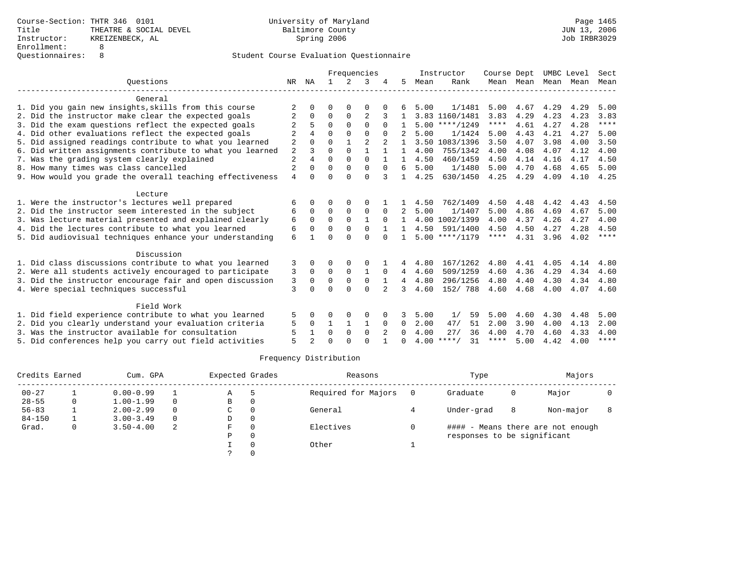|                                                           |                |              |          |             | Frequencies    |                |              |      | Instructor       | Course Dept |           | UMBC Level |      | Sect        |
|-----------------------------------------------------------|----------------|--------------|----------|-------------|----------------|----------------|--------------|------|------------------|-------------|-----------|------------|------|-------------|
| Ouestions                                                 | NR             | ΝA           |          | $2^{\circ}$ | 3              |                | 5            | Mean | Rank             |             | Mean Mean | Mean       | Mean | Mean        |
| General                                                   |                |              |          |             |                |                |              |      |                  |             |           |            |      |             |
| 1. Did you gain new insights, skills from this course     |                |              | U        | ∩           | O              |                |              | 5.00 | 1/1481           | 5.00        | 4.67      | 4.29       | 4.29 | 5.00        |
| 2. Did the instructor make clear the expected goals       | 2              | 0            | $\Omega$ | $\Omega$    | $\overline{2}$ |                |              |      | 3.83 1160/1481   | 3.83        | 4.29      | 4.23       | 4.23 | 3.83        |
| 3. Did the exam questions reflect the expected goals      |                | 5            | $\Omega$ | $\Omega$    | $\Omega$       | $\Omega$       |              |      | $5.00$ ****/1249 | $***$ * * * | 4.61      | 4.27       | 4.28 | $***$ * * * |
| 4. Did other evaluations reflect the expected goals       |                | 4            | $\Omega$ | $\Omega$    | $\cap$         | $\Omega$       |              | 5.00 | 1/1424           | 5.00        | 4.43      | 4.21       | 4.27 | 5.00        |
| 5. Did assigned readings contribute to what you learned   | 2              |              | $\Omega$ |             | $\mathfrak{D}$ |                | 1.           |      | 3.50 1083/1396   | 3.50        | 4.07      | 3.98       | 4.00 | 3.50        |
| 6. Did written assignments contribute to what you learned | $\overline{2}$ | 3            | 0        | $\Omega$    | $\mathbf{1}$   |                | $\mathbf{1}$ | 4.00 | 755/1342         | 4.00        | 4.08      | 4.07       | 4.12 | 4.00        |
| 7. Was the grading system clearly explained               | $\overline{c}$ | 4            | $\Omega$ | $\Omega$    | $\Omega$       |                | 1.           | 4.50 | 460/1459         | 4.50        | 4.14      | 4.16       | 4.17 | 4.50        |
| 8. How many times was class cancelled                     | $\overline{2}$ | $\Omega$     | $\Omega$ | $\Omega$    | $\Omega$       | $\Omega$       | 6            | 5.00 | 1/1480           | 5.00        | 4.70      | 4.68       | 4.65 | 5.00        |
| 9. How would you grade the overall teaching effectiveness | $\overline{4}$ | $\Omega$     | $\Omega$ | $\cap$      | $\cap$         | 3              | $\mathbf{1}$ | 4.25 | 630/1450         | 4.25        | 4.29      | 4.09       | 4.10 | 4.25        |
| Lecture                                                   |                |              |          |             |                |                |              |      |                  |             |           |            |      |             |
| 1. Were the instructor's lectures well prepared           | 6              | <sup>0</sup> | O        | 0           | $\Omega$       |                |              | 4.50 | 762/1409         | 4.50        | 4.48      | 4.42       | 4.43 | 4.50        |
| 2. Did the instructor seem interested in the subject      | 6              | $\Omega$     | $\Omega$ | $\Omega$    | $\Omega$       | $\Omega$       | 2            | 5.00 | 1/1407           | 5.00        | 4.86      | 4.69       | 4.67 | 5.00        |
| 3. Was lecture material presented and explained clearly   | 6              | $\Omega$     | $\Omega$ | $\Omega$    |                | $\Omega$       |              |      | 4.00 1002/1399   | 4.00        | 4.37      | 4.26       | 4.27 | 4.00        |
| 4. Did the lectures contribute to what you learned        | 6              | $\Omega$     | $\Omega$ | $\Omega$    | $\Omega$       |                |              | 4.50 | 591/1400         | 4.50        | 4.50      | 4.27       | 4.28 | 4.50        |
| 5. Did audiovisual techniques enhance your understanding  | 6              |              | U        | $\Omega$    | $\cap$         | $\cap$         | 1            |      | $5.00$ ****/1179 | ****        | 4.31      | 3.96       | 4.02 | ****        |
| Discussion                                                |                |              |          |             |                |                |              |      |                  |             |           |            |      |             |
| 1. Did class discussions contribute to what you learned   | 3              | 0            | 0        | 0           | $\Omega$       |                | 4            | 4.80 | 167/1262         | 4.80        | 4.41      | 4.05       | 4.14 | 4.80        |
| 2. Were all students actively encouraged to participate   | 3              | $\Omega$     | $\Omega$ | $\mathbf 0$ | 1              | $\Omega$       | 4            | 4.60 | 509/1259         | 4.60        | 4.36      | 4.29       | 4.34 | 4.60        |
| 3. Did the instructor encourage fair and open discussion  | 3              | $\Omega$     | $\Omega$ | $\Omega$    | $\Omega$       |                | 4            | 4.80 | 296/1256         | 4.80        | 4.40      | 4.30       | 4.34 | 4.80        |
| 4. Were special techniques successful                     | 3              | <sup>0</sup> | $\Omega$ | $\Omega$    | $\Omega$       |                | 3            | 4.60 | 152/ 788         | 4.60        | 4.68      | 4.00       | 4.07 | 4.60        |
| Field Work                                                |                |              |          |             |                |                |              |      |                  |             |           |            |      |             |
| 1. Did field experience contribute to what you learned    | 5              |              | O        | $\Omega$    | $\Omega$       |                |              | 5.00 | 1/<br>59         | 5.00        | 4.60      | 4.30       | 4.48 | 5.00        |
| 2. Did you clearly understand your evaluation criteria    | 5              | $\Omega$     | 1        | 1           |                | $\Omega$       | 0            | 2.00 | 47/<br>51        | 2.00        | 3.90      | 4.00       | 4.13 | 2.00        |
| 3. Was the instructor available for consultation          | 5              |              | $\Omega$ | $\Omega$    | $\Omega$       | $\overline{2}$ | 0            | 4.00 | 27/<br>36        | 4.00        | 4.70      | 4.60       | 4.33 | 4.00        |
| 5. Did conferences help you carry out field activities    | 5              |              | $\Omega$ | $\cap$      | $\cap$         |                | <sup>0</sup> | 4.00 | $***$ /<br>31    | ****        | 5.00      | 4.42       | 4.00 | $***$ * * * |
|                                                           |                |              |          |             |                |                |              |      |                  |             |           |            |      |             |

| Credits Earned |          | Cum. GPA      |          | Expected Grades |          | Reasons             |     | Type                        |   | Majors                            |  |
|----------------|----------|---------------|----------|-----------------|----------|---------------------|-----|-----------------------------|---|-----------------------------------|--|
| $00 - 27$      |          | $0.00 - 0.99$ |          | Α               |          | Required for Majors | - 0 | Graduate                    | 0 | Major                             |  |
| $28 - 55$      | 0        | $1.00 - 1.99$ | $\Omega$ | В               | 0        |                     |     |                             |   |                                   |  |
| $56 - 83$      |          | $2.00 - 2.99$ | $\Omega$ | C               | $\Omega$ | General             |     | Under-grad                  | 8 | Non-major                         |  |
| $84 - 150$     |          | $3.00 - 3.49$ | $\Omega$ | D               | 0        |                     |     |                             |   |                                   |  |
| Grad.          | $\Omega$ | $3.50 - 4.00$ | 2        | F.              | $\Omega$ | Electives           |     |                             |   | #### - Means there are not enough |  |
|                |          |               |          | Ρ               | 0        |                     |     | responses to be significant |   |                                   |  |
|                |          |               |          |                 |          | Other               |     |                             |   |                                   |  |
|                |          |               |          |                 |          |                     |     |                             |   |                                   |  |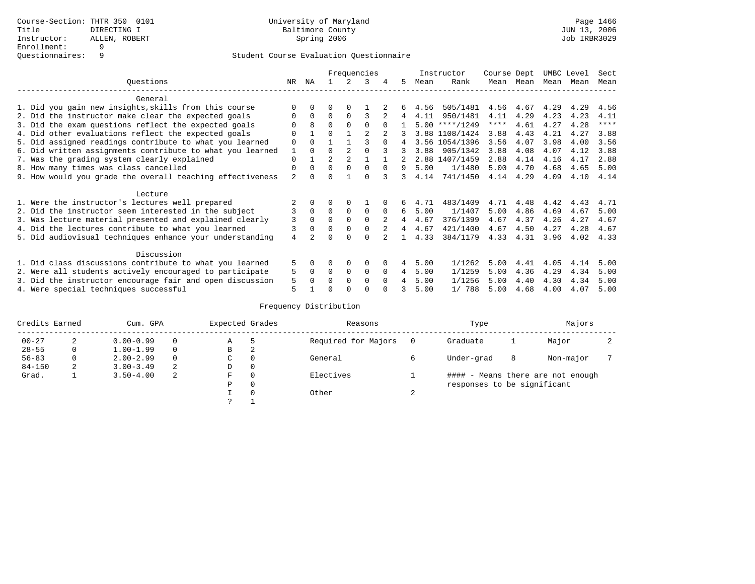|                                                           |                |              |                |                | Frequencies |          |    |      | Instructor     | Course Dept |      | UMBC Level |      | Sect        |
|-----------------------------------------------------------|----------------|--------------|----------------|----------------|-------------|----------|----|------|----------------|-------------|------|------------|------|-------------|
| Ouestions                                                 | NR.            | ΝA           |                |                | 3           |          | 5. | Mean | Rank           | Mean        | Mean | Mean       | Mean | Mean        |
| General                                                   |                |              |                |                |             |          |    |      |                |             |      |            |      |             |
| 1. Did you gain new insights, skills from this course     | ∩              |              | O              | $\Omega$       |             |          |    | 4.56 | 505/1481       | 4.56        | 4.67 | 4.29       | 4.29 | 4.56        |
| 2. Did the instructor make clear the expected goals       | $\Omega$       | $\Omega$     | $\Omega$       | $\Omega$       | 3           |          | 4  | 4.11 | 950/1481       | 4.11        | 4.29 | 4.23       | 4.23 | 4.11        |
| 3. Did the exam questions reflect the expected goals      |                | 8            | $\Omega$       | $\Omega$       | $\Omega$    | $\Omega$ |    | 5.00 | $***/1249$     | ****        | 4.61 | 4.27       | 4.28 | $***$ * * * |
| 4. Did other evaluations reflect the expected goals       | $\Omega$       |              | $\Omega$       |                |             |          |    |      | 3.88 1108/1424 | 3.88        | 4.43 | 4.21       | 4.27 | 3.88        |
| 5. Did assigned readings contribute to what you learned   | $\Omega$       |              |                |                |             | $\Omega$ |    |      | 3.56 1054/1396 | 3.56        | 4.07 | 3.98       | 4.00 | 3.56        |
| 6. Did written assignments contribute to what you learned | 1              |              | $\Omega$       |                |             |          |    | 3.88 | 905/1342       | 3.88        | 4.08 | 4.07       | 4.12 | 3.88        |
| 7. Was the grading system clearly explained               | $\Omega$       |              | $\overline{a}$ | $\mathfrak{D}$ |             |          |    |      | 2.88 1407/1459 | 2.88        | 4.14 | 4.16       | 4.17 | 2.88        |
| 8. How many times was class cancelled                     | $\Omega$       | <sup>0</sup> | $\Omega$       | $\Omega$       | $\Omega$    | $\Omega$ | 9  | 5.00 | 1/1480         | 5.00        | 4.70 | 4.68       | 4.65 | 5.00        |
| 9. How would you grade the overall teaching effectiveness | $\mathfrak{D}$ |              | U              |                | $\cap$      | २        | 3  | 4.14 | 741/1450       | 4.14        | 4.29 | 4.09       | 4.10 | 4.14        |
| Lecture                                                   |                |              |                |                |             |          |    |      |                |             |      |            |      |             |
| 1. Were the instructor's lectures well prepared           |                |              |                |                |             |          | 6  | 4.71 | 483/1409       | 4.71        | 4.48 | 4.42       | 4.43 | 4.71        |
| 2. Did the instructor seem interested in the subject      | 3              | $\Omega$     | $\Omega$       | 0              | $\mathbf 0$ | $\Omega$ | 6  | 5.00 | 1/1407         | 5.00        | 4.86 | 4.69       | 4.67 | 5.00        |
| 3. Was lecture material presented and explained clearly   | 3              | $\Omega$     | $\Omega$       |                | $\Omega$    |          | 4  | 4.67 | 376/1399       | 4.67        | 4.37 | 4.26       | 4.27 | 4.67        |
| 4. Did the lectures contribute to what you learned        | 3              |              | $\Omega$       | $\Omega$       | $\Omega$    |          | 4  | 4.67 | 421/1400       | 4.67        | 4.50 | 4.27       | 4.28 | 4.67        |
| 5. Did audiovisual techniques enhance your understanding  | 4              |              | U              |                | $\cap$      |          |    | 4.33 | 384/1179       | 4.33        | 4.31 | 3.96       | 4.02 | 4.33        |
| Discussion                                                |                |              |                |                |             |          |    |      |                |             |      |            |      |             |
| 1. Did class discussions contribute to what you learned   | 5              |              | O              | $\Omega$       | $\Omega$    |          | 4  | 5.00 | 1/1262         | 5.00        | 4.41 | 4.05       | 4.14 | 5.00        |
| 2. Were all students actively encouraged to participate   | 5              | 0            | 0              | 0              | $\Omega$    | $\Omega$ | 4  | 5.00 | 1/1259         | 5.00        | 4.36 | 4.29       | 4.34 | 5.00        |
| 3. Did the instructor encourage fair and open discussion  | 5              |              | O              | $\Omega$       | $\Omega$    | $\Omega$ |    | 5.00 | 1/1256         | 5.00        | 4.40 | 4.30       | 4.34 | 5.00        |
| 4. Were special techniques successful                     | 5              |              |                |                | ∩           |          |    | 5.00 | 1/ 788         | 5.00        | 4.68 | 4.00       | 4.07 | 5.00        |

| Credits Earned |   | Cum. GPA      | Expected Grades |             | Reasons  |                     | Type   | Majors                      |   |                                   |  |
|----------------|---|---------------|-----------------|-------------|----------|---------------------|--------|-----------------------------|---|-----------------------------------|--|
| $00 - 27$      | 2 | $0.00 - 0.99$ |                 | Α           | 5        | Required for Majors | 0      | Graduate                    |   | Major                             |  |
| $28 - 55$      | 0 | $1.00 - 1.99$ |                 | В           | 2        |                     |        |                             |   |                                   |  |
| $56 - 83$      | 0 | $2.00 - 2.99$ |                 | $\sim$<br>◡ |          | General             |        | Under-grad                  | 8 | Non-major                         |  |
| $84 - 150$     | 2 | $3.00 - 3.49$ | 2               | D           | 0        |                     |        |                             |   |                                   |  |
| Grad.          |   | $3.50 - 4.00$ | 2               | F           | 0        | Electives           |        |                             |   | #### - Means there are not enough |  |
|                |   |               |                 | Ρ           | 0        |                     |        | responses to be significant |   |                                   |  |
|                |   |               |                 |             | $\Omega$ | Other               | $\sim$ |                             |   |                                   |  |
|                |   |               |                 | っ           |          |                     |        |                             |   |                                   |  |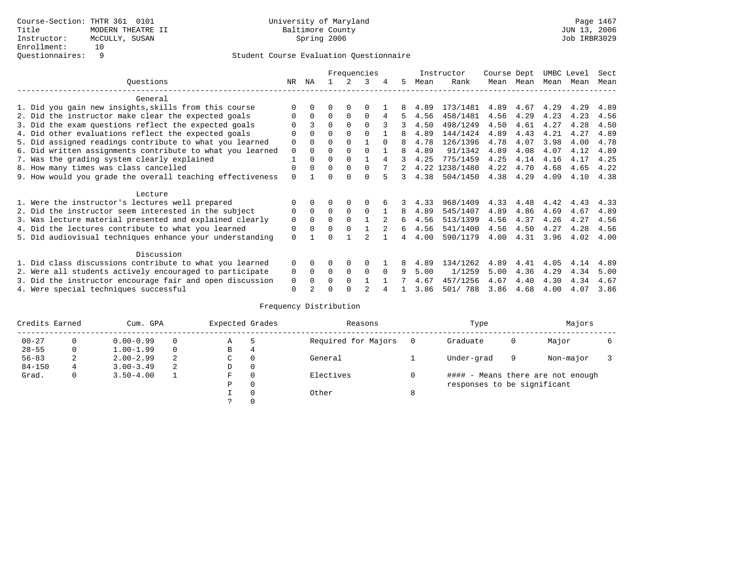|                                                           |             | Frequencies |          |          |          | Instructor | Course Dept |      | UMBC Level     |      | Sect      |      |      |      |
|-----------------------------------------------------------|-------------|-------------|----------|----------|----------|------------|-------------|------|----------------|------|-----------|------|------|------|
| Ouestions                                                 | NR.         | ΝA          |          |          | 3        | 4          | 5.          | Mean | Rank           |      | Mean Mean | Mean | Mean | Mean |
| General                                                   |             |             |          |          |          |            |             |      |                |      |           |      |      |      |
| 1. Did you gain new insights, skills from this course     |             | $\Omega$    | 0        | $\Omega$ | O        |            |             | 4.89 | 173/1481       | 4.89 | 4.67      | 4.29 | 4.29 | 4.89 |
| 2. Did the instructor make clear the expected goals       | O           | $\Omega$    | $\Omega$ | $\Omega$ | $\Omega$ |            | 5.          | 4.56 | 458/1481       | 4.56 | 4.29      | 4.23 | 4.23 | 4.56 |
| 3. Did the exam questions reflect the expected goals      |             |             | $\Omega$ | $\Omega$ | $\Omega$ |            | 3           | 4.50 | 498/1249       | 4.50 | 4.61      | 4.27 | 4.28 | 4.50 |
| 4. Did other evaluations reflect the expected goals       | O           | $\Omega$    | $\Omega$ | $\Omega$ | $\Omega$ |            | 8           | 4.89 | 144/1424       | 4.89 | 4.43      | 4.21 | 4.27 | 4.89 |
| 5. Did assigned readings contribute to what you learned   | $\mathbf 0$ | $\Omega$    | $\Omega$ | $\Omega$ |          | $\Omega$   |             | 4.78 | 126/1396       | 4.78 | 4.07      | 3.98 | 4.00 | 4.78 |
| 6. Did written assignments contribute to what you learned | $\mathbf 0$ | $\Omega$    | 0        | $\Omega$ | $\Omega$ |            | 8           | 4.89 | 91/1342        | 4.89 | 4.08      | 4.07 | 4.12 | 4.89 |
| 7. Was the grading system clearly explained               |             | $\Omega$    | 0        | $\Omega$ |          |            |             | 4.25 | 775/1459       | 4.25 | 4.14      | 4.16 | 4.17 | 4.25 |
| 8. How many times was class cancelled                     | 0           | $\Omega$    | $\Omega$ | $\Omega$ | $\Omega$ |            |             |      | 4.22 1238/1480 | 4.22 | 4.70      | 4.68 | 4.65 | 4.22 |
| 9. How would you grade the overall teaching effectiveness | $\Omega$    |             | ∩        | ∩        | U        |            | 3           | 4.38 | 504/1450       | 4.38 | 4.29      | 4.09 | 4.10 | 4.38 |
| Lecture                                                   |             |             |          |          |          |            |             |      |                |      |           |      |      |      |
| 1. Were the instructor's lectures well prepared           |             |             |          | $\Omega$ |          |            |             | 4.33 | 968/1409       | 4.33 | 4.48      | 4.42 | 4.43 | 4.33 |
| 2. Did the instructor seem interested in the subject      | 0           | $\Omega$    | $\Omega$ | $\Omega$ | $\Omega$ |            | 8           | 4.89 | 545/1407       | 4.89 | 4.86      | 4.69 | 4.67 | 4.89 |
| 3. Was lecture material presented and explained clearly   | 0           | $\Omega$    | $\Omega$ | $\Omega$ |          |            | 6           | 4.56 | 513/1399       | 4.56 | 4.37      | 4.26 | 4.27 | 4.56 |
| 4. Did the lectures contribute to what you learned        | 0           | $\Omega$    | $\Omega$ | $\Omega$ |          |            | 6           | 4.56 | 541/1400       | 4.56 | 4.50      | 4.27 | 4.28 | 4.56 |
| 5. Did audiovisual techniques enhance your understanding  | $\Omega$    |             |          |          |          |            |             | 4.00 | 590/1179       | 4.00 | 4.31      | 3.96 | 4.02 | 4.00 |
| Discussion                                                |             |             |          |          |          |            |             |      |                |      |           |      |      |      |
| 1. Did class discussions contribute to what you learned   | $\Omega$    | $\Omega$    | 0        | $\Omega$ | $\Omega$ |            |             | 4.89 | 134/1262       | 4.89 | 4.41      | 4.05 | 4.14 | 4.89 |
| 2. Were all students actively encouraged to participate   | 0           | $\Omega$    | $\Omega$ | $\Omega$ | $\Omega$ | $\Omega$   | q           | 5.00 | 1/1259         | 5.00 | 4.36      | 4.29 | 4.34 | 5.00 |
| 3. Did the instructor encourage fair and open discussion  | 0           | $\Omega$    | 0        | $\Omega$ |          |            |             | 4.67 | 457/1256       | 4.67 | 4.40      | 4.30 | 4.34 | 4.67 |
| 4. Were special techniques successful                     | $\Omega$    |             |          |          |          |            |             | 3.86 | 501/ 788       | 3.86 | 4.68      | 4.00 | 4.07 | 3.86 |

| Credits Earned |          | Cum. GPA      | Expected Grades |             | Reasons  |                     | Type     | Majors                      |   |                                   |  |
|----------------|----------|---------------|-----------------|-------------|----------|---------------------|----------|-----------------------------|---|-----------------------------------|--|
| $00 - 27$      | $\Omega$ | $0.00 - 0.99$ |                 | Α           | 5        | Required for Majors | $\Omega$ | Graduate                    | 0 | Major                             |  |
| $28 - 55$      | 0        | $1.00 - 1.99$ |                 | В           | 4        |                     |          |                             |   |                                   |  |
| $56 - 83$      | 2        | $2.00 - 2.99$ | 2               | $\sim$<br>◡ | 0        | General             |          | Under-grad                  | 9 | Non-major                         |  |
| $84 - 150$     | 4        | $3.00 - 3.49$ | 2               | D           | 0        |                     |          |                             |   |                                   |  |
| Grad.          | 0        | $3.50 - 4.00$ |                 | F           | 0        | Electives           | 0        |                             |   | #### - Means there are not enough |  |
|                |          |               |                 | Ρ           | 0        |                     |          | responses to be significant |   |                                   |  |
|                |          |               |                 |             | $\Omega$ | Other               | 8        |                             |   |                                   |  |
|                |          |               |                 |             |          |                     |          |                             |   |                                   |  |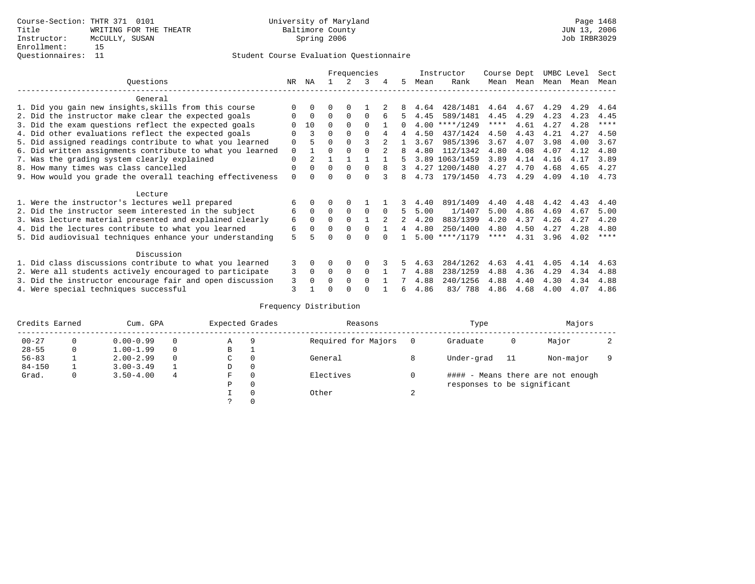## Questionnaires: 11 Student Course Evaluation Questionnaire

|                                                           |          |             | Frequencies |             |              |          |    |      | Instructor       | Course Dept |      | UMBC Level |      | Sect        |
|-----------------------------------------------------------|----------|-------------|-------------|-------------|--------------|----------|----|------|------------------|-------------|------|------------|------|-------------|
| Questions                                                 | NR.      | ΝA          |             |             | 3            | 4        | 5. | Mean | Rank             | Mean        | Mean | Mean       | Mean | Mean        |
| General                                                   |          |             |             |             |              |          |    |      |                  |             |      |            |      |             |
| 1. Did you gain new insights, skills from this course     |          | $\Omega$    | 0           | $\Omega$    |              |          |    | 4.64 | 428/1481         | 4.64        | 4.67 | 4.29       | 4.29 | 4.64        |
| 2. Did the instructor make clear the expected goals       |          | $\mathbf 0$ | $\Omega$    | $\Omega$    | $\Omega$     |          | 5. | 4.45 | 589/1481         | 4.45        | 4.29 | 4.23       | 4.23 | 4.45        |
| 3. Did the exam questions reflect the expected goals      |          | 10          | $\Omega$    | $\Omega$    | $\Omega$     |          |    | 4.00 | $***/1249$       | ****        | 4.61 | 4.27       | 4.28 | $***$ * * * |
| 4. Did other evaluations reflect the expected goals       |          | 3           | 0           | $\Omega$    | $\Omega$     | 4        | 4  | 4.50 | 437/1424         | 4.50        | 4.43 | 4.21       | 4.27 | 4.50        |
| 5. Did assigned readings contribute to what you learned   | 0        |             | 0           | $\Omega$    |              |          |    | 3.67 | 985/1396         | 3.67        | 4.07 | 3.98       | 4.00 | 3.67        |
| 6. Did written assignments contribute to what you learned | 0        |             | U           |             |              |          | 8  | 4.80 | 112/1342         | 4.80        | 4.08 | 4.07       | 4.12 | 4.80        |
| 7. Was the grading system clearly explained               | 0        |             |             |             |              |          |    | 3.89 | 1063/1459        | 3.89        | 4.14 | 4.16       | 4.17 | 3.89        |
| 8. How many times was class cancelled                     | $\Omega$ | $\Omega$    | $\Omega$    | $\Omega$    | 0            | 8        |    |      | 4.27 1200/1480   | 4.27        | 4.70 | 4.68       | 4.65 | 4.27        |
| 9. How would you grade the overall teaching effectiveness | $\Omega$ |             |             | U           | U            |          | 8  | 4.73 | 179/1450         | 4.73        | 4.29 | 4.09       | 4.10 | 4.73        |
| Lecture                                                   |          |             |             |             |              |          |    |      |                  |             |      |            |      |             |
| 1. Were the instructor's lectures well prepared           | 6        |             |             |             |              |          |    | 4.40 | 891/1409         | 4.40        | 4.48 | 4.42       | 4.43 | 4.40        |
| 2. Did the instructor seem interested in the subject      | 6        | $\Omega$    | $\Omega$    | $\mathbf 0$ | $\Omega$     | $\Omega$ |    | 5.00 | 1/1407           | 5.00        | 4.86 | 4.69       | 4.67 | 5.00        |
| 3. Was lecture material presented and explained clearly   | 6        | $\Omega$    | $\Omega$    | $\Omega$    |              |          |    | 4.20 | 883/1399         | 4.20        | 4.37 | 4.26       | 4.27 | 4.20        |
| 4. Did the lectures contribute to what you learned        | 6        | $\Omega$    | 0           | $\Omega$    | $\Omega$     |          | 4  | 4.80 | 250/1400         | 4.80        | 4.50 | 4.27       | 4.28 | 4.80        |
| 5. Did audiovisual techniques enhance your understanding  | 5        |             |             |             |              |          |    |      | $5.00$ ****/1179 | ****        | 4.31 | 3.96       | 4.02 | $***$ *     |
| Discussion                                                |          |             |             |             |              |          |    |      |                  |             |      |            |      |             |
| 1. Did class discussions contribute to what you learned   | 3        | $\Omega$    | U           | $\Omega$    | O            |          |    | 4.63 | 284/1262         | 4.63        | 4.41 | 4.05       | 4.14 | 4.63        |
| 2. Were all students actively encouraged to participate   | 3        | 0           | $\Omega$    | 0           | $\Omega$     |          |    | 4.88 | 238/1259         | 4.88        | 4.36 | 4.29       | 4.34 | 4.88        |
| 3. Did the instructor encourage fair and open discussion  | 3        | $\Omega$    | U           | $\Omega$    | <sup>0</sup> |          |    | 4.88 | 240/1256         | 4.88        | 4.40 | 4.30       | 4.34 | 4.88        |
| 4. Were special techniques successful                     | 3        |             |             |             |              |          | 6  | 4.86 | 83/788           | 4.86        | 4.68 | 4.00       | 4.07 | 4.86        |

| Credits Earned |   | Cum. GPA      |   | Expected Grades |          | Reasons             |        | Type                        | Majors |                                   |  |
|----------------|---|---------------|---|-----------------|----------|---------------------|--------|-----------------------------|--------|-----------------------------------|--|
| $00 - 27$      | 0 | $0.00 - 0.99$ |   | Α               | 9        | Required for Majors |        | Graduate                    | 0      | Major                             |  |
| $28 - 55$      | 0 | $1.00 - 1.99$ |   | B               | <b>.</b> |                     |        |                             |        |                                   |  |
| $56 - 83$      |   | $2.00 - 2.99$ |   | C               | 0        | General             | 8      | Under-grad                  | 11     | Non-major                         |  |
| $84 - 150$     |   | $3.00 - 3.49$ |   | D               | 0        |                     |        |                             |        |                                   |  |
| Grad.          | 0 | $3.50 - 4.00$ | 4 | F               | 0        | Electives           |        |                             |        | #### - Means there are not enough |  |
|                |   |               |   | Ρ               | 0        |                     |        | responses to be significant |        |                                   |  |
|                |   |               |   |                 | $\Omega$ | Other               | $\sim$ |                             |        |                                   |  |
|                |   |               |   |                 |          |                     |        |                             |        |                                   |  |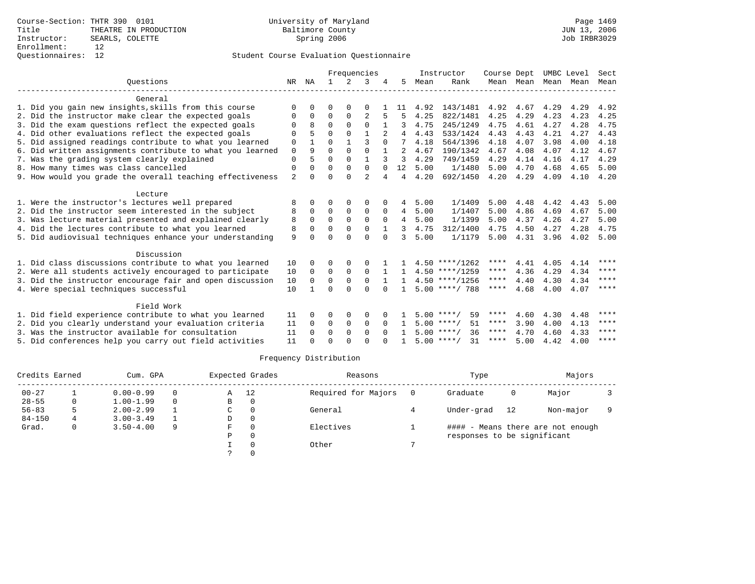|                                                           |                |              |             | Frequencies |                |              |                |      | Instructor         | Course Dept |           | UMBC Level |      | Sect        |
|-----------------------------------------------------------|----------------|--------------|-------------|-------------|----------------|--------------|----------------|------|--------------------|-------------|-----------|------------|------|-------------|
| Ouestions                                                 | NR             | ΝA           |             |             | 3              |              | 5.             | Mean | Rank               |             | Mean Mean | Mean       | Mean | Mean        |
| General                                                   |                |              |             |             |                |              |                |      |                    |             |           |            |      |             |
| 1. Did you gain new insights, skills from this course     | ∩              | <sup>n</sup> | O           | $\Omega$    | ∩              |              | 11             | 4.92 | 143/1481           | 4.92        | 4.67      | 4.29       | 4.29 | 4.92        |
| 2. Did the instructor make clear the expected goals       | $\Omega$       | $\Omega$     | $\Omega$    | $\Omega$    | $\overline{2}$ | 5            | 5              | 4.25 | 822/1481           | 4.25        | 4.29      | 4.23       | 4.23 | 4.25        |
| 3. Did the exam questions reflect the expected goals      | $\Omega$       | 8            | $\Omega$    | $\Omega$    | $\Omega$       |              | 3              | 4.75 | 245/1249           | 4.75        | 4.61      | 4.27       | 4.28 | 4.75        |
| 4. Did other evaluations reflect the expected goals       | $\Omega$       |              | $\Omega$    | $\Omega$    | 1              |              | 4              | 4.43 | 533/1424           | 4.43        | 4.43      | 4.21       | 4.27 | 4.43        |
| 5. Did assigned readings contribute to what you learned   | 0              |              | $\Omega$    |             | ζ              | $\Omega$     | 7              | 4.18 | 564/1396           | 4.18        | 4.07      | 3.98       | 4.00 | 4.18        |
| 6. Did written assignments contribute to what you learned | $\mathbf 0$    | 9            | 0           | 0           | $\mathbf 0$    |              | $\mathfrak{D}$ | 4.67 | 190/1342           | 4.67        | 4.08      | 4.07       | 4.12 | 4.67        |
| 7. Was the grading system clearly explained               | $\Omega$       |              | $\Omega$    | $\Omega$    | $\mathbf{1}$   |              | 3              | 4.29 | 749/1459           | 4.29        | 4.14      | 4.16       | 4.17 | 4.29        |
| 8. How many times was class cancelled                     | $\Omega$       |              | $\Omega$    | $\Omega$    | $\Omega$       | $\Omega$     | 12             | 5.00 | 1/1480             | 5.00        | 4.70      | 4.68       | 4.65 | 5.00        |
| 9. How would you grade the overall teaching effectiveness | $\overline{a}$ | $\Omega$     | $\Omega$    | $\cap$      | $\overline{2}$ | 4            | 4              | 4.20 | 692/1450           | 4.20        | 4.29      | 4.09       | 4.10 | 4.20        |
| Lecture                                                   |                |              |             |             |                |              |                |      |                    |             |           |            |      |             |
| 1. Were the instructor's lectures well prepared           | 8              | 0            | 0           | 0           | 0              |              | 4              | 5.00 | 1/1409             | 5.00        | 4.48      | 4.42       | 4.43 | 5.00        |
| 2. Did the instructor seem interested in the subject      | 8              | $\Omega$     | $\Omega$    | $\Omega$    | $\Omega$       | $\Omega$     | $\overline{4}$ | 5.00 | 1/1407             | 5.00        | 4.86      | 4.69       | 4.67 | 5.00        |
| 3. Was lecture material presented and explained clearly   | 8              | $\Omega$     | $\Omega$    | $\Omega$    | $\Omega$       | $\Omega$     | $\overline{4}$ | 5.00 | 1/1399             | 5.00        | 4.37      | 4.26       | 4.27 | 5.00        |
| 4. Did the lectures contribute to what you learned        | 8              | $\Omega$     | $\Omega$    | $\Omega$    | $\Omega$       | $\mathbf{1}$ | 3              | 4.75 | 312/1400           | 4.75        | 4.50      | 4.27       | 4.28 | 4.75        |
| 5. Did audiovisual techniques enhance your understanding  | 9              | <sup>n</sup> | $\cap$      | $\cap$      | $\cap$         | $\Omega$     | 3              | 5.00 | 1/1179             | 5.00        | 4.31      | 3.96       | 4.02 | 5.00        |
| Discussion                                                |                |              |             |             |                |              |                |      |                    |             |           |            |      |             |
| 1. Did class discussions contribute to what you learned   | 10             | 0            | 0           | 0           | $\Omega$       |              |                |      | $4.50$ ****/1262   | ****        | 4.41      | 4.05       | 4.14 | ****        |
| 2. Were all students actively encouraged to participate   | 10             | 0            | $\mathbf 0$ | $\mathbf 0$ | $\mathbf 0$    |              |                |      | $4.50$ ****/1259   | $***$ * * * | 4.36      | 4.29       | 4.34 | ****        |
| 3. Did the instructor encourage fair and open discussion  | 10             | $\Omega$     | $\Omega$    | $\Omega$    | $\Omega$       |              | $\mathbf{1}$   |      | $4.50$ ****/1256   | ****        | 4.40      | 4.30       | 4.34 | $***$ * * * |
| 4. Were special techniques successful                     | 10             |              | $\Omega$    | $\cap$      | $\Omega$       | $\Omega$     |                |      | $5.00$ ****/ 788   | ****        | 4.68      | 4.00       | 4.07 | ****        |
|                                                           |                |              |             |             |                |              |                |      |                    |             |           |            |      |             |
| Field Work                                                |                |              |             |             |                |              |                |      |                    |             |           |            |      |             |
| 1. Did field experience contribute to what you learned    | 11             | 0            | 0           | 0           | 0              |              |                |      | $5.00$ ****/<br>59 | ****        | 4.60      | 4.30       | 4.48 | ****        |
| 2. Did you clearly understand your evaluation criteria    | 11             | 0            | 0           | $\mathbf 0$ | $\mathbf 0$    | $\Omega$     |                |      | 51<br>$5.00$ ****/ | ****        | 3.90      | 4.00       | 4.13 | ****        |
| 3. Was the instructor available for consultation          | 11             | $\Omega$     | $\Omega$    | $\Omega$    | $\Omega$       | $\Omega$     |                |      | $5.00$ ****/<br>36 | ****        | 4.70      | 4.60       | 4.33 | ****        |
| 5. Did conferences help you carry out field activities    | 11             |              | $\Omega$    | $\cap$      | $\cap$         |              |                |      | $5.00$ ****/<br>31 | ****        | 5.00      | 4.42       | 4.00 | ****        |

| Credits Earned |    | Cum. GPA      |          |   | Expected Grades | Reasons             | Type                        | Majors |                                   |  |
|----------------|----|---------------|----------|---|-----------------|---------------------|-----------------------------|--------|-----------------------------------|--|
| $00 - 27$      |    | $0.00 - 0.99$ | 0        | Α | 12              | Required for Majors | Graduate                    | 0      | Major                             |  |
| $28 - 55$      | 0  | $1.00 - 1.99$ | $\Omega$ | В | 0               |                     |                             |        |                                   |  |
| $56 - 83$      |    | $2.00 - 2.99$ |          | C | 0               | General             | Under-grad                  | 12     | Non-major                         |  |
| $84 - 150$     | 4  | $3.00 - 3.49$ |          | D | 0               |                     |                             |        |                                   |  |
| Grad.          | 0. | $3.50 - 4.00$ | 9        | F | $\Omega$        | Electives           |                             |        | #### - Means there are not enough |  |
|                |    |               |          | Ρ | 0               |                     | responses to be significant |        |                                   |  |
|                |    |               |          |   | $\Omega$        | Other               |                             |        |                                   |  |
|                |    |               |          |   |                 |                     |                             |        |                                   |  |